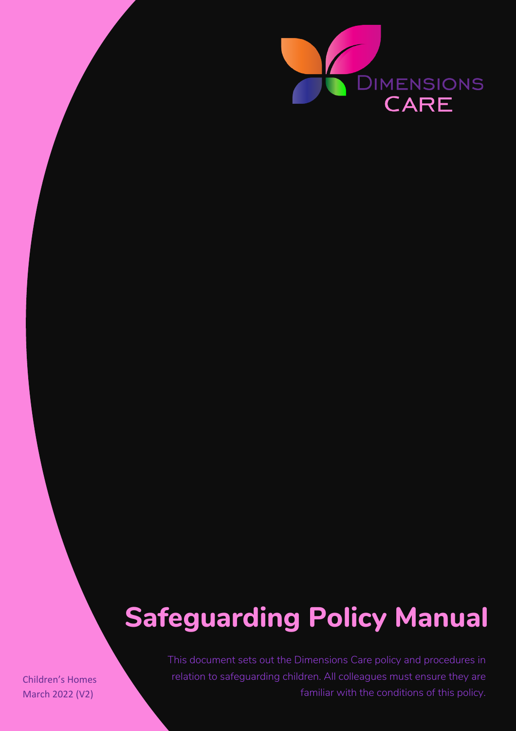

# **Safeguarding Policy Manual**

This document sets out the Dimensions Care policy and procedures in relation to safeguarding children. All colleagues must ensure they are familiar with the conditions of this policy.

Children's Homes March 2022 (V2)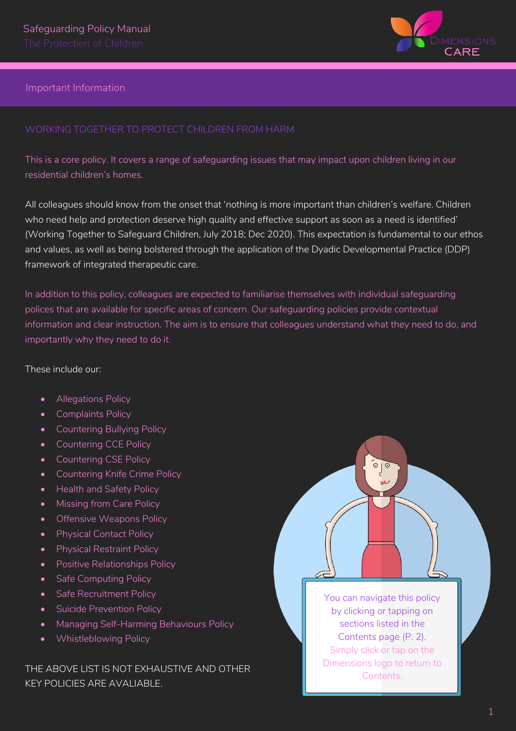

### Important Information

### WORKING TOGETHER TO PROTECT CHILDREN FROM HARM

This is a core policy. It covers a range of safeguarding issues that may impact upon children living in our residential children's homes.

All colleagues should know from the onset that 'nothing is more important than children's welfare. Children who need help and protection deserve high quality and effective support as soon as a need is identified' (Working Together to Safeguard Children, July 2018; Dec 2020). This expectation is fundamental to our ethos and values, as well as being bolstered through the application of the Dyadic Developmental Practice (DDP) framework of integrated therapeutic care.

In addition to this policy, colleagues are expected to familiarise themselves with individual safeguarding polices that are available for specific areas of concern. Our safeguarding policies provide contextual information and clear instruction. The aim is to ensure that colleagues understand what they need to do, and importantly why they need to do it.

These include our:

- Allegations Policy
- Complaints Policy
- Countering Bullying Policy
- Countering CCE Policy
- Countering CSE Policy
- Countering Knife Crime Policy
- Health and Safety Policy
- Missing from Care Policy
- Offensive Weapons Policy
- Physical Contact Policy
- Physical Restraint Policy
- Positive Relationships Policy
- Safe Computing Policy
- Safe Recruitment Policy
- Suicide Prevention Policy
- Managing Self-Harming Behaviours Policy
- Whistleblowing Policy

THE ABOVE LIST IS NOT EXHAUSTIVE AND OTHER KEY POLICIES ARE AVALIABLE.

You can navigate this policy by clicking or tapping on sections listed in the Contents page (P. 2). Simply click or tap on the Dimensions logo to return to Contents.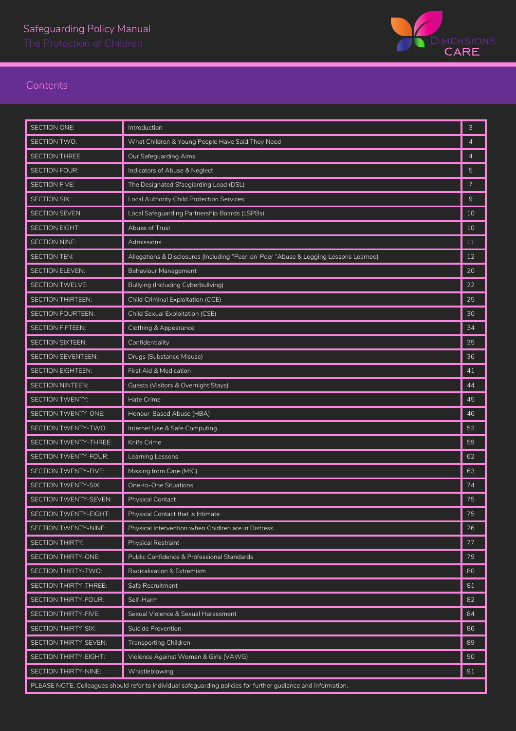

# **Contents**

| SECTION ONE:                                                                                                   | Introduction                                                                         | 3              |
|----------------------------------------------------------------------------------------------------------------|--------------------------------------------------------------------------------------|----------------|
| SECTION TWO:                                                                                                   | What Children & Young People Have Said They Need                                     | $\overline{4}$ |
| SECTION THREE:                                                                                                 | Our Safeguarding Aims                                                                | 4              |
| <b>SECTION FOUR:</b>                                                                                           | Indicators of Abuse & Neglect                                                        | 5              |
| SECTION FIVE:                                                                                                  | The Designated Sfaegiarding Lead (DSL)                                               | 7              |
| SECTION SIX:                                                                                                   | Local Authority Child Protection Services                                            | 9              |
| SECTION SEVEN:                                                                                                 | Local Safeguarding Partnership Boards (LSPBs)                                        | 10             |
| SECTION EIGHT:                                                                                                 | Abuse of Trust                                                                       | 10             |
| <b>SECTION NINE:</b>                                                                                           | Admissions                                                                           | 11             |
| SECTION TEN:                                                                                                   | Allegations & Disclosures (Including "Peer-on-Peer "Abuse & Logging Lessons Learned) | 12             |
| SECTION ELEVEN:                                                                                                | Behaviour Management                                                                 | 20             |
| SECTION TWELVE:                                                                                                | Bullying (Including Cyberbullying)                                                   | 22             |
| SECTION THIRTEEN:                                                                                              | Child Criminal Exploitation (CCE)                                                    | 25             |
| SECTION FOURTEEN:                                                                                              | Child Sexual Exploitation (CSE)                                                      | 30             |
| <b>SECTION FIFTEEN:</b>                                                                                        | Clothing & Appearance                                                                | 34             |
| SECTION SIXTEEN:                                                                                               | Confidentiality                                                                      | 35             |
| SECTION SEVENTEEN:                                                                                             | Drugs (Substance Misuse)                                                             | 36             |
| <b>SECTION EIGHTEEN:</b>                                                                                       | First Aid & Medication                                                               | 41             |
| SECTION NINTEEN:                                                                                               | Guests (Visitors & Overnight Stays)                                                  | 44             |
| SECTION TWENTY:                                                                                                | Hate Crime                                                                           | 45             |
| SECTION TWENTY-ONE:                                                                                            | Honour-Based Abuse (HBA)                                                             | 46             |
| SECTION TWENTY-TWO:                                                                                            | Internet Use & Safe Computing                                                        | 52             |
| SECTION TWENTY-THREE:                                                                                          | Knife Crime                                                                          | 59             |
| SECTION TWENTY-FOUR:                                                                                           | Learning Lessons                                                                     | 62             |
| SECTION TWENTY-FIVE:                                                                                           | Missing from Care (MfC)                                                              | 63             |
| SECTION TWENTY-SIX:                                                                                            | One-to-One Situations                                                                | 74             |
| SECTION TWENTY-SEVEN:                                                                                          | <b>Physical Contact</b>                                                              | 75             |
| SECTION TWENTY-EIGHT:                                                                                          | Physical Contact that is Intimate                                                    | 75             |
| SECTION TWENTY-NINE:                                                                                           | Physical Intervention when Chidlren are in Distress                                  | 76             |
| SECTION THIRTY:                                                                                                | <b>Physical Restraint</b>                                                            | 77             |
| SECTION THIRTY-ONE:                                                                                            | Public Confidence & Professional Standards                                           | 79             |
| SECTION THIRTY-TWO:                                                                                            | Radicalisation & Extremism                                                           | 80             |
| SECTION THIRTY-THREE:                                                                                          | Safe Recruitment                                                                     | 81             |
| SECTION THIRTY-FOUR:                                                                                           | Self-Harm                                                                            | 82             |
| SECTION THIRTY-FIVE:                                                                                           | Sexual Violence & Sexual Harassment                                                  | 84             |
| SECTION THIRTY-SIX:                                                                                            | Suicide Prevention                                                                   | 86             |
| SECTION THIRTY-SEVEN:                                                                                          | <b>Transporting Children</b>                                                         | 89             |
| SECTION THIRTY-EIGHT:                                                                                          | Violence Against Women & Girls (VAWG)                                                | 90             |
| SECTION THIRTY-NINE:                                                                                           | Whistleblowing                                                                       | 91             |
| PLEASE NOTE: Colleagues should refer to individual safeguarding policies for further gudiance and information. |                                                                                      |                |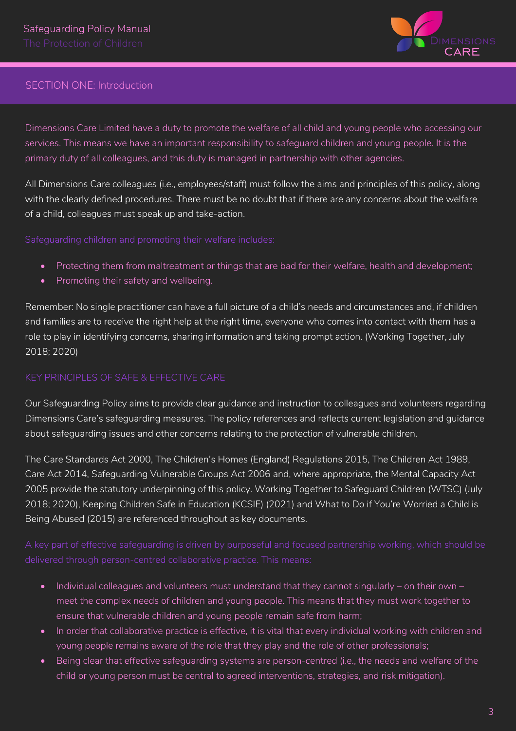

# <span id="page-3-0"></span>SECTION ONE: Introduction

Dimensions Care Limited have a duty to promote the welfare of all child and young people who accessing our services. This means we have an important responsibility to safeguard children and young people. It is the primary duty of all colleagues, and this duty is managed in partnership with other agencies.

All Dimensions Care colleagues (i.e., employees/staff) must follow the aims and principles of this policy, along with the clearly defined procedures. There must be no doubt that if there are any concerns about the welfare of a child, colleagues must speak up and take-action.

- Protecting them from maltreatment or things that are bad for their welfare, health and development;
- Promoting their safety and wellbeing.

Remember: No single practitioner can have a full picture of a child's needs and circumstances and, if children and families are to receive the right help at the right time, everyone who comes into contact with them has a role to play in identifying concerns, sharing information and taking prompt action. (Working Together, July 2018; 2020)

# KEY PRINCIPLES OF SAFE & EFFECTIVE CARE

Our Safeguarding Policy aims to provide clear guidance and instruction to colleagues and volunteers regarding Dimensions Care's safeguarding measures. The policy references and reflects current legislation and guidance about safeguarding issues and other concerns relating to the protection of vulnerable children.

The Care Standards Act 2000, The Children's Homes (England) Regulations 2015, The Children Act 1989, Care Act 2014, Safeguarding Vulnerable Groups Act 2006 and, where appropriate, the Mental Capacity Act 2005 provide the statutory underpinning of this policy. Working Together to Safeguard Children (WTSC) (July 2018; 2020), Keeping Children Safe in Education (KCSIE) (2021) and What to Do if You're Worried a Child is Being Abused (2015) are referenced throughout as key documents.

- Individual colleagues and volunteers must understand that they cannot singularly on their own meet the complex needs of children and young people. This means that they must work together to ensure that vulnerable children and young people remain safe from harm;
- In order that collaborative practice is effective, it is vital that every individual working with children and young people remains aware of the role that they play and the role of other professionals;
- Being clear that effective safeguarding systems are person-centred (i.e., the needs and welfare of the child or young person must be central to agreed interventions, strategies, and risk mitigation).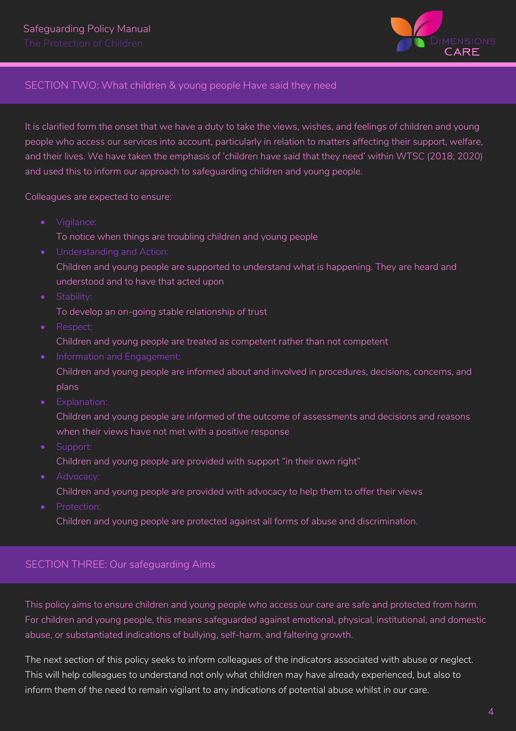

# <span id="page-4-0"></span>SECTION TWO: What children & young people Have said they need

It is clarified form the onset that we have a duty to take the views, wishes, and feelings of children and young people who access our services into account, particularly in relation to matters affecting their support, welfare, and their lives. We have taken the emphasis of 'children have said that they need' within WTSC (2018; 2020) and used this to inform our approach to safeguarding children and young people.

Colleagues are expected to ensure:

- To notice when things are troubling children and young people
- Understanding and Action:
- Children and young people are supported to understand what is happening. They are heard and understood and to have that acted upon
- Stability:
	- To develop an on-going stable relationship of trust
- Respect:
	- Children and young people are treated as competent rather than not competent
- Information and Engagement:
	- Children and young people are informed about and involved in procedures, decisions, concerns, and plans
- Explanation:
	- Children and young people are informed of the outcome of assessments and decisions and reasons when their views have not met with a positive response
- Support: Children and young people are provided with support "in their own right"
- 
- Children and young people are provided with advocacy to help them to offer their views
- Protection:
	- Children and young people are protected against all forms of abuse and discrimination.

# SECTION THREE: Our safeguarding Aims

This policy aims to ensure children and young people who access our care are safe and protected from harm. For children and young people, this means safeguarded against emotional, physical, institutional, and domestic abuse, or substantiated indications of bullying, self-harm, and faltering growth.

The next section of this policy seeks to inform colleagues of the indicators associated with abuse or neglect. This will help colleagues to understand not only what children may have already experienced, but also to inform them of the need to remain vigilant to any indications of potential abuse whilst in our care.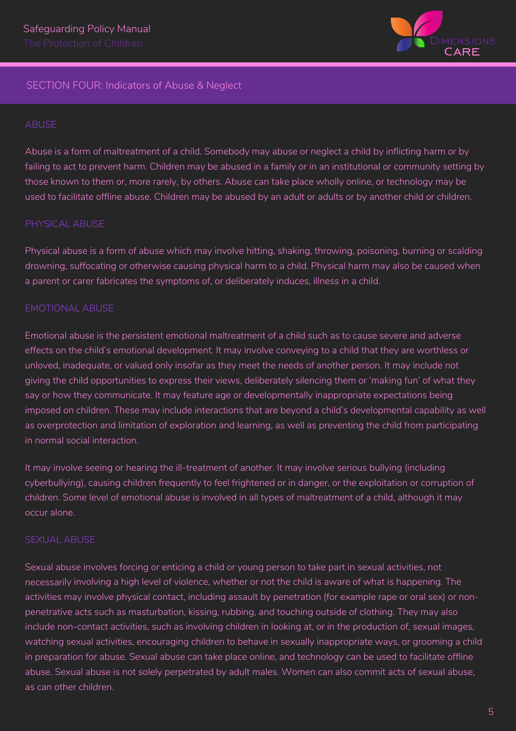

### <span id="page-5-0"></span>SECTION FOUR: Indicators of Abuse & Neglect

#### ABUSE

Abuse is a form of maltreatment of a child. Somebody may abuse or neglect a child by inflicting harm or by failing to act to prevent harm. Children may be abused in a family or in an institutional or community setting by those known to them or, more rarely, by others. Abuse can take place wholly online, or technology may be used to facilitate offline abuse. Children may be abused by an adult or adults or by another child or children.

#### PHYSICAL ABUSE

Physical abuse is a form of abuse which may involve hitting, shaking, throwing, poisoning, burning or scalding drowning, suffocating or otherwise causing physical harm to a child. Physical harm may also be caused when a parent or carer fabricates the symptoms of, or deliberately induces, illness in a child.

#### EMOTIONAL ABUSE

Emotional abuse is the persistent emotional maltreatment of a child such as to cause severe and adverse effects on the child's emotional development. It may involve conveying to a child that they are worthless or unloved, inadequate, or valued only insofar as they meet the needs of another person. It may include not giving the child opportunities to express their views, deliberately silencing them or 'making fun' of what they say or how they communicate. It may feature age or developmentally inappropriate expectations being imposed on children. These may include interactions that are beyond a child's developmental capability as well as overprotection and limitation of exploration and learning, as well as preventing the child from participating in normal social interaction.

It may involve seeing or hearing the ill-treatment of another. It may involve serious bullying (including cyberbullying), causing children frequently to feel frightened or in danger, or the exploitation or corruption of children. Some level of emotional abuse is involved in all types of maltreatment of a child, although it may occur alone.

#### SEXUAL ABUSE

Sexual abuse involves forcing or enticing a child or young person to take part in sexual activities, not necessarily involving a high level of violence, whether or not the child is aware of what is happening. The activities may involve physical contact, including assault by penetration (for example rape or oral sex) or nonpenetrative acts such as masturbation, kissing, rubbing, and touching outside of clothing. They may also include non-contact activities, such as involving children in looking at, or in the production of, sexual images, watching sexual activities, encouraging children to behave in sexually inappropriate ways, or grooming a child in preparation for abuse. Sexual abuse can take place online, and technology can be used to facilitate offline abuse. Sexual abuse is not solely perpetrated by adult males. Women can also commit acts of sexual abuse, as can other children.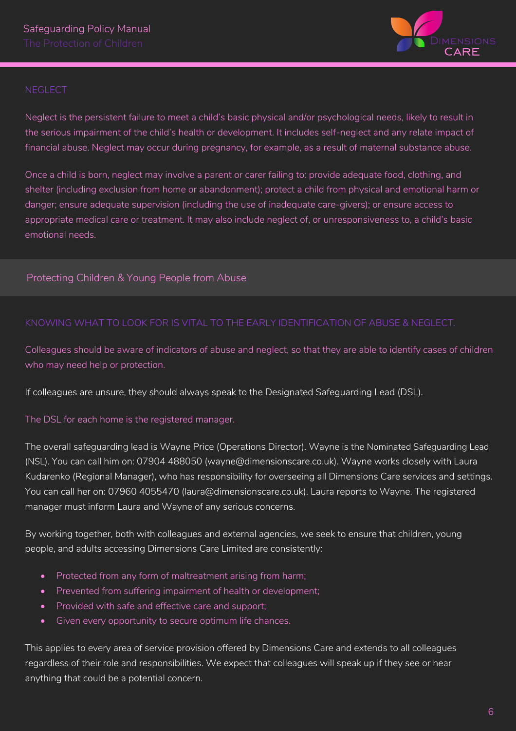

#### **NEGLECT**

Neglect is the persistent failure to meet a child's basic physical and/or psychological needs, likely to result in the serious impairment of the child's health or development. It includes self-neglect and any relate impact of financial abuse. Neglect may occur during pregnancy, for example, as a result of maternal substance abuse.

Once a child is born, neglect may involve a parent or carer failing to: provide adequate food, clothing, and shelter (including exclusion from home or abandonment); protect a child from physical and emotional harm or danger; ensure adequate supervision (including the use of inadequate care-givers); or ensure access to appropriate medical care or treatment. It may also include neglect of, or unresponsiveness to, a child's basic emotional needs.

#### Protecting Children & Young People from Abuse

#### KNOWING WHAT TO LOOK FOR IS VITAL TO THE EARLY IDENTIFICATION OF ABUSE & NEGLECT.

Colleagues should be aware of indicators of abuse and neglect, so that they are able to identify cases of children who may need help or protection.

If colleagues are unsure, they should always speak to the Designated Safeguarding Lead (DSL).

#### The DSL for each home is the registered manager.

The overall safeguarding lead is Wayne Price (Operations Director). Wayne is the Nominated Safeguarding Lead (NSL). You can call him on: 07904 488050 (wayne@dimensionscare.co.uk). Wayne works closely with Laura Kudarenko (Regional Manager), who has responsibility for overseeing all Dimensions Care services and settings. You can call her on: 07960 4055470 (laura@dimensionscare.co.uk). Laura reports to Wayne. The registered manager must inform Laura and Wayne of any serious concerns.

By working together, both with colleagues and external agencies, we seek to ensure that children, young people, and adults accessing Dimensions Care Limited are consistently:

- Protected from any form of maltreatment arising from harm;
- Prevented from suffering impairment of health or development;
- Provided with safe and effective care and support;
- Given every opportunity to secure optimum life chances.

This applies to every area of service provision offered by Dimensions Care and extends to all colleagues regardless of their role and responsibilities. We expect that colleagues will speak up if they see or hear anything that could be a potential concern.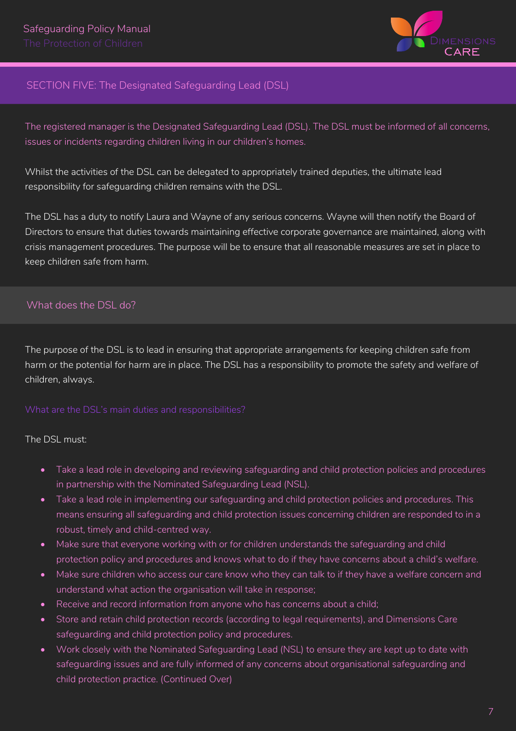

# <span id="page-7-0"></span>SECTION FIVE: The Designated Safeguarding Lead (DSL)

The registered manager is the Designated Safeguarding Lead (DSL). The DSL must be informed of all concerns, issues or incidents regarding children living in our children's homes.

Whilst the activities of the DSL can be delegated to appropriately trained deputies, the ultimate lead responsibility for safeguarding children remains with the DSL.

The DSL has a duty to notify Laura and Wayne of any serious concerns. Wayne will then notify the Board of Directors to ensure that duties towards maintaining effective corporate governance are maintained, along with crisis management procedures. The purpose will be to ensure that all reasonable measures are set in place to keep children safe from harm.

#### What does the DSL do?

The purpose of the DSL is to lead in ensuring that appropriate arrangements for keeping children safe from harm or the potential for harm are in place. The DSL has a responsibility to promote the safety and welfare of children, always.

The DSL must:

- Take a lead role in developing and reviewing safeguarding and child protection policies and procedures in partnership with the Nominated Safeguarding Lead (NSL).
- Take a lead role in implementing our safeguarding and child protection policies and procedures. This means ensuring all safeguarding and child protection issues concerning children are responded to in a robust, timely and child-centred way.
- Make sure that everyone working with or for children understands the safeguarding and child protection policy and procedures and knows what to do if they have concerns about a child's welfare.
- Make sure children who access our care know who they can talk to if they have a welfare concern and understand what action the organisation will take in response;
- Receive and record information from anyone who has concerns about a child:
- Store and retain child protection records (according to legal requirements), and Dimensions Care safeguarding and child protection policy and procedures.
- Work closely with the Nominated Safeguarding Lead (NSL) to ensure they are kept up to date with safeguarding issues and are fully informed of any concerns about organisational safeguarding and child protection practice. (Continued Over)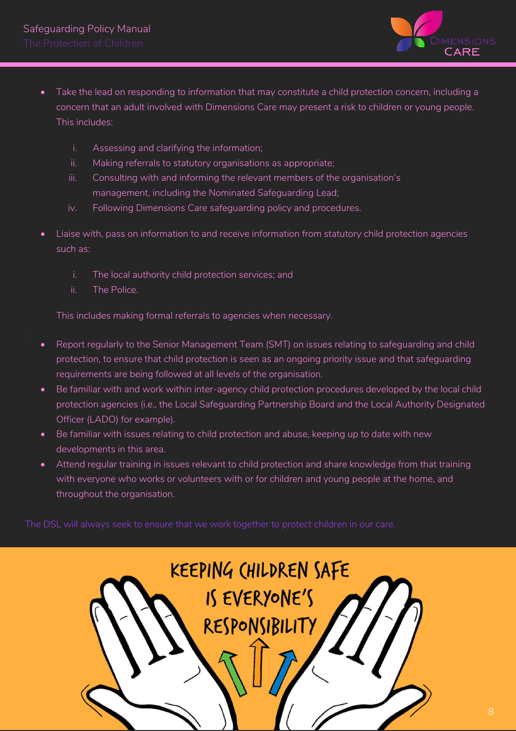

- Take the lead on responding to information that may constitute a child protection concern, including a concern that an adult involved with Dimensions Care may present a risk to children or young people. This includes:
	- i. Assessing and clarifying the information;
	- ii. Making referrals to statutory organisations as appropriate;
	- iii. Consulting with and informing the relevant members of the organisation's management, including the Nominated Safeguarding Lead;
	- iv. Following Dimensions Care safeguarding policy and procedures.
- Liaise with, pass on information to and receive information from statutory child protection agencies such as:
	- i. The local authority child protection services; and
	- ii. The Police.

This includes making formal referrals to agencies when necessary.

- Report regularly to the Senior Management Team (SMT) on issues relating to safeguarding and child protection, to ensure that child protection is seen as an ongoing priority issue and that safeguarding requirements are being followed at all levels of the organisation.
- Be familiar with and work within inter-agency child protection procedures developed by the local child protection agencies (i.e., the Local Safeguarding Partnership Board and the Local Authority Designated Officer (LADO) for example).
- Be familiar with issues relating to child protection and abuse, keeping up to date with new developments in this area.
- Attend regular training in issues relevant to child protection and share knowledge from that training with everyone who works or volunteers with or for children and young people at the home, and throughout the organisation.

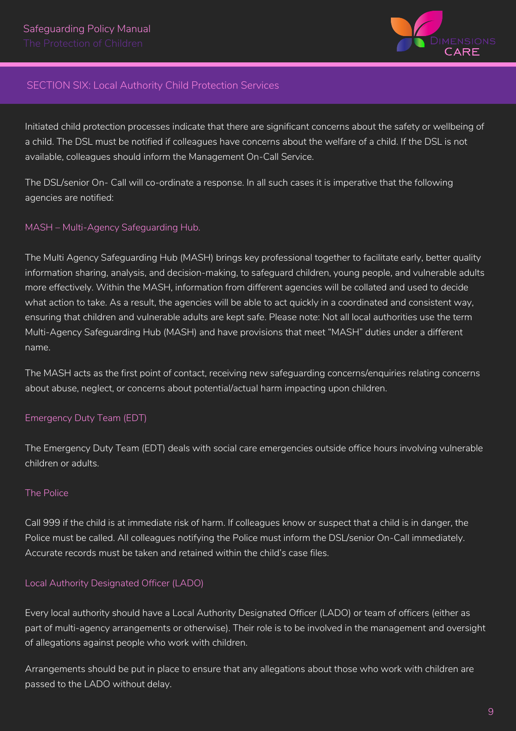

# <span id="page-9-0"></span>SECTION SIX: Local Authority Child Protection Services

Initiated child protection processes indicate that there are significant concerns about the safety or wellbeing of a child. The DSL must be notified if colleagues have concerns about the welfare of a child. If the DSL is not available, colleagues should inform the Management On-Call Service.

The DSL/senior On- Call will co-ordinate a response. In all such cases it is imperative that the following agencies are notified:

#### MASH – Multi-Agency Safeguarding Hub.

The Multi Agency Safeguarding Hub (MASH) brings key professional together to facilitate early, better quality information sharing, analysis, and decision-making, to safeguard children, young people, and vulnerable adults more effectively. Within the MASH, information from different agencies will be collated and used to decide what action to take. As a result, the agencies will be able to act quickly in a coordinated and consistent way, ensuring that children and vulnerable adults are kept safe. Please note: Not all local authorities use the term Multi-Agency Safeguarding Hub (MASH) and have provisions that meet "MASH" duties under a different name.

The MASH acts as the first point of contact, receiving new safeguarding concerns/enquiries relating concerns about abuse, neglect, or concerns about potential/actual harm impacting upon children.

#### Emergency Duty Team (EDT)

The Emergency Duty Team (EDT) deals with social care emergencies outside office hours involving vulnerable children or adults.

#### The Police

Call 999 if the child is at immediate risk of harm. If colleagues know or suspect that a child is in danger, the Police must be called. All colleagues notifying the Police must inform the DSL/senior On-Call immediately. Accurate records must be taken and retained within the child's case files.

#### Local Authority Designated Officer (LADO)

Every local authority should have a Local Authority Designated Officer (LADO) or team of officers (either as part of multi-agency arrangements or otherwise). Their role is to be involved in the management and oversight of allegations against people who work with children.

Arrangements should be put in place to ensure that any allegations about those who work with children are passed to the LADO without delay.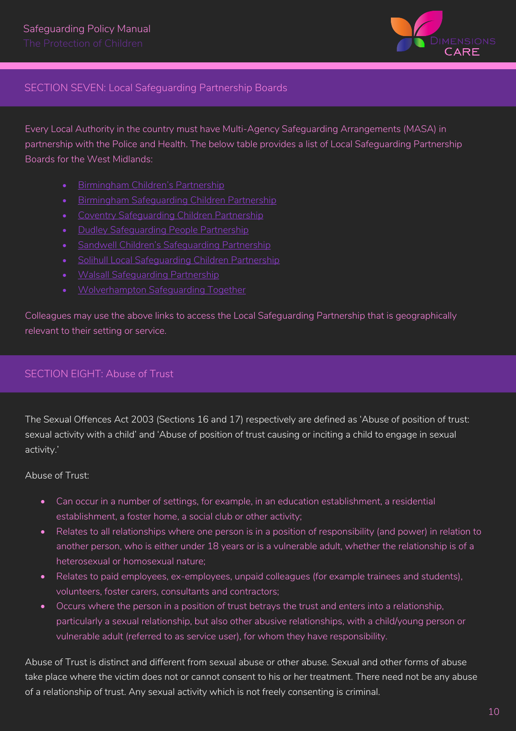

# <span id="page-10-0"></span>SECTION SEVEN: Local Safeguarding Partnership Boards

Every Local Authority in the country must have Multi-Agency Safeguarding Arrangements (MASA) in partnership with the Police and Health. The below table provides a list of Local Safeguarding Partnership Boards for the West Midlands:

- [Birmingham Children's Partnership](https://www.birmingham.gov.uk/BCP)
- [Birmingham Safeguarding Children Partnership](https://www.lscpbirmingham.org.uk)
- Coventry Safequarding Children Partnership
- [Dudley Safeguarding People Partnership](https://safeguarding.dudley.gov.uk/safeguarding/child/)
- [Sandwell Children's Safeguarding Partnership](https://www.sandwellcsp.org.uk)
- [Solihull Local Safeguarding Children Partnership](https://www.safeguardingsolihull.org.uk/lscp/)
- [Walsall Safeguarding Partnership](https://go.walsall.gov.uk/walsall-safeguarding-partnership/)
- [Wolverhampton Safeguarding Together](https://www.wolverhamptonsafeguarding.org.uk/safeguarding-children-and-young-people)

Colleagues may use the above links to access the Local Safeguarding Partnership that is geographically relevant to their setting or service.

# SECTION EIGHT: Abuse of Trust

The Sexual Offences Act 2003 (Sections 16 and 17) respectively are defined as 'Abuse of position of trust: sexual activity with a child' and 'Abuse of position of trust causing or inciting a child to engage in sexual activity.'

Abuse of Trust:

- Can occur in a number of settings, for example, in an education establishment, a residential establishment, a foster home, a social club or other activity;
- Relates to all relationships where one person is in a position of responsibility (and power) in relation to another person, who is either under 18 years or is a vulnerable adult, whether the relationship is of a heterosexual or homosexual nature;
- Relates to paid employees, ex-employees, unpaid colleagues (for example trainees and students), volunteers, foster carers, consultants and contractors;
- Occurs where the person in a position of trust betrays the trust and enters into a relationship, particularly a sexual relationship, but also other abusive relationships, with a child/young person or vulnerable adult (referred to as service user), for whom they have responsibility.

Abuse of Trust is distinct and different from sexual abuse or other abuse. Sexual and other forms of abuse take place where the victim does not or cannot consent to his or her treatment. There need not be any abuse of a relationship of trust. Any sexual activity which is not freely consenting is criminal.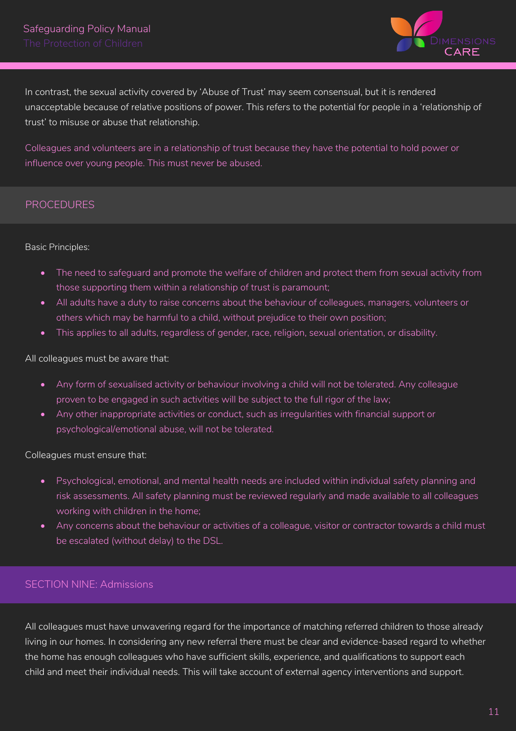

<span id="page-11-0"></span>In contrast, the sexual activity covered by 'Abuse of Trust' may seem consensual, but it is rendered unacceptable because of relative positions of power. This refers to the potential for people in a 'relationship of trust' to misuse or abuse that relationship.

Colleagues and volunteers are in a relationship of trust because they have the potential to hold power or influence over young people. This must never be abused.

### PROCEDURES

Basic Principles:

- The need to safeguard and promote the welfare of children and protect them from sexual activity from those supporting them within a relationship of trust is paramount;
- All adults have a duty to raise concerns about the behaviour of colleagues, managers, volunteers or others which may be harmful to a child, without prejudice to their own position;
- This applies to all adults, regardless of gender, race, religion, sexual orientation, or disability.

All colleagues must be aware that:

- Any form of sexualised activity or behaviour involving a child will not be tolerated. Any colleague proven to be engaged in such activities will be subject to the full rigor of the law;
- Any other inappropriate activities or conduct, such as irregularities with financial support or psychological/emotional abuse, will not be tolerated.

Colleagues must ensure that:

- Psychological, emotional, and mental health needs are included within individual safety planning and risk assessments. All safety planning must be reviewed regularly and made available to all colleagues working with children in the home;
- Any concerns about the behaviour or activities of a colleague, visitor or contractor towards a child must be escalated (without delay) to the DSL.

#### SECTION NINE: Admissions

All colleagues must have unwavering regard for the importance of matching referred children to those already living in our homes. In considering any new referral there must be clear and evidence-based regard to whether the home has enough colleagues who have sufficient skills, experience, and qualifications to support each child and meet their individual needs. This will take account of external agency interventions and support.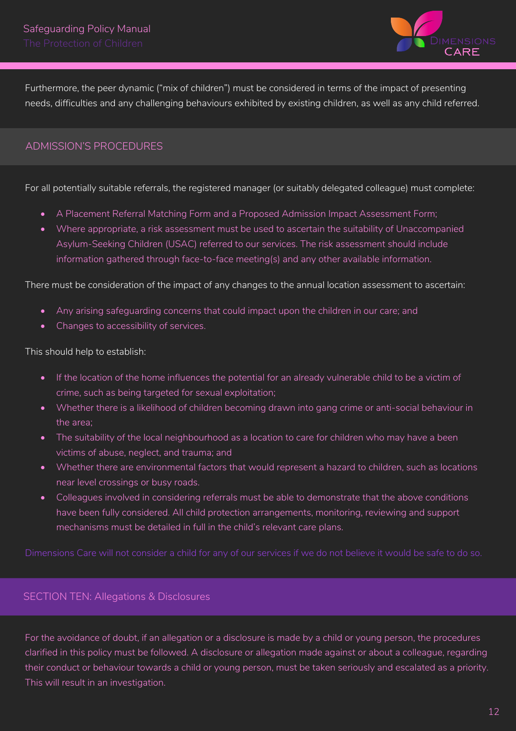

<span id="page-12-0"></span>Furthermore, the peer dynamic ("mix of children") must be considered in terms of the impact of presenting needs, difficulties and any challenging behaviours exhibited by existing children, as well as any child referred.

### ADMISSION'S PROCEDURES

For all potentially suitable referrals, the registered manager (or suitably delegated colleague) must complete:

- A Placement Referral Matching Form and a Proposed Admission Impact Assessment Form;
- Where appropriate, a risk assessment must be used to ascertain the suitability of Unaccompanied Asylum-Seeking Children (USAC) referred to our services. The risk assessment should include information gathered through face-to-face meeting(s) and any other available information.

There must be consideration of the impact of any changes to the annual location assessment to ascertain:

- Any arising safeguarding concerns that could impact upon the children in our care; and
- Changes to accessibility of services.

This should help to establish:

- If the location of the home influences the potential for an already vulnerable child to be a victim of crime, such as being targeted for sexual exploitation;
- Whether there is a likelihood of children becoming drawn into gang crime or anti-social behaviour in the area;
- The suitability of the local neighbourhood as a location to care for children who may have a been victims of abuse, neglect, and trauma; and
- Whether there are environmental factors that would represent a hazard to children, such as locations near level crossings or busy roads.
- Colleagues involved in considering referrals must be able to demonstrate that the above conditions have been fully considered. All child protection arrangements, monitoring, reviewing and support mechanisms must be detailed in full in the child's relevant care plans.

#### SECTION TEN: Allegations & Disclosures

For the avoidance of doubt, if an allegation or a disclosure is made by a child or young person, the procedures clarified in this policy must be followed. A disclosure or allegation made against or about a colleague, regarding their conduct or behaviour towards a child or young person, must be taken seriously and escalated as a priority. This will result in an investigation.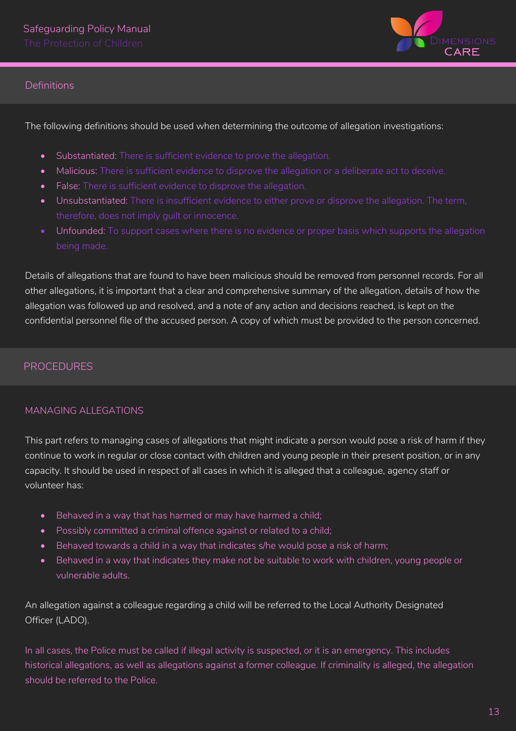

# Definitions

### The following definitions should be used when determining the outcome of allegation investigations:

- Substantiated: There is sufficient evidence to prove the allegation.
- Malicious: There is sufficient evidence to disprove the allegation or a deliberate act to deceive.
- False: There is sufficient evidence to disprove the allegation.
- Unsubstantiated: There is insufficient evidence to either prove or disprove the allegation. The term, therefore, does not imply guilt or innocence.
- Unfounded: To support cases where there is no evidence or proper basis which supports the allegation being made.

Details of allegations that are found to have been malicious should be removed from personnel records. For all other allegations, it is important that a clear and comprehensive summary of the allegation, details of how the allegation was followed up and resolved, and a note of any action and decisions reached, is kept on the confidential personnel file of the accused person. A copy of which must be provided to the person concerned.

# PROCEDURES

# MANAGING ALLEGATIONS

This part refers to managing cases of allegations that might indicate a person would pose a risk of harm if they continue to work in regular or close contact with children and young people in their present position, or in any capacity. It should be used in respect of all cases in which it is alleged that a colleague, agency staff or volunteer has:

- Behaved in a way that has harmed or may have harmed a child;
- Possibly committed a criminal offence against or related to a child;
- Behaved towards a child in a way that indicates s/he would pose a risk of harm;
- Behaved in a way that indicates they make not be suitable to work with children, young people or vulnerable adults.

An allegation against a colleague regarding a child will be referred to the Local Authority Designated Officer (LADO).

In all cases, the Police must be called if illegal activity is suspected, or it is an emergency. This includes historical allegations, as well as allegations against a former colleague. If criminality is alleged, the allegation should be referred to the Police.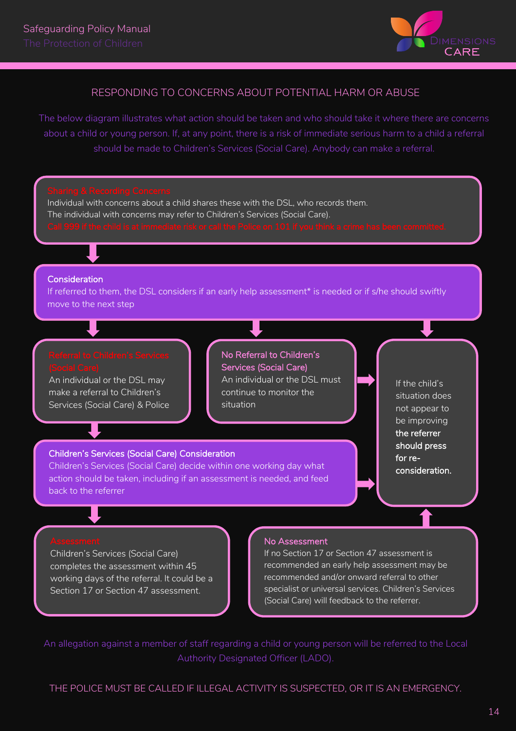

### RESPONDING TO CONCERNS ABOUT POTENTIAL HARM OR ABUSE

The below diagram illustrates what action should be taken and who should take it where there are concerns about a child or young person. If, at any point, there is a risk of immediate serious harm to a child a referral should be made to Children's Services (Social Care). Anybody can make a referral.



An allegation against a member of staff regarding a child or young person will be referred to the Local Authority Designated Officer (LADO).

THE POLICE MUST BE CALLED IF ILLEGAL ACTIVITY IS SUSPECTED, OR IT IS AN EMERGENCY.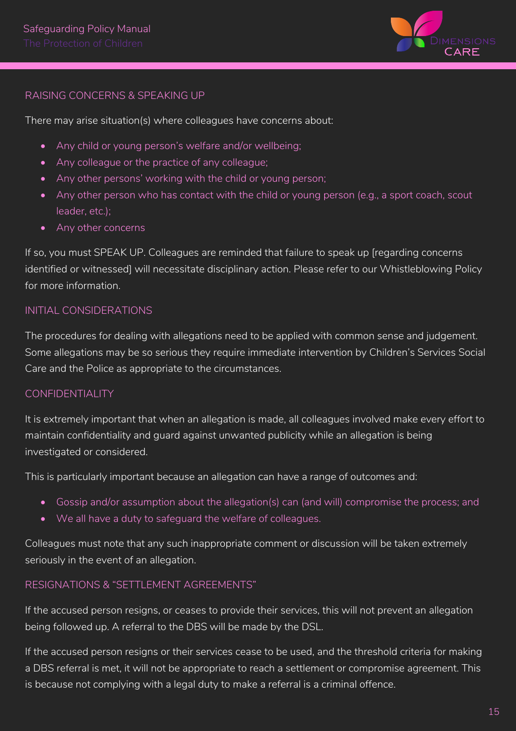

# RAISING CONCERNS & SPEAKING UP

There may arise situation(s) where colleagues have concerns about:

- Any child or young person's welfare and/or wellbeing;
- Any colleague or the practice of any colleague;
- Any other persons' working with the child or young person;
- Any other person who has contact with the child or young person (e.g., a sport coach, scout leader, etc.);
- Any other concerns

If so, you must SPEAK UP. Colleagues are reminded that failure to speak up [regarding concerns identified or witnessed] will necessitate disciplinary action. Please refer to our Whistleblowing Policy for more information.

# INITIAL CONSIDERATIONS

The procedures for dealing with allegations need to be applied with common sense and judgement. Some allegations may be so serious they require immediate intervention by Children's Services Social Care and the Police as appropriate to the circumstances.

# CONFIDENTIALITY

It is extremely important that when an allegation is made, all colleagues involved make every effort to maintain confidentiality and guard against unwanted publicity while an allegation is being investigated or considered.

This is particularly important because an allegation can have a range of outcomes and:

- Gossip and/or assumption about the allegation(s) can (and will) compromise the process; and
- We all have a duty to safeguard the welfare of colleagues.

Colleagues must note that any such inappropriate comment or discussion will be taken extremely seriously in the event of an allegation.

#### RESIGNATIONS & "SETTLEMENT AGREEMENTS"

If the accused person resigns, or ceases to provide their services, this will not prevent an allegation being followed up. A referral to the DBS will be made by the DSL.

If the accused person resigns or their services cease to be used, and the threshold criteria for making a DBS referral is met, it will not be appropriate to reach a settlement or compromise agreement. This is because not complying with a legal duty to make a referral is a criminal offence.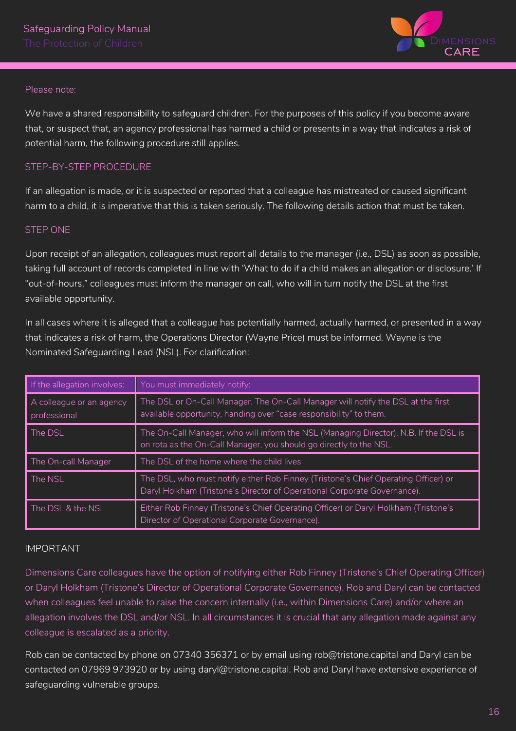

#### Please note:

We have a shared responsibility to safeguard children. For the purposes of this policy if you become aware that, or suspect that, an agency professional has harmed a child or presents in a way that indicates a risk of potential harm, the following procedure still applies.

#### STEP-BY-STEP PROCEDURE

If an allegation is made, or it is suspected or reported that a colleague has mistreated or caused significant harm to a child, it is imperative that this is taken seriously. The following details action that must be taken.

#### STEP ONE

Upon receipt of an allegation, colleagues must report all details to the manager (i.e., DSL) as soon as possible, taking full account of records completed in line with 'What to do if a child makes an allegation or disclosure.' If "out-of-hours," colleagues must inform the manager on call, who will in turn notify the DSL at the first available opportunity.

In all cases where it is alleged that a colleague has potentially harmed, actually harmed, or presented in a way that indicates a risk of harm, the Operations Director (Wayne Price) must be informed. Wayne is the Nominated Safeguarding Lead (NSL). For clarification:

| If the allegation involves:              | You must immediately notify:                                                                                                                                   |
|------------------------------------------|----------------------------------------------------------------------------------------------------------------------------------------------------------------|
| A colleague or an agency<br>professional | The DSL or On-Call Manager. The On-Call Manager will notify the DSL at the first<br>available opportunity, handing over "case responsibility" to them.         |
| The DSL                                  | The On-Call Manager, who will inform the NSL (Managing Director). N.B. If the DSL is<br>on rota as the On-Call Manager, you should go directly to the NSL.     |
| The On-call Manager                      | The DSL of the home where the child lives                                                                                                                      |
| The NSL                                  | The DSL, who must notify either Rob Finney (Tristone's Chief Operating Officer) or<br>Daryl Holkham (Tristone's Director of Operational Corporate Governance). |
| The DSL & the NSL                        | Either Rob Finney (Tristone's Chief Operating Officer) or Daryl Holkham (Tristone's<br>Director of Operational Corporate Governance).                          |

#### IMPORTANT

Dimensions Care colleagues have the option of notifying either Rob Finney (Tristone's Chief Operating Officer) or Daryl Holkham (Tristone's Director of Operational Corporate Governance). Rob and Daryl can be contacted when colleagues feel unable to raise the concern internally (i.e., within Dimensions Care) and/or where an allegation involves the DSL and/or NSL. In all circumstances it is crucial that any allegation made against any colleague is escalated as a priority.

Rob can be contacted by phone on 07340 356371 or by email using rob@tristone.capital and Daryl can be contacted on 07969 973920 or by using daryl@tristone.capital. Rob and Daryl have extensive experience of safeguarding vulnerable groups.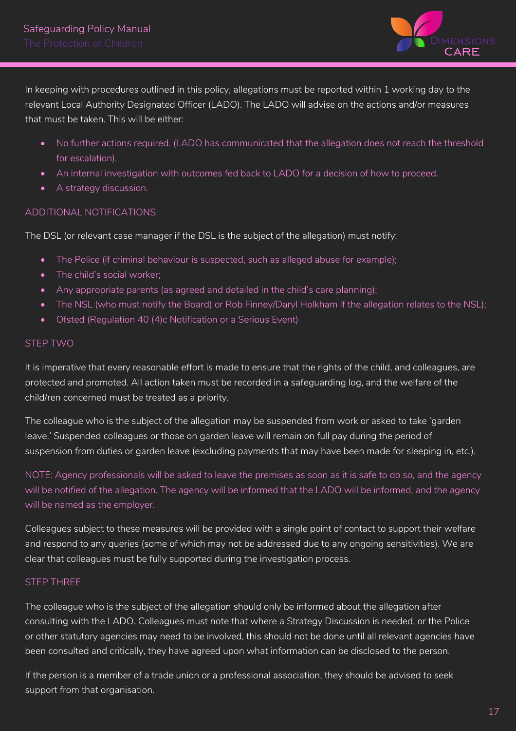

In keeping with procedures outlined in this policy, allegations must be reported within 1 working day to the relevant Local Authority Designated Officer (LADO). The LADO will advise on the actions and/or measures that must be taken. This will be either:

- No further actions required. (LADO has communicated that the allegation does not reach the threshold for escalation).
- An internal investigation with outcomes fed back to LADO for a decision of how to proceed.
- A strategy discussion.

#### ADDITIONAL NOTIFICATIONS

The DSL (or relevant case manager if the DSL is the subject of the allegation) must notify:

- The Police (if criminal behaviour is suspected, such as alleged abuse for example);
- The child's social worker:
- Any appropriate parents (as agreed and detailed in the child's care planning);
- The NSL (who must notify the Board) or Rob Finney/Daryl Holkham if the allegation relates to the NSL);
- Ofsted (Regulation 40 (4)c Notification or a Serious Event)

#### STEP TWO

It is imperative that every reasonable effort is made to ensure that the rights of the child, and colleagues, are protected and promoted. All action taken must be recorded in a safeguarding log, and the welfare of the child/ren concerned must be treated as a priority.

The colleague who is the subject of the allegation may be suspended from work or asked to take 'garden leave.' Suspended colleagues or those on garden leave will remain on full pay during the period of suspension from duties or garden leave (excluding payments that may have been made for sleeping in, etc.).

NOTE: Agency professionals will be asked to leave the premises as soon as it is safe to do so, and the agency will be notified of the allegation. The agency will be informed that the LADO will be informed, and the agency will be named as the employer.

Colleagues subject to these measures will be provided with a single point of contact to support their welfare and respond to any queries (some of which may not be addressed due to any ongoing sensitivities). We are clear that colleagues must be fully supported during the investigation process.

#### STEP THREE

The colleague who is the subject of the allegation should only be informed about the allegation after consulting with the LADO. Colleagues must note that where a Strategy Discussion is needed, or the Police or other statutory agencies may need to be involved, this should not be done until all relevant agencies have been consulted and critically, they have agreed upon what information can be disclosed to the person.

If the person is a member of a trade union or a professional association, they should be advised to seek support from that organisation.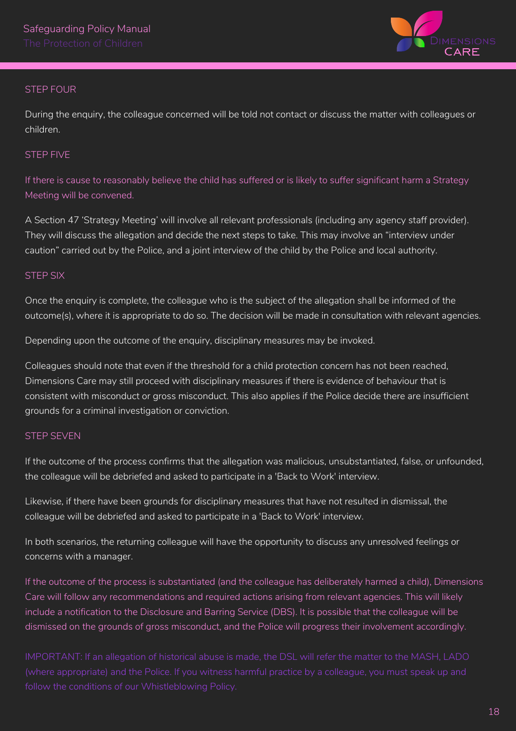

#### STEP FOUR

During the enquiry, the colleague concerned will be told not contact or discuss the matter with colleagues or children.

#### STEP FIVE

If there is cause to reasonably believe the child has suffered or is likely to suffer significant harm a Strategy Meeting will be convened.

A Section 47 'Strategy Meeting' will involve all relevant professionals (including any agency staff provider). They will discuss the allegation and decide the next steps to take. This may involve an "interview under caution" carried out by the Police, and a joint interview of the child by the Police and local authority.

#### STEP SIX

Once the enquiry is complete, the colleague who is the subject of the allegation shall be informed of the outcome(s), where it is appropriate to do so. The decision will be made in consultation with relevant agencies.

Depending upon the outcome of the enquiry, disciplinary measures may be invoked.

Colleagues should note that even if the threshold for a child protection concern has not been reached, Dimensions Care may still proceed with disciplinary measures if there is evidence of behaviour that is consistent with misconduct or gross misconduct. This also applies if the Police decide there are insufficient grounds for a criminal investigation or conviction.

#### STEP SEVEN

If the outcome of the process confirms that the allegation was malicious, unsubstantiated, false, or unfounded, the colleague will be debriefed and asked to participate in a 'Back to Work' interview.

Likewise, if there have been grounds for disciplinary measures that have not resulted in dismissal, the colleague will be debriefed and asked to participate in a 'Back to Work' interview.

In both scenarios, the returning colleague will have the opportunity to discuss any unresolved feelings or concerns with a manager.

If the outcome of the process is substantiated (and the colleague has deliberately harmed a child), Dimensions Care will follow any recommendations and required actions arising from relevant agencies. This will likely include a notification to the Disclosure and Barring Service (DBS). It is possible that the colleague will be dismissed on the grounds of gross misconduct, and the Police will progress their involvement accordingly.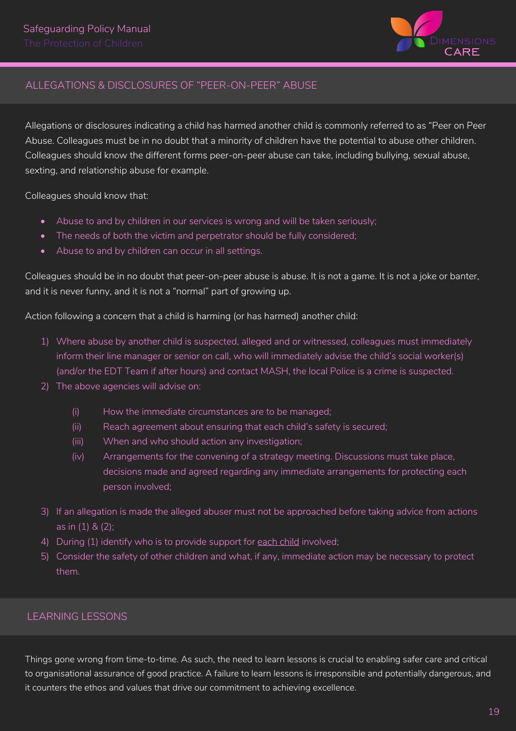

# ALLEGATIONS & DISCLOSURES OF "PEER-ON-PEER" ABUSE

Allegations or disclosures indicating a child has harmed another child is commonly referred to as "Peer on Peer Abuse. Colleagues must be in no doubt that a minority of children have the potential to abuse other children. Colleagues should know the different forms peer-on-peer abuse can take, including bullying, sexual abuse, sexting, and relationship abuse for example.

Colleagues should know that:

- Abuse to and by children in our services is wrong and will be taken seriously;
- The needs of both the victim and perpetrator should be fully considered;
- Abuse to and by children can occur in all settings.

Colleagues should be in no doubt that peer-on-peer abuse is abuse. It is not a game. It is not a joke or banter, and it is never funny, and it is not a "normal" part of growing up.

Action following a concern that a child is harming (or has harmed) another child:

- 1) Where abuse by another child is suspected, alleged and or witnessed, colleagues must immediately inform their line manager or senior on call, who will immediately advise the child's social worker(s) (and/or the EDT Team if after hours) and contact MASH, the local Police is a crime is suspected.
- 2) The above agencies will advise on:
	- (i) How the immediate circumstances are to be managed;
	- (ii) Reach agreement about ensuring that each child's safety is secured;
	- (iii) When and who should action any investigation;
	- $(iv)$  Arrangements for the convening of a strategy meeting. Discussions must take place, decisions made and agreed regarding any immediate arrangements for protecting each person involved;
- 3) If an allegation is made the alleged abuser must not be approached before taking advice from actions as in (1) & (2);
- 4) During (1) identify who is to provide support for each child involved;
- 5) Consider the safety of other children and what, if any, immediate action may be necessary to protect them.

# LEARNING LESSONS

Things gone wrong from time-to-time. As such, the need to learn lessons is crucial to enabling safer care and critical to organisational assurance of good practice. A failure to learn lessons is irresponsible and potentially dangerous, and it counters the ethos and values that drive our commitment to achieving excellence.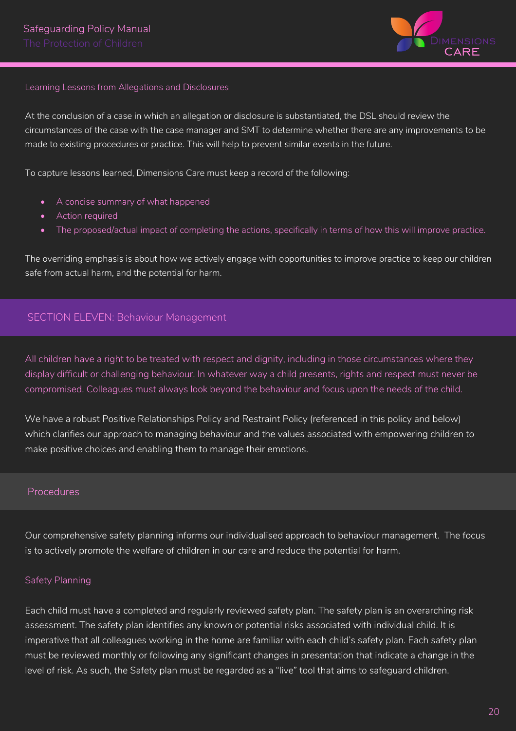

#### <span id="page-20-0"></span>Learning Lessons from Allegations and Disclosures

At the conclusion of a case in which an allegation or disclosure is substantiated, the DSL should review the circumstances of the case with the case manager and SMT to determine whether there are any improvements to be made to existing procedures or practice. This will help to prevent similar events in the future.

To capture lessons learned, Dimensions Care must keep a record of the following:

- A concise summary of what happened
- Action required
- The proposed/actual impact of completing the actions, specifically in terms of how this will improve practice.

The overriding emphasis is about how we actively engage with opportunities to improve practice to keep our children safe from actual harm, and the potential for harm.

### SECTION ELEVEN: Behaviour Management

All children have a right to be treated with respect and dignity, including in those circumstances where they display difficult or challenging behaviour. In whatever way a child presents, rights and respect must never be compromised. Colleagues must always look beyond the behaviour and focus upon the needs of the child.

We have a robust Positive Relationships Policy and Restraint Policy (referenced in this policy and below) which clarifies our approach to managing behaviour and the values associated with empowering children to make positive choices and enabling them to manage their emotions.

### Procedures

Our comprehensive safety planning informs our individualised approach to behaviour management. The focus is to actively promote the welfare of children in our care and reduce the potential for harm.

#### Safety Planning

Each child must have a completed and regularly reviewed safety plan. The safety plan is an overarching risk assessment. The safety plan identifies any known or potential risks associated with individual child. It is imperative that all colleagues working in the home are familiar with each child's safety plan. Each safety plan must be reviewed monthly or following any significant changes in presentation that indicate a change in the level of risk. As such, the Safety plan must be regarded as a "live" tool that aims to safeguard children.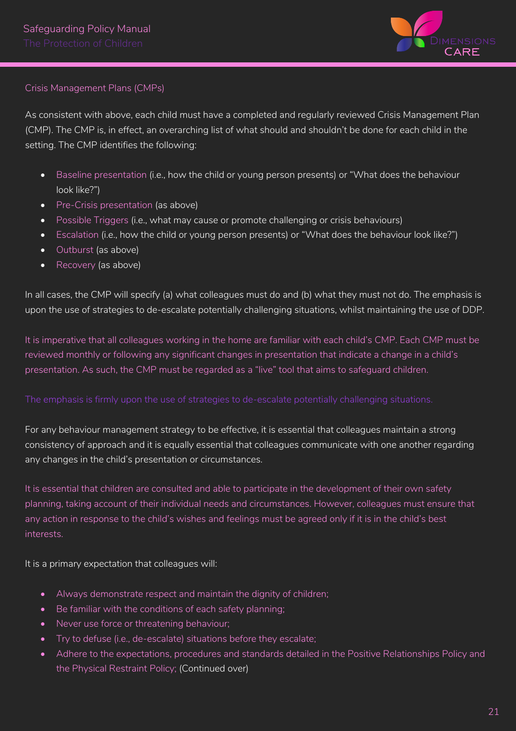

# Crisis Management Plans (CMPs)

As consistent with above, each child must have a completed and regularly reviewed Crisis Management Plan (CMP). The CMP is, in effect, an overarching list of what should and shouldn't be done for each child in the setting. The CMP identifies the following:

- Baseline presentation (i.e., how the child or young person presents) or "What does the behaviour look like?")
- Pre-Crisis presentation (as above)
- Possible Triggers (i.e., what may cause or promote challenging or crisis behaviours)
- Escalation (i.e., how the child or young person presents) or "What does the behaviour look like?")
- Outburst (as above)
- Recovery (as above)

In all cases, the CMP will specify (a) what colleagues must do and (b) what they must not do. The emphasis is upon the use of strategies to de-escalate potentially challenging situations, whilst maintaining the use of DDP.

It is imperative that all colleagues working in the home are familiar with each child's CMP. Each CMP must be reviewed monthly or following any significant changes in presentation that indicate a change in a child's presentation. As such, the CMP must be regarded as a "live" tool that aims to safeguard children.

For any behaviour management strategy to be effective, it is essential that colleagues maintain a strong consistency of approach and it is equally essential that colleagues communicate with one another regarding any changes in the child's presentation or circumstances.

It is essential that children are consulted and able to participate in the development of their own safety planning, taking account of their individual needs and circumstances. However, colleagues must ensure that any action in response to the child's wishes and feelings must be agreed only if it is in the child's best interests.

It is a primary expectation that colleagues will:

- Always demonstrate respect and maintain the dignity of children:
- Be familiar with the conditions of each safety planning;
- Never use force or threatening behaviour;
- Try to defuse (i.e., de-escalate) situations before they escalate;
- Adhere to the expectations, procedures and standards detailed in the Positive Relationships Policy and the Physical Restraint Policy; (Continued over)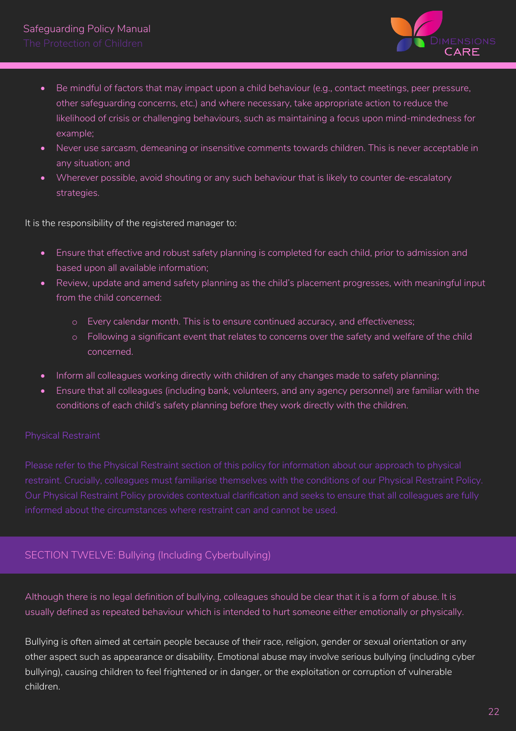

- <span id="page-22-0"></span>• Be mindful of factors that may impact upon a child behaviour (e.g., contact meetings, peer pressure, other safeguarding concerns, etc.) and where necessary, take appropriate action to reduce the likelihood of crisis or challenging behaviours, such as maintaining a focus upon mind-mindedness for example;
- Never use sarcasm, demeaning or insensitive comments towards children. This is never acceptable in any situation; and
- Wherever possible, avoid shouting or any such behaviour that is likely to counter de-escalatory strategies.

It is the responsibility of the registered manager to:

- Ensure that effective and robust safety planning is completed for each child, prior to admission and based upon all available information;
- Review, update and amend safety planning as the child's placement progresses, with meaningful input from the child concerned:
	- o Every calendar month. This is to ensure continued accuracy, and effectiveness;
	- o Following a significant event that relates to concerns over the safety and welfare of the child concerned.
- Inform all colleagues working directly with children of any changes made to safety planning;
- Ensure that all colleagues (including bank, volunteers, and any agency personnel) are familiar with the conditions of each child's safety planning before they work directly with the children.

informed about the circumstances where restraint can and cannot be used.

# SECTION TWELVE: Bullying (Including Cyberbullying)

Although there is no legal definition of bullying, colleagues should be clear that it is a form of abuse. It is usually defined as repeated behaviour which is intended to hurt someone either emotionally or physically.

Bullying is often aimed at certain people because of their race, religion, gender or sexual orientation or any other aspect such as appearance or disability. Emotional abuse may involve serious bullying (including cyber bullying), causing children to feel frightened or in danger, or the exploitation or corruption of vulnerable children.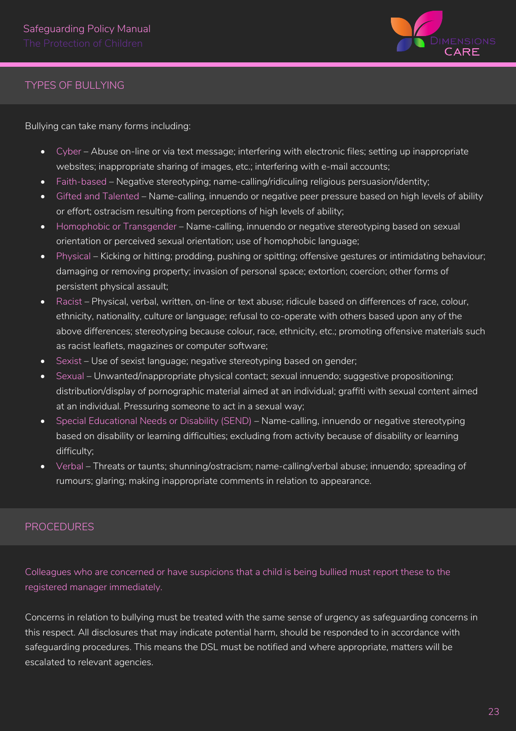

# TYPES OF BULLYING

Bullying can take many forms including:

- Cyber Abuse on-line or via text message; interfering with electronic files; setting up inappropriate websites; inappropriate sharing of images, etc.; interfering with e-mail accounts;
- Faith-based Negative stereotyping; name-calling/ridiculing religious persuasion/identity;
- Gifted and Talented Name-calling, innuendo or negative peer pressure based on high levels of ability or effort; ostracism resulting from perceptions of high levels of ability;
- Homophobic or Transgender Name-calling, innuendo or negative stereotyping based on sexual orientation or perceived sexual orientation; use of homophobic language;
- Physical Kicking or hitting; prodding, pushing or spitting; offensive gestures or intimidating behaviour; damaging or removing property; invasion of personal space; extortion; coercion; other forms of persistent physical assault;
- Racist Physical, verbal, written, on-line or text abuse; ridicule based on differences of race, colour, ethnicity, nationality, culture or language; refusal to co-operate with others based upon any of the above differences; stereotyping because colour, race, ethnicity, etc.; promoting offensive materials such as racist leaflets, magazines or computer software;
- Sexist Use of sexist language; negative stereotyping based on gender;
- Sexual Unwanted/inappropriate physical contact; sexual innuendo; suggestive propositioning; distribution/display of pornographic material aimed at an individual; graffiti with sexual content aimed at an individual. Pressuring someone to act in a sexual way;
- Special Educational Needs or Disability (SEND) Name-calling, innuendo or negative stereotyping based on disability or learning difficulties; excluding from activity because of disability or learning difficulty;
- Verbal Threats or taunts; shunning/ostracism; name-calling/verbal abuse; innuendo; spreading of rumours; glaring; making inappropriate comments in relation to appearance.

#### PROCEDURES

Colleagues who are concerned or have suspicions that a child is being bullied must report these to the registered manager immediately.

Concerns in relation to bullying must be treated with the same sense of urgency as safeguarding concerns in this respect. All disclosures that may indicate potential harm, should be responded to in accordance with safeguarding procedures. This means the DSL must be notified and where appropriate, matters will be escalated to relevant agencies.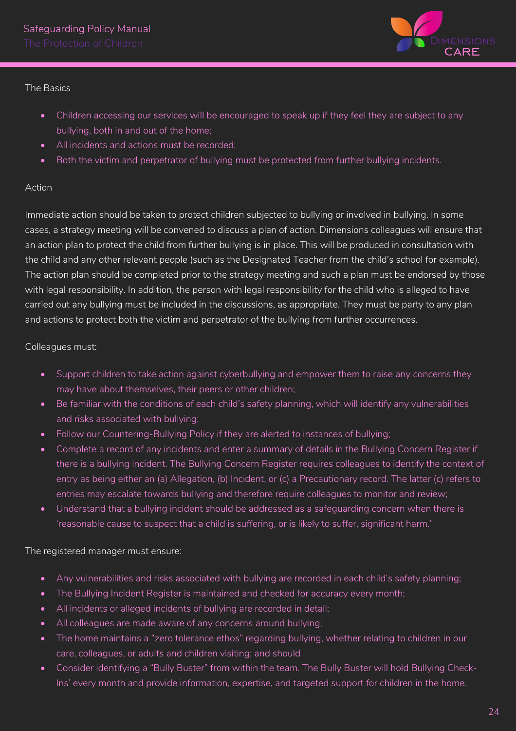

#### The Basics

- Children accessing our services will be encouraged to speak up if they feel they are subject to any bullying, both in and out of the home;
- All incidents and actions must be recorded;
- Both the victim and perpetrator of bullying must be protected from further bullying incidents.

#### Action

Immediate action should be taken to protect children subjected to bullying or involved in bullying. In some cases, a strategy meeting will be convened to discuss a plan of action. Dimensions colleagues will ensure that an action plan to protect the child from further bullying is in place. This will be produced in consultation with the child and any other relevant people (such as the Designated Teacher from the child's school for example). The action plan should be completed prior to the strategy meeting and such a plan must be endorsed by those with legal responsibility. In addition, the person with legal responsibility for the child who is alleged to have carried out any bullying must be included in the discussions, as appropriate. They must be party to any plan and actions to protect both the victim and perpetrator of the bullying from further occurrences.

#### Colleagues must:

- Support children to take action against cyberbullying and empower them to raise any concerns they may have about themselves, their peers or other children;
- Be familiar with the conditions of each child's safety planning, which will identify any vulnerabilities and risks associated with bullying;
- Follow our Countering-Bullying Policy if they are alerted to instances of bullying;
- Complete a record of any incidents and enter a summary of details in the Bullying Concern Register if there is a bullying incident. The Bullying Concern Register requires colleagues to identify the context of entry as being either an (a) Allegation, (b) Incident, or (c) a Precautionary record. The latter (c) refers to entries may escalate towards bullying and therefore require colleagues to monitor and review;
- Understand that a bullying incident should be addressed as a safeguarding concern when there is 'reasonable cause to suspect that a child is suffering, or is likely to suffer, significant harm.'

#### The registered manager must ensure:

- Any vulnerabilities and risks associated with bullying are recorded in each child's safety planning;
- The Bullying Incident Register is maintained and checked for accuracy every month;
- All incidents or alleged incidents of bullying are recorded in detail;
- All colleagues are made aware of any concerns around bullying;
- The home maintains a "zero tolerance ethos" regarding bullying, whether relating to children in our care, colleagues, or adults and children visiting; and should
- Consider identifying a "Bully Buster" from within the team. The Bully Buster will hold Bullying Check-Ins' every month and provide information, expertise, and targeted support for children in the home.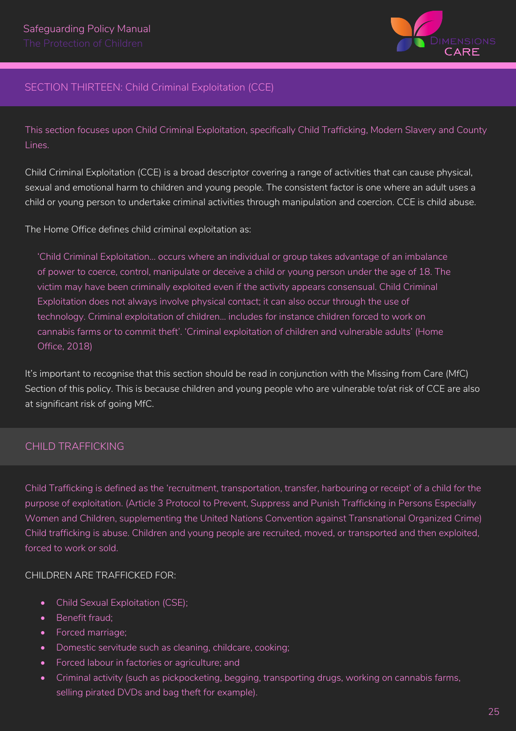

# <span id="page-25-0"></span>SECTION THIRTEEN: Child Criminal Exploitation (CCE)

This section focuses upon Child Criminal Exploitation, specifically Child Trafficking, Modern Slavery and County Lines.

Child Criminal Exploitation (CCE) is a broad descriptor covering a range of activities that can cause physical, sexual and emotional harm to children and young people. The consistent factor is one where an adult uses a child or young person to undertake criminal activities through manipulation and coercion. CCE is child abuse.

The Home Office defines child criminal exploitation as:

'Child Criminal Exploitation... occurs where an individual or group takes advantage of an imbalance of power to coerce, control, manipulate or deceive a child or young person under the age of 18. The victim may have been criminally exploited even if the activity appears consensual. Child Criminal Exploitation does not always involve physical contact; it can also occur through the use of technology. Criminal exploitation of children... includes for instance children forced to work on cannabis farms or to commit theft'. 'Criminal exploitation of children and vulnerable adults' (Home Office, 2018)

It's important to recognise that this section should be read in conjunction with the Missing from Care (MfC) Section of this policy. This is because children and young people who are vulnerable to/at risk of CCE are also at significant risk of going MfC.

# CHILD TRAFFICKING

Child Trafficking is defined as the 'recruitment, transportation, transfer, harbouring or receipt' of a child for the purpose of exploitation. (Article 3 Protocol to Prevent, Suppress and Punish Trafficking in Persons Especially Women and Children, supplementing the United Nations Convention against Transnational Organized Crime) Child trafficking is abuse. Children and young people are recruited, moved, or transported and then exploited, forced to work or sold.

#### CHILDREN ARE TRAFFICKED FOR:

- Child Sexual Exploitation (CSE);
- Benefit fraud;
- Forced marriage;
- Domestic servitude such as cleaning, childcare, cooking;
- Forced labour in factories or agriculture; and
- Criminal activity (such as pickpocketing, begging, transporting drugs, working on cannabis farms, selling pirated DVDs and bag theft for example).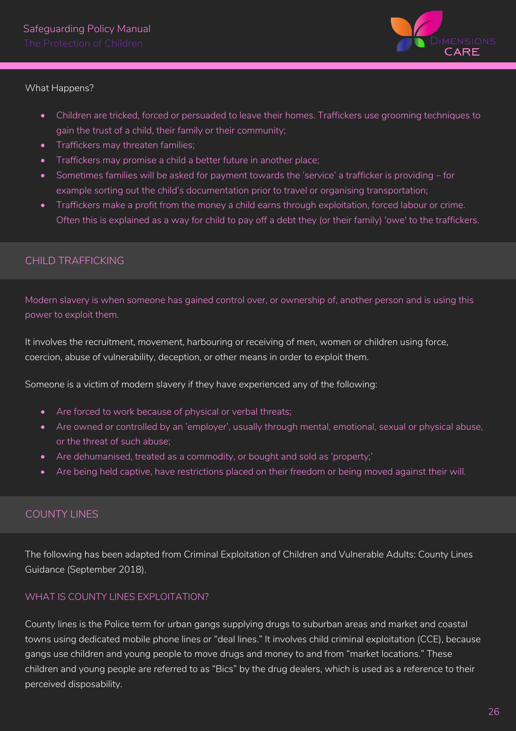

#### What Happens?

- Children are tricked, forced or persuaded to leave their homes. Traffickers use grooming techniques to gain the trust of a child, their family or their community;
- Traffickers may threaten families;
- Traffickers may promise a child a better future in another place;
- Sometimes families will be asked for payment towards the 'service' a trafficker is providing for example sorting out the child's documentation prior to travel or organising transportation;
- Traffickers make a profit from the money a child earns through exploitation, forced labour or crime. Often this is explained as a way for child to pay off a debt they (or their family) 'owe' to the traffickers.

# CHILD TRAFFICKING

Modern slavery is when someone has gained control over, or ownership of, another person and is using this power to exploit them.

It involves the recruitment, movement, harbouring or receiving of men, women or children using force, coercion, abuse of vulnerability, deception, or other means in order to exploit them.

Someone is a victim of modern slavery if they have experienced any of the following:

- Are forced to work because of physical or verbal threats;
- Are owned or controlled by an 'employer', usually through mental, emotional, sexual or physical abuse, or the threat of such abuse;
- Are dehumanised, treated as a commodity, or bought and sold as 'property;'
- Are being held captive, have restrictions placed on their freedom or being moved against their will.

# COUNTY LINES

The following has been adapted from Criminal Exploitation of Children and Vulnerable Adults: County Lines Guidance (September 2018).

#### WHAT IS COUNTY LINES EXPLOITATION?

County lines is the Police term for urban gangs supplying drugs to suburban areas and market and coastal towns using dedicated mobile phone lines or "deal lines." It involves child criminal exploitation (CCE), because gangs use children and young people to move drugs and money to and from "market locations." These children and young people are referred to as "Bics" by the drug dealers, which is used as a reference to their perceived disposability.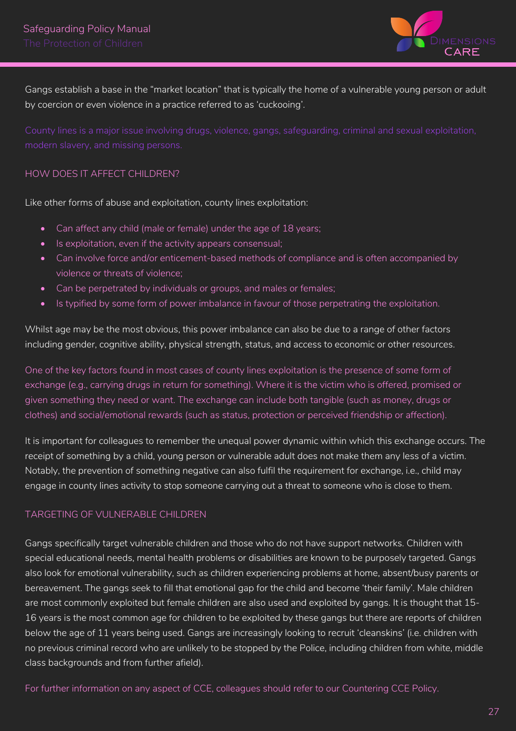

Gangs establish a base in the "market location" that is typically the home of a vulnerable young person or adult by coercion or even violence in a practice referred to as 'cuckooing'.

#### HOW DOES IT AFFECT CHILDREN?

Like other forms of abuse and exploitation, county lines exploitation:

- Can affect any child (male or female) under the age of 18 years;
- Is exploitation, even if the activity appears consensual;
- Can involve force and/or enticement-based methods of compliance and is often accompanied by violence or threats of violence;
- Can be perpetrated by individuals or groups, and males or females;
- Is typified by some form of power imbalance in favour of those perpetrating the exploitation.

Whilst age may be the most obvious, this power imbalance can also be due to a range of other factors including gender, cognitive ability, physical strength, status, and access to economic or other resources.

One of the key factors found in most cases of county lines exploitation is the presence of some form of exchange (e.g., carrying drugs in return for something). Where it is the victim who is offered, promised or given something they need or want. The exchange can include both tangible (such as money, drugs or clothes) and social/emotional rewards (such as status, protection or perceived friendship or affection).

It is important for colleagues to remember the unequal power dynamic within which this exchange occurs. The receipt of something by a child, young person or vulnerable adult does not make them any less of a victim. Notably, the prevention of something negative can also fulfil the requirement for exchange, i.e., child may engage in county lines activity to stop someone carrying out a threat to someone who is close to them.

#### TARGETING OF VULNERABLE CHILDREN

Gangs specifically target vulnerable children and those who do not have support networks. Children with special educational needs, mental health problems or disabilities are known to be purposely targeted. Gangs also look for emotional vulnerability, such as children experiencing problems at home, absent/busy parents or bereavement. The gangs seek to fill that emotional gap for the child and become 'their family'. Male children are most commonly exploited but female children are also used and exploited by gangs. It is thought that 15- 16 years is the most common age for children to be exploited by these gangs but there are reports of children below the age of 11 years being used. Gangs are increasingly looking to recruit 'cleanskins' (i.e. children with no previous criminal record who are unlikely to be stopped by the Police, including children from white, middle class backgrounds and from further afield).

For further information on any aspect of CCE, colleagues should refer to our Countering CCE Policy.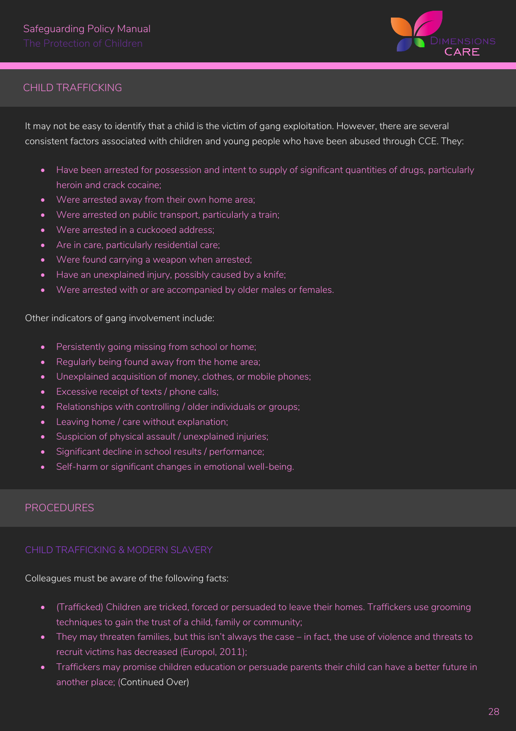

# CHILD TRAFFICKING

It may not be easy to identify that a child is the victim of gang exploitation. However, there are several consistent factors associated with children and young people who have been abused through CCE. They:

- Have been arrested for possession and intent to supply of significant quantities of drugs, particularly heroin and crack cocaine;
- Were arrested away from their own home area;
- Were arrested on public transport, particularly a train;
- Were arrested in a cuckooed address;
- Are in care, particularly residential care;
- Were found carrying a weapon when arrested;
- Have an unexplained injury, possibly caused by a knife;
- Were arrested with or are accompanied by older males or females.

Other indicators of gang involvement include:

- Persistently going missing from school or home;
- Regularly being found away from the home area;
- Unexplained acquisition of money, clothes, or mobile phones;
- Excessive receipt of texts / phone calls;
- Relationships with controlling / older individuals or groups;
- Leaving home / care without explanation;
- Suspicion of physical assault / unexplained injuries;
- Significant decline in school results / performance;
- Self-harm or significant changes in emotional well-being.

#### PROCEDURES

#### CHILD TRAFFICKING & MODERN SLAVERY

Colleagues must be aware of the following facts:

- (Trafficked) Children are tricked, forced or persuaded to leave their homes. Traffickers use grooming techniques to gain the trust of a child, family or community;
- They may threaten families, but this isn't always the case in fact, the use of violence and threats to recruit victims has decreased (Europol, 2011);
- Traffickers may promise children education or persuade parents their child can have a better future in another place; (Continued Over)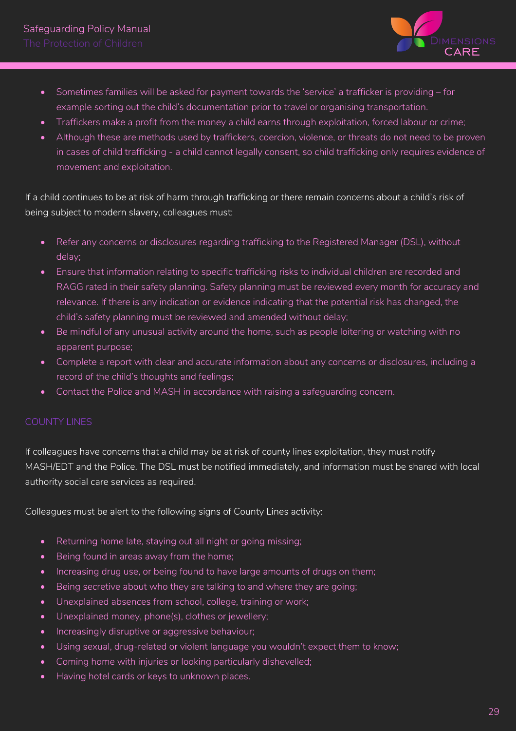

- Sometimes families will be asked for payment towards the 'service' a trafficker is providing for example sorting out the child's documentation prior to travel or organising transportation.
- Traffickers make a profit from the money a child earns through exploitation, forced labour or crime;
- Although these are methods used by traffickers, coercion, violence, or threats do not need to be proven in cases of child trafficking - a child cannot legally consent, so child trafficking only requires evidence of movement and exploitation.

If a child continues to be at risk of harm through trafficking or there remain concerns about a child's risk of being subject to modern slavery, colleagues must:

- Refer any concerns or disclosures regarding trafficking to the Registered Manager (DSL), without delay;
- Ensure that information relating to specific trafficking risks to individual children are recorded and RAGG rated in their safety planning. Safety planning must be reviewed every month for accuracy and relevance. If there is any indication or evidence indicating that the potential risk has changed, the child's safety planning must be reviewed and amended without delay;
- Be mindful of any unusual activity around the home, such as people loitering or watching with no apparent purpose;
- Complete a report with clear and accurate information about any concerns or disclosures, including a record of the child's thoughts and feelings;
- Contact the Police and MASH in accordance with raising a safeguarding concern.

# COUNTY LINES

If colleagues have concerns that a child may be at risk of county lines exploitation, they must notify MASH/EDT and the Police. The DSL must be notified immediately, and information must be shared with local authority social care services as required.

Colleagues must be alert to the following signs of County Lines activity:

- Returning home late, staying out all night or going missing;
- Being found in areas away from the home;
- Increasing drug use, or being found to have large amounts of drugs on them;
- Being secretive about who they are talking to and where they are going;
- Unexplained absences from school, college, training or work;
- Unexplained money, phone(s), clothes or jewellery;
- Increasingly disruptive or aggressive behaviour;
- Using sexual, drug-related or violent language you wouldn't expect them to know;
- Coming home with injuries or looking particularly dishevelled;
- Having hotel cards or keys to unknown places.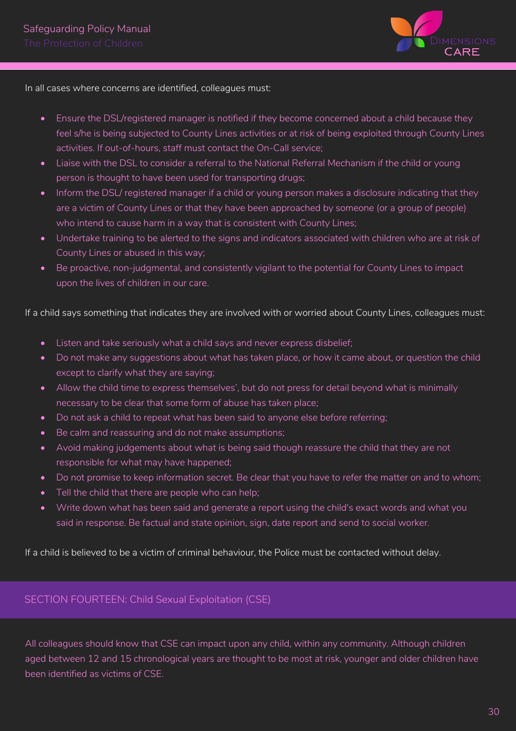

<span id="page-30-0"></span>In all cases where concerns are identified, colleagues must:

- Ensure the DSL/registered manager is notified if they become concerned about a child because they feel s/he is being subjected to County Lines activities or at risk of being exploited through County Lines activities. If out-of-hours, staff must contact the On-Call service;
- Liaise with the DSL to consider a referral to the National Referral Mechanism if the child or young person is thought to have been used for transporting drugs;
- Inform the DSL/ registered manager if a child or young person makes a disclosure indicating that they are a victim of County Lines or that they have been approached by someone (or a group of people) who intend to cause harm in a way that is consistent with County Lines;
- Undertake training to be alerted to the signs and indicators associated with children who are at risk of County Lines or abused in this way;
- Be proactive, non-judgmental, and consistently vigilant to the potential for County Lines to impact upon the lives of children in our care.

If a child says something that indicates they are involved with or worried about County Lines, colleagues must:

- Listen and take seriously what a child says and never express disbelief;
- Do not make any suggestions about what has taken place, or how it came about, or question the child except to clarify what they are saying;
- Allow the child time to express themselves', but do not press for detail beyond what is minimally necessary to be clear that some form of abuse has taken place;
- Do not ask a child to repeat what has been said to anyone else before referring;
- Be calm and reassuring and do not make assumptions;
- Avoid making judgements about what is being said though reassure the child that they are not responsible for what may have happened;
- Do not promise to keep information secret. Be clear that you have to refer the matter on and to whom;
- Tell the child that there are people who can help;
- Write down what has been said and generate a report using the child's exact words and what you said in response. Be factual and state opinion, sign, date report and send to social worker.

If a child is believed to be a victim of criminal behaviour, the Police must be contacted without delay.

# SECTION FOURTEEN: Child Sexual Exploitation (CSE)

All colleagues should know that CSE can impact upon any child, within any community. Although children aged between 12 and 15 chronological years are thought to be most at risk, younger and older children have been identified as victims of CSE.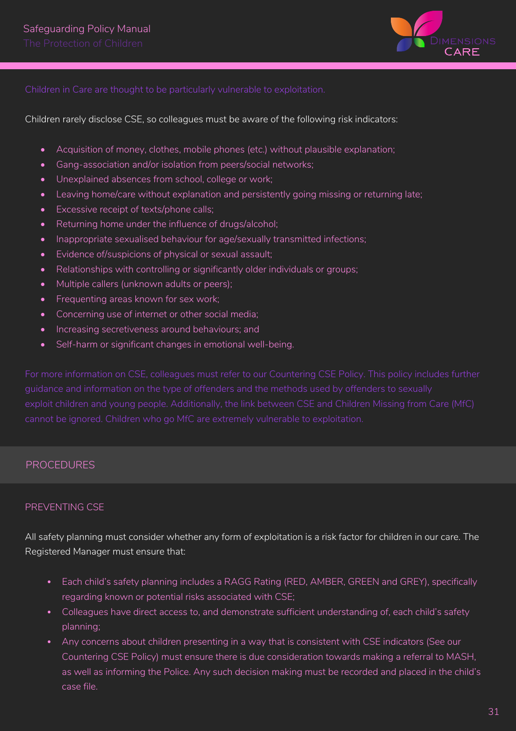

Children rarely disclose CSE, so colleagues must be aware of the following risk indicators:

- Acquisition of money, clothes, mobile phones (etc.) without plausible explanation;
- Gang-association and/or isolation from peers/social networks;
- Unexplained absences from school, college or work;
- Leaving home/care without explanation and persistently going missing or returning late;
- Excessive receipt of texts/phone calls;
- Returning home under the influence of drugs/alcohol;
- Inappropriate sexualised behaviour for age/sexually transmitted infections;
- Evidence of/suspicions of physical or sexual assault;
- Relationships with controlling or significantly older individuals or groups;
- Multiple callers (unknown adults or peers);
- Frequenting areas known for sex work;
- Concerning use of internet or other social media;
- Increasing secretiveness around behaviours; and
- Self-harm or significant changes in emotional well-being.

exploit children and young people. Additionally, the link between CSE and Children Missing from Care (MfC)

#### PROCEDURES

#### PREVENTING CSE

All safety planning must consider whether any form of exploitation is a risk factor for children in our care. The Registered Manager must ensure that:

- Each child's safety planning includes a RAGG Rating (RED, AMBER, GREEN and GREY), specifically regarding known or potential risks associated with CSE;
- Colleagues have direct access to, and demonstrate sufficient understanding of, each child's safety planning;
- Any concerns about children presenting in a way that is consistent with CSE indicators (See our Countering CSE Policy) must ensure there is due consideration towards making a referral to MASH, as well as informing the Police. Any such decision making must be recorded and placed in the child's case file.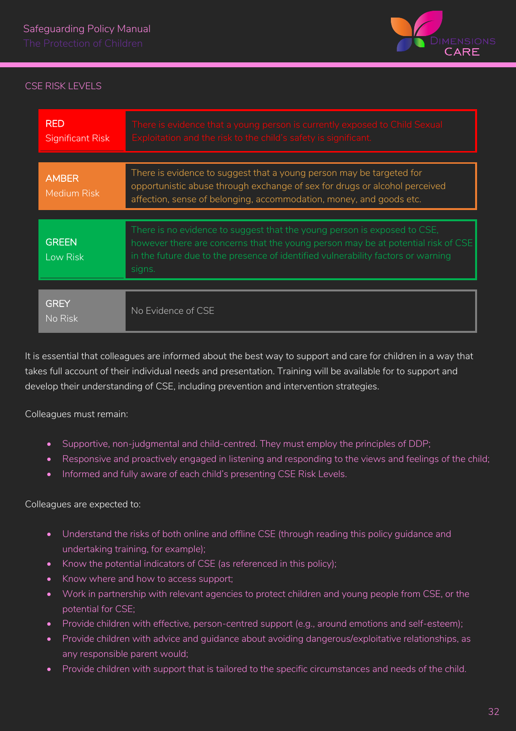

# CSE RISK LEVELS

| <b>RED</b><br><b>Significant Risk</b> | There is evidence that a young person is currently exposed to Child Sexual<br>Exploitation and the risk to the child's safety is significant.                                                                                                              |  |
|---------------------------------------|------------------------------------------------------------------------------------------------------------------------------------------------------------------------------------------------------------------------------------------------------------|--|
| <b>AMBER</b><br>Medium Risk           | There is evidence to suggest that a young person may be targeted for<br>opportunistic abuse through exchange of sex for drugs or alcohol perceived<br>affection, sense of belonging, accommodation, money, and goods etc.                                  |  |
|                                       |                                                                                                                                                                                                                                                            |  |
| <b>GREEN</b><br>Low Risk              | There is no evidence to suggest that the young person is exposed to CSE,<br>however there are concerns that the young person may be at potential risk of CSE<br>in the future due to the presence of identified vulnerability factors or warning<br>signs. |  |
|                                       |                                                                                                                                                                                                                                                            |  |
| <b>GREY</b><br>No Risk                | No Evidence of CSE                                                                                                                                                                                                                                         |  |

It is essential that colleagues are informed about the best way to support and care for children in a way that takes full account of their individual needs and presentation. Training will be available for to support and develop their understanding of CSE, including prevention and intervention strategies.

Colleagues must remain:

- Supportive, non-judgmental and child-centred. They must employ the principles of DDP;
- Responsive and proactively engaged in listening and responding to the views and feelings of the child;
- Informed and fully aware of each child's presenting CSE Risk Levels.

#### Colleagues are expected to:

- Understand the risks of both online and offline CSE (through reading this policy quidance and undertaking training, for example);
- Know the potential indicators of CSE (as referenced in this policy);
- Know where and how to access support;
- Work in partnership with relevant agencies to protect children and young people from CSE, or the potential for CSE;
- Provide children with effective, person-centred support (e.g., around emotions and self-esteem);
- Provide children with advice and guidance about avoiding dangerous/exploitative relationships, as any responsible parent would;
- Provide children with support that is tailored to the specific circumstances and needs of the child.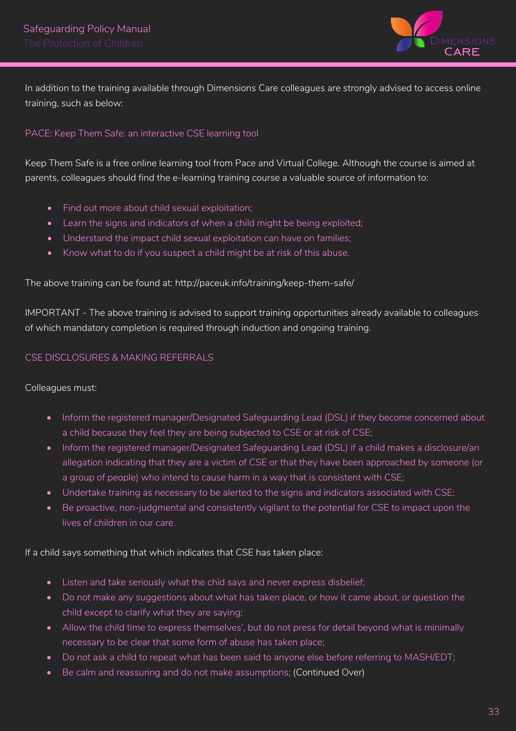

In addition to the training available through Dimensions Care colleagues are strongly advised to access online training, such as below:

#### PACE: Keep Them Safe: an interactive CSE learning tool

Keep Them Safe is a free online learning tool from Pace and Virtual College. Although the course is aimed at parents, colleagues should find the e-learning training course a valuable source of information to:

- Find out more about child sexual exploitation;
- Learn the signs and indicators of when a child might be being exploited;
- Understand the impact child sexual exploitation can have on families;
- Know what to do if you suspect a child might be at risk of this abuse.

The above training can be found at: http://paceuk.info/training/keep-them-safe/

IMPORTANT - The above training is advised to support training opportunities already available to colleagues of which mandatory completion is required through induction and ongoing training.

#### CSE DISCLOSURES & MAKING REFERRALS

Colleagues must:

- Inform the registered manager/Designated Safeguarding Lead (DSL) if they become concerned about a child because they feel they are being subjected to CSE or at risk of CSE;
- Inform the registered manager/Designated Safeguarding Lead (DSL) if a child makes a disclosure/an allegation indicating that they are a victim of CSE or that they have been approached by someone (or a group of people) who intend to cause harm in a way that is consistent with CSE;
- Undertake training as necessary to be alerted to the signs and indicators associated with CSE;
- Be proactive, non-judgmental and consistently vigilant to the potential for CSE to impact upon the lives of children in our care.

If a child says something that which indicates that CSE has taken place:

- Listen and take seriously what the chid says and never express disbelief;
- Do not make any suggestions about what has taken place, or how it came about, or question the child except to clarify what they are saying;
- Allow the child time to express themselves', but do not press for detail beyond what is minimally necessary to be clear that some form of abuse has taken place;
- Do not ask a child to repeat what has been said to anyone else before referring to MASH/EDT;
- Be calm and reassuring and do not make assumptions; (Continued Over)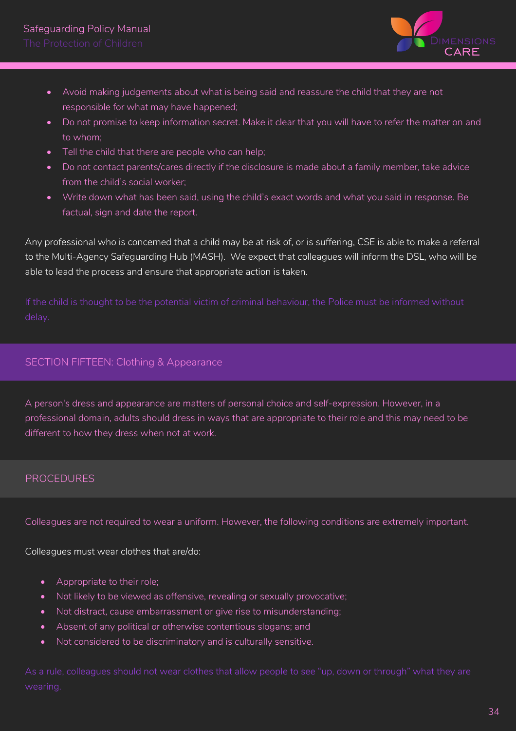

- <span id="page-34-0"></span>• Avoid making judgements about what is being said and reassure the child that they are not responsible for what may have happened;
- Do not promise to keep information secret. Make it clear that you will have to refer the matter on and to whom;
- Tell the child that there are people who can help;
- Do not contact parents/cares directly if the disclosure is made about a family member, take advice from the child's social worker;
- Write down what has been said, using the child's exact words and what you said in response. Be factual, sign and date the report.

Any professional who is concerned that a child may be at risk of, or is suffering, CSE is able to make a referral to the Multi-Agency Safeguarding Hub (MASH). We expect that colleagues will inform the DSL, who will be able to lead the process and ensure that appropriate action is taken.

# SECTION FIFTEEN: Clothing & Appearance

A person's dress and appearance are matters of personal choice and self-expression. However, in a professional domain, adults should dress in ways that are appropriate to their role and this may need to be different to how they dress when not at work.

# PROCEDURES

Colleagues are not required to wear a uniform. However, the following conditions are extremely important.

Colleagues must wear clothes that are/do:

- Appropriate to their role;
- Not likely to be viewed as offensive, revealing or sexually provocative;
- Not distract, cause embarrassment or give rise to misunderstanding;
- Absent of any political or otherwise contentious slogans; and
- Not considered to be discriminatory and is culturally sensitive.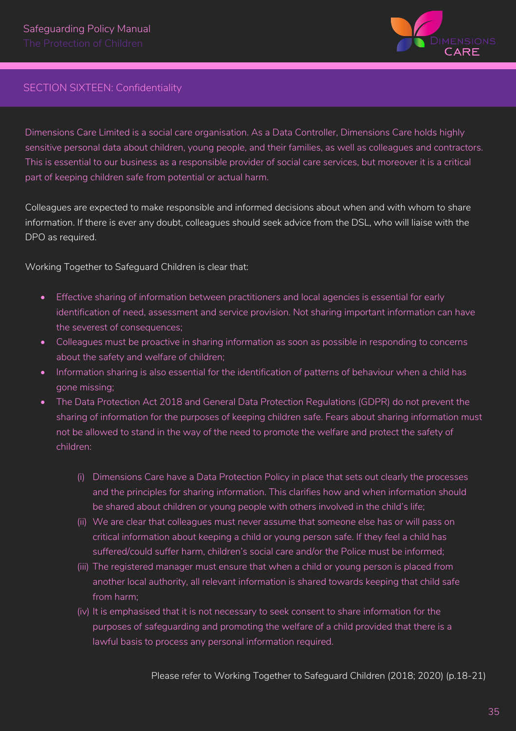

# <span id="page-35-0"></span>SECTION SIXTEEN: Confidentiality

Dimensions Care Limited is a social care organisation. As a Data Controller, Dimensions Care holds highly sensitive personal data about children, young people, and their families, as well as colleagues and contractors. This is essential to our business as a responsible provider of social care services, but moreover it is a critical part of keeping children safe from potential or actual harm.

Colleagues are expected to make responsible and informed decisions about when and with whom to share information. If there is ever any doubt, colleagues should seek advice from the DSL, who will liaise with the DPO as required.

Working Together to Safeguard Children is clear that:

- Effective sharing of information between practitioners and local agencies is essential for early identification of need, assessment and service provision. Not sharing important information can have the severest of consequences;
- Colleagues must be proactive in sharing information as soon as possible in responding to concerns about the safety and welfare of children;
- Information sharing is also essential for the identification of patterns of behaviour when a child has gone missing;
- The Data Protection Act 2018 and General Data Protection Regulations (GDPR) do not prevent the sharing of information for the purposes of keeping children safe. Fears about sharing information must not be allowed to stand in the way of the need to promote the welfare and protect the safety of children:
	- (i) Dimensions Care have a Data Protection Policy in place that sets out clearly the processes and the principles for sharing information. This clarifies how and when information should be shared about children or young people with others involved in the child's life;
	- (ii) We are clear that colleagues must never assume that someone else has or will pass on critical information about keeping a child or young person safe. If they feel a child has suffered/could suffer harm, children's social care and/or the Police must be informed;
	- (iii) The registered manager must ensure that when a child or young person is placed from another local authority, all relevant information is shared towards keeping that child safe from harm;
	- (iv) It is emphasised that it is not necessary to seek consent to share information for the purposes of safeguarding and promoting the welfare of a child provided that there is a lawful basis to process any personal information required.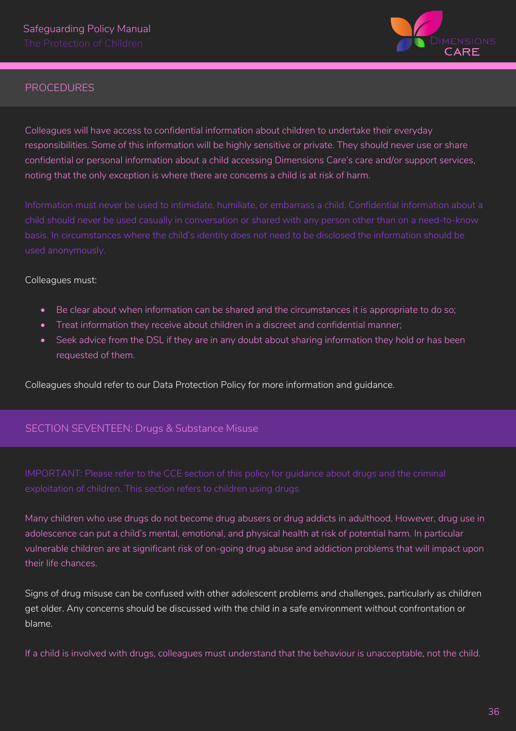

# PROCEDURES

Colleagues will have access to confidential information about children to undertake their everyday responsibilities. Some of this information will be highly sensitive or private. They should never use or share confidential or personal information about a child accessing Dimensions Care's care and/or support services, noting that the only exception is where there are concerns a child is at risk of harm.

Information must never be used to intimidate, humiliate, or embarrass a child. Confidential information about a basis. In circumstances where the child's identity does not need to be disclosed the information should be

#### Colleagues must:

- Be clear about when information can be shared and the circumstances it is appropriate to do so;
- Treat information they receive about children in a discreet and confidential manner;
- Seek advice from the DSL if they are in any doubt about sharing information they hold or has been requested of them.

Colleagues should refer to our Data Protection Policy for more information and guidance.

# SECTION SEVENTEEN: Drugs & Substance Misuse

IMPORTANT: Please refer to the CCE section of this policy for guidance about drugs and the criminal

Many children who use drugs do not become drug abusers or drug addicts in adulthood. However, drug use in adolescence can put a child's mental, emotional, and physical health at risk of potential harm. In particular vulnerable children are at significant risk of on-going drug abuse and addiction problems that will impact upon their life chances.

Signs of drug misuse can be confused with other adolescent problems and challenges, particularly as children get older. Any concerns should be discussed with the child in a safe environment without confrontation or blame.

If a child is involved with drugs, colleagues must understand that the behaviour is unacceptable, not the child.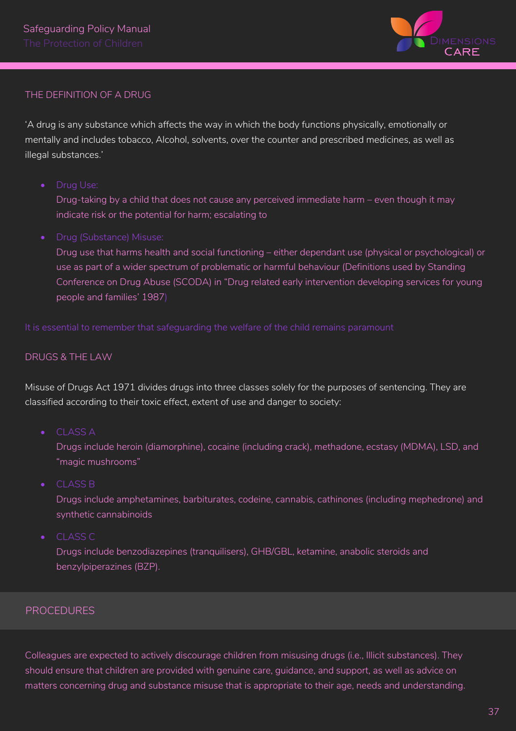

# THE DEFINITION OF A DRUG

'A drug is any substance which affects the way in which the body functions physically, emotionally or mentally and includes tobacco, Alcohol, solvents, over the counter and prescribed medicines, as well as illegal substances.'

Drug-taking by a child that does not cause any perceived immediate harm – even though it may indicate risk or the potential for harm; escalating to

• Drug (Substance) Misuse:

Drug use that harms health and social functioning – either dependant use (physical or psychological) or use as part of a wider spectrum of problematic or harmful behaviour (Definitions used by Standing Conference on Drug Abuse (SCODA) in "Drug related early intervention developing services for young people and families' 1987)

### DRUGS & THE LAW

Misuse of Drugs Act 1971 divides drugs into three classes solely for the purposes of sentencing. They are classified according to their toxic effect, extent of use and danger to society:

• CLASS A

Drugs include heroin (diamorphine), cocaine (including crack), methadone, ecstasy (MDMA), LSD, and "magic mushrooms"

• CLASS B

Drugs include amphetamines, barbiturates, codeine, cannabis, cathinones (including mephedrone) and synthetic cannabinoids

• CLASS C

Drugs include benzodiazepines (tranquilisers), GHB/GBL, ketamine, anabolic steroids and benzylpiperazines (BZP).

# PROCEDURES

Colleagues are expected to actively discourage children from misusing drugs (i.e., Illicit substances). They should ensure that children are provided with genuine care, guidance, and support, as well as advice on matters concerning drug and substance misuse that is appropriate to their age, needs and understanding.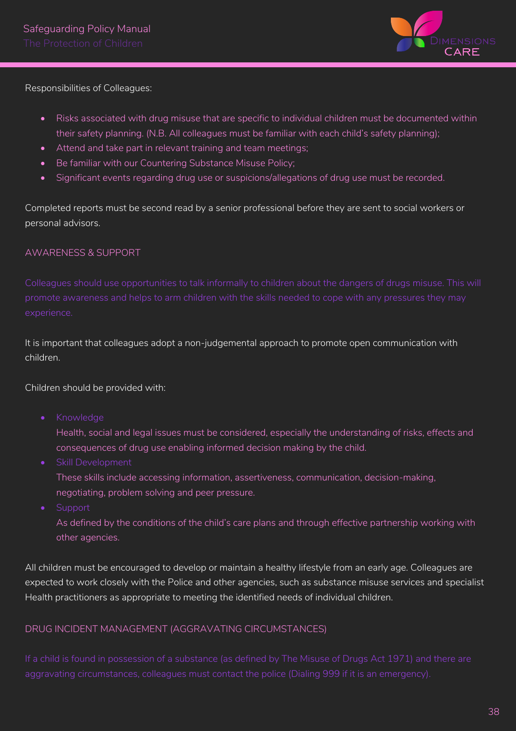

Responsibilities of Colleagues:

- Risks associated with drug misuse that are specific to individual children must be documented within their safety planning. (N.B. All colleagues must be familiar with each child's safety planning);
- Attend and take part in relevant training and team meetings:
- Be familiar with our Countering Substance Misuse Policy;
- Significant events regarding drug use or suspicions/allegations of drug use must be recorded.

Completed reports must be second read by a senior professional before they are sent to social workers or personal advisors.

# AWARENESS & SUPPORT

experience.

It is important that colleagues adopt a non-judgemental approach to promote open communication with children.

Children should be provided with:

• Knowledge

Health, social and legal issues must be considered, especially the understanding of risks, effects and consequences of drug use enabling informed decision making by the child.

• Skill Development

These skills include accessing information, assertiveness, communication, decision-making, negotiating, problem solving and peer pressure.

As defined by the conditions of the child's care plans and through effective partnership working with other agencies.

All children must be encouraged to develop or maintain a healthy lifestyle from an early age. Colleagues are expected to work closely with the Police and other agencies, such as substance misuse services and specialist Health practitioners as appropriate to meeting the identified needs of individual children.

# DRUG INCIDENT MANAGEMENT (AGGRAVATING CIRCUMSTANCES)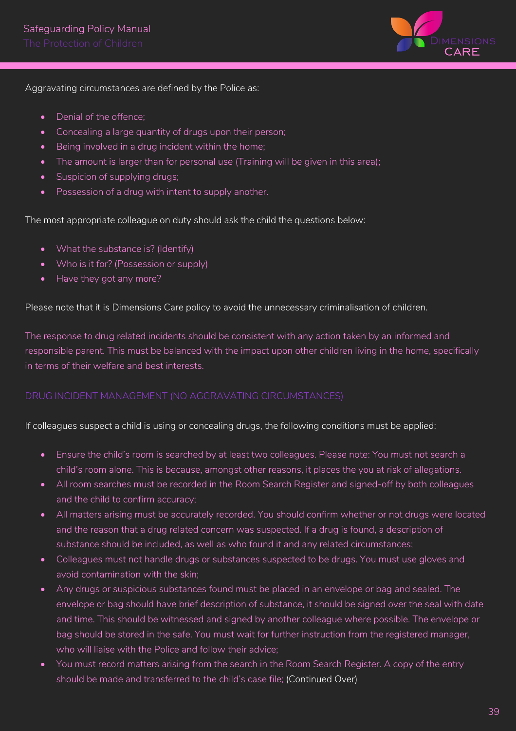

Aggravating circumstances are defined by the Police as:

- Denial of the offence:
- Concealing a large quantity of drugs upon their person;
- Being involved in a drug incident within the home;
- The amount is larger than for personal use (Training will be given in this area);
- Suspicion of supplying drugs;
- Possession of a drug with intent to supply another.

The most appropriate colleague on duty should ask the child the questions below:

- What the substance is? (Identify)
- Who is it for? (Possession or supply)
- Have they got any more?

Please note that it is Dimensions Care policy to avoid the unnecessary criminalisation of children.

The response to drug related incidents should be consistent with any action taken by an informed and responsible parent. This must be balanced with the impact upon other children living in the home, specifically in terms of their welfare and best interests.

# DRUG INCIDENT MANAGEMENT (NO AGGRAVATING CIRCUMSTANCES)

If colleagues suspect a child is using or concealing drugs, the following conditions must be applied:

- Ensure the child's room is searched by at least two colleagues. Please note: You must not search a child's room alone. This is because, amongst other reasons, it places the you at risk of allegations.
- All room searches must be recorded in the Room Search Register and signed-off by both colleagues and the child to confirm accuracy;
- All matters arising must be accurately recorded. You should confirm whether or not drugs were located and the reason that a drug related concern was suspected. If a drug is found, a description of substance should be included, as well as who found it and any related circumstances;
- Colleagues must not handle drugs or substances suspected to be drugs. You must use gloves and avoid contamination with the skin;
- Any drugs or suspicious substances found must be placed in an envelope or bag and sealed. The envelope or bag should have brief description of substance, it should be signed over the seal with date and time. This should be witnessed and signed by another colleague where possible. The envelope or bag should be stored in the safe. You must wait for further instruction from the registered manager, who will liaise with the Police and follow their advice;
- You must record matters arising from the search in the Room Search Register. A copy of the entry should be made and transferred to the child's case file; (Continued Over)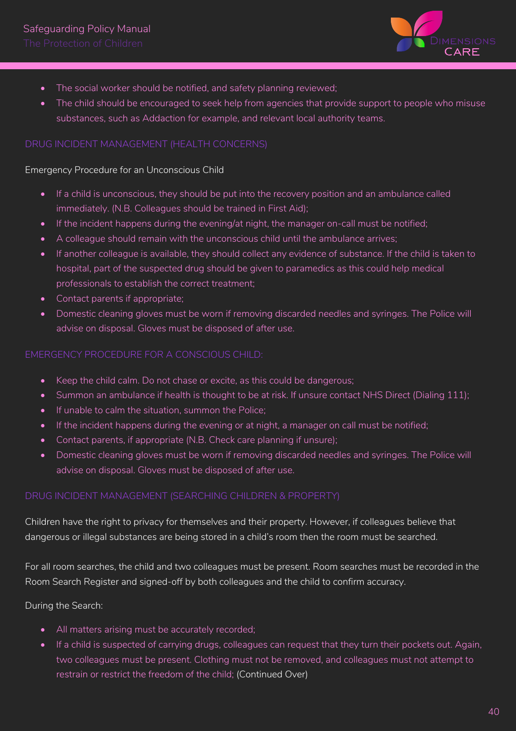

- The social worker should be notified, and safety planning reviewed;
- The child should be encouraged to seek help from agencies that provide support to people who misuse substances, such as Addaction for example, and relevant local authority teams.

### Emergency Procedure for an Unconscious Child

- If a child is unconscious, they should be put into the recovery position and an ambulance called immediately. (N.B. Colleagues should be trained in First Aid);
- If the incident happens during the evening/at night, the manager on-call must be notified;
- A colleague should remain with the unconscious child until the ambulance arrives;
- If another colleague is available, they should collect any evidence of substance. If the child is taken to hospital, part of the suspected drug should be given to paramedics as this could help medical professionals to establish the correct treatment;
- Contact parents if appropriate;
- Domestic cleaning gloves must be worn if removing discarded needles and syringes. The Police will advise on disposal. Gloves must be disposed of after use.

### EMERGENCY PROCEDURE FOR A CONSCIOUS CHILD:

- Keep the child calm. Do not chase or excite, as this could be dangerous;
- Summon an ambulance if health is thought to be at risk. If unsure contact NHS Direct (Dialing 111):
- If unable to calm the situation, summon the Police;
- If the incident happens during the evening or at night, a manager on call must be notified;
- Contact parents, if appropriate (N.B. Check care planning if unsure);
- Domestic cleaning gloves must be worn if removing discarded needles and syringes. The Police will advise on disposal. Gloves must be disposed of after use.

Children have the right to privacy for themselves and their property. However, if colleagues believe that dangerous or illegal substances are being stored in a child's room then the room must be searched.

For all room searches, the child and two colleagues must be present. Room searches must be recorded in the Room Search Register and signed-off by both colleagues and the child to confirm accuracy.

# During the Search:

- All matters arising must be accurately recorded;
- If a child is suspected of carrying drugs, colleagues can request that they turn their pockets out. Again, two colleagues must be present. Clothing must not be removed, and colleagues must not attempt to restrain or restrict the freedom of the child; (Continued Over)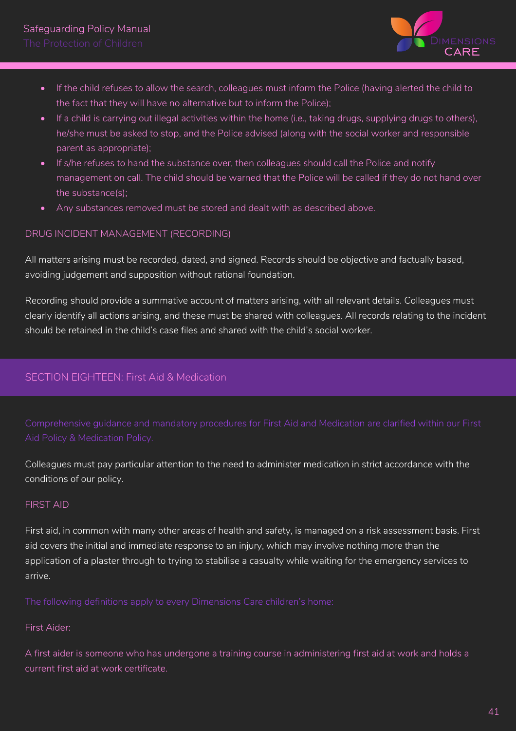

- If the child refuses to allow the search, colleagues must inform the Police (having alerted the child to the fact that they will have no alternative but to inform the Police);
- If a child is carrying out illegal activities within the home (i.e., taking drugs, supplying drugs to others), he/she must be asked to stop, and the Police advised (along with the social worker and responsible parent as appropriate);
- If s/he refuses to hand the substance over, then colleagues should call the Police and notify management on call. The child should be warned that the Police will be called if they do not hand over the substance(s);
- Any substances removed must be stored and dealt with as described above.

# DRUG INCIDENT MANAGEMENT (RECORDING)

All matters arising must be recorded, dated, and signed. Records should be objective and factually based, avoiding judgement and supposition without rational foundation.

Recording should provide a summative account of matters arising, with all relevant details. Colleagues must clearly identify all actions arising, and these must be shared with colleagues. All records relating to the incident should be retained in the child's case files and shared with the child's social worker.

# SECTION EIGHTEEN: First Aid & Medication

Colleagues must pay particular attention to the need to administer medication in strict accordance with the conditions of our policy.

#### FIRST AID

First aid, in common with many other areas of health and safety, is managed on a risk assessment basis. First aid covers the initial and immediate response to an injury, which may involve nothing more than the application of a plaster through to trying to stabilise a casualty while waiting for the emergency services to arrive.

#### First Aider:

A first aider is someone who has undergone a training course in administering first aid at work and holds a current first aid at work certificate.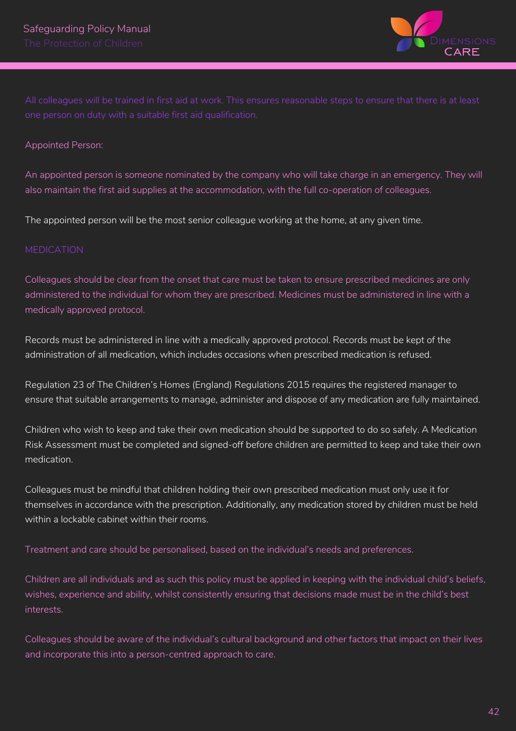

### Appointed Person:

An appointed person is someone nominated by the company who will take charge in an emergency. They will also maintain the first aid supplies at the accommodation, with the full co-operation of colleagues.

The appointed person will be the most senior colleague working at the home, at any given time.

#### MEDICATION

Colleagues should be clear from the onset that care must be taken to ensure prescribed medicines are only administered to the individual for whom they are prescribed. Medicines must be administered in line with a medically approved protocol.

Records must be administered in line with a medically approved protocol. Records must be kept of the administration of all medication, which includes occasions when prescribed medication is refused.

Regulation 23 of The Children's Homes (England) Regulations 2015 requires the registered manager to ensure that suitable arrangements to manage, administer and dispose of any medication are fully maintained.

Children who wish to keep and take their own medication should be supported to do so safely. A Medication Risk Assessment must be completed and signed-off before children are permitted to keep and take their own medication.

Colleagues must be mindful that children holding their own prescribed medication must only use it for themselves in accordance with the prescription. Additionally, any medication stored by children must be held within a lockable cabinet within their rooms

Treatment and care should be personalised, based on the individual's needs and preferences.

Children are all individuals and as such this policy must be applied in keeping with the individual child's beliefs, wishes, experience and ability, whilst consistently ensuring that decisions made must be in the child's best interests.

Colleagues should be aware of the individual's cultural background and other factors that impact on their lives and incorporate this into a person-centred approach to care.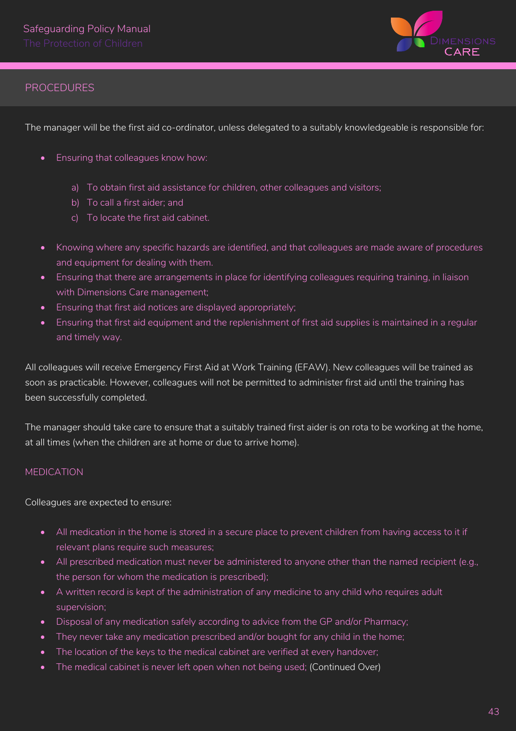

# PROCEDURES

The manager will be the first aid co-ordinator, unless delegated to a suitably knowledgeable is responsible for:

- Ensuring that colleagues know how:
	- a) To obtain first aid assistance for children, other colleagues and visitors;
	- b) To call a first aider; and
	- c) To locate the first aid cabinet.
- Knowing where any specific hazards are identified, and that colleagues are made aware of procedures and equipment for dealing with them.
- Ensuring that there are arrangements in place for identifying colleagues requiring training, in liaison with Dimensions Care management;
- Ensuring that first aid notices are displayed appropriately;
- Ensuring that first aid equipment and the replenishment of first aid supplies is maintained in a regular and timely way.

All colleagues will receive Emergency First Aid at Work Training (EFAW). New colleagues will be trained as soon as practicable. However, colleagues will not be permitted to administer first aid until the training has been successfully completed.

The manager should take care to ensure that a suitably trained first aider is on rota to be working at the home, at all times (when the children are at home or due to arrive home).

# **MEDICATION**

Colleagues are expected to ensure:

- All medication in the home is stored in a secure place to prevent children from having access to it if relevant plans require such measures;
- All prescribed medication must never be administered to anyone other than the named recipient (e.g., the person for whom the medication is prescribed);
- A written record is kept of the administration of any medicine to any child who requires adult supervision;
- Disposal of any medication safely according to advice from the GP and/or Pharmacy;
- They never take any medication prescribed and/or bought for any child in the home;
- The location of the keys to the medical cabinet are verified at every handover;
- The medical cabinet is never left open when not being used; (Continued Over)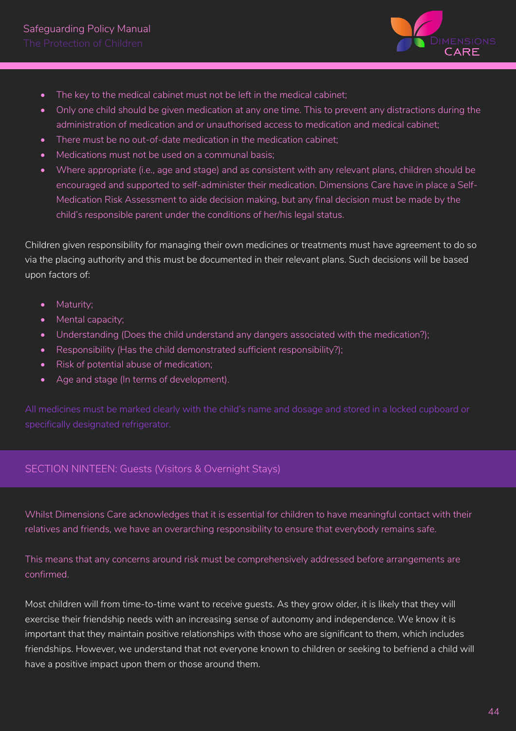

- The key to the medical cabinet must not be left in the medical cabinet;
- Only one child should be given medication at any one time. This to prevent any distractions during the administration of medication and or unauthorised access to medication and medical cabinet;
- There must be no out-of-date medication in the medication cabinet;
- Medications must not be used on a communal basis;
- Where appropriate (i.e., age and stage) and as consistent with any relevant plans, children should be encouraged and supported to self-administer their medication. Dimensions Care have in place a Self-Medication Risk Assessment to aide decision making, but any final decision must be made by the child's responsible parent under the conditions of her/his legal status.

Children given responsibility for managing their own medicines or treatments must have agreement to do so via the placing authority and this must be documented in their relevant plans. Such decisions will be based upon factors of:

- Maturity;
- Mental capacity;
- Understanding (Does the child understand any dangers associated with the medication?);
- Responsibility (Has the child demonstrated sufficient responsibility?);
- Risk of potential abuse of medication;
- Age and stage (In terms of development).

specifically designated refrigerator.

# SECTION NINTEEN: Guests (Visitors & Overnight Stays)

Whilst Dimensions Care acknowledges that it is essential for children to have meaningful contact with their relatives and friends, we have an overarching responsibility to ensure that everybody remains safe.

This means that any concerns around risk must be comprehensively addressed before arrangements are confirmed.

Most children will from time-to-time want to receive guests. As they grow older, it is likely that they will exercise their friendship needs with an increasing sense of autonomy and independence. We know it is important that they maintain positive relationships with those who are significant to them, which includes friendships. However, we understand that not everyone known to children or seeking to befriend a child will have a positive impact upon them or those around them.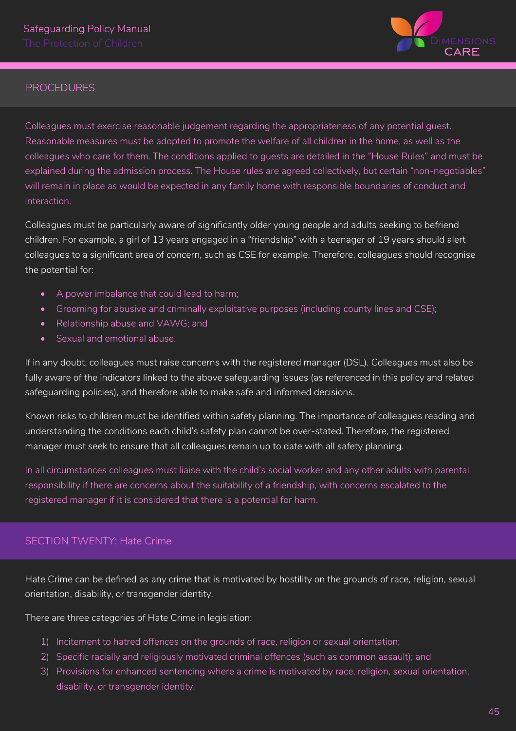

# PROCEDURES

Colleagues must exercise reasonable judgement regarding the appropriateness of any potential guest. Reasonable measures must be adopted to promote the welfare of all children in the home, as well as the colleagues who care for them. The conditions applied to guests are detailed in the "House Rules" and must be explained during the admission process. The House rules are agreed collectively, but certain "non-negotiables" will remain in place as would be expected in any family home with responsible boundaries of conduct and interaction.

Colleagues must be particularly aware of significantly older young people and adults seeking to befriend children. For example, a girl of 13 years engaged in a "friendship" with a teenager of 19 years should alert colleagues to a significant area of concern, such as CSE for example. Therefore, colleagues should recognise the potential for:

- A power imbalance that could lead to harm;
- Grooming for abusive and criminally exploitative purposes (including county lines and CSE);
- Relationship abuse and VAWG; and
- Sexual and emotional abuse.

If in any doubt, colleagues must raise concerns with the registered manager (DSL). Colleagues must also be fully aware of the indicators linked to the above safeguarding issues (as referenced in this policy and related safeguarding policies), and therefore able to make safe and informed decisions.

Known risks to children must be identified within safety planning. The importance of colleagues reading and understanding the conditions each child's safety plan cannot be over-stated. Therefore, the registered manager must seek to ensure that all colleagues remain up to date with all safety planning.

In all circumstances colleagues must liaise with the child's social worker and any other adults with parental responsibility if there are concerns about the suitability of a friendship, with concerns escalated to the registered manager if it is considered that there is a potential for harm.

# SECTION TWENTY: Hate Crime

Hate Crime can be defined as any crime that is motivated by hostility on the grounds of race, religion, sexual orientation, disability, or transgender identity.

There are three categories of Hate Crime in legislation:

- 1) Incitement to hatred offences on the grounds of race, religion or sexual orientation;
- 2) Specific racially and religiously motivated criminal offences (such as common assault); and
- 3) Provisions for enhanced sentencing where a crime is motivated by race, religion, sexual orientation, disability, or transgender identity.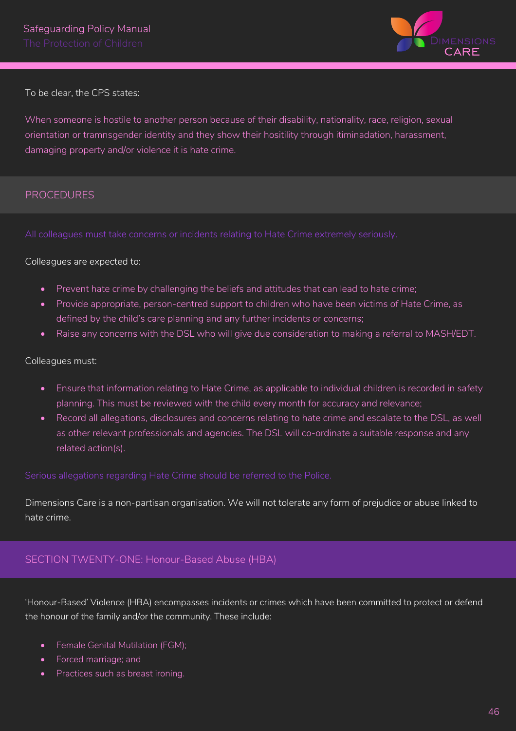

To be clear, the CPS states:

When someone is hostile to another person because of their disability, nationality, race, religion, sexual orientation or tramnsgender identity and they show their hositility through itiminadation, harassment, damaging property and/or violence it is hate crime.

### PROCEDURES

Colleagues are expected to:

- Prevent hate crime by challenging the beliefs and attitudes that can lead to hate crime;
- Provide appropriate, person-centred support to children who have been victims of Hate Crime, as defined by the child's care planning and any further incidents or concerns;
- Raise any concerns with the DSL who will give due consideration to making a referral to MASH/EDT.

#### Colleagues must:

- Ensure that information relating to Hate Crime, as applicable to individual children is recorded in safety planning. This must be reviewed with the child every month for accuracy and relevance;
- Record all allegations, disclosures and concerns relating to hate crime and escalate to the DSL, as well as other relevant professionals and agencies. The DSL will co-ordinate a suitable response and any related action(s).

Dimensions Care is a non-partisan organisation. We will not tolerate any form of prejudice or abuse linked to hate crime.

# SECTION TWENTY-ONE: Honour-Based Abuse (HBA)

'Honour-Based' Violence (HBA) encompasses incidents or crimes which have been committed to protect or defend the honour of the family and/or the community. These include:

- Female Genital Mutilation (FGM);
- Forced marriage; and
- Practices such as breast ironing.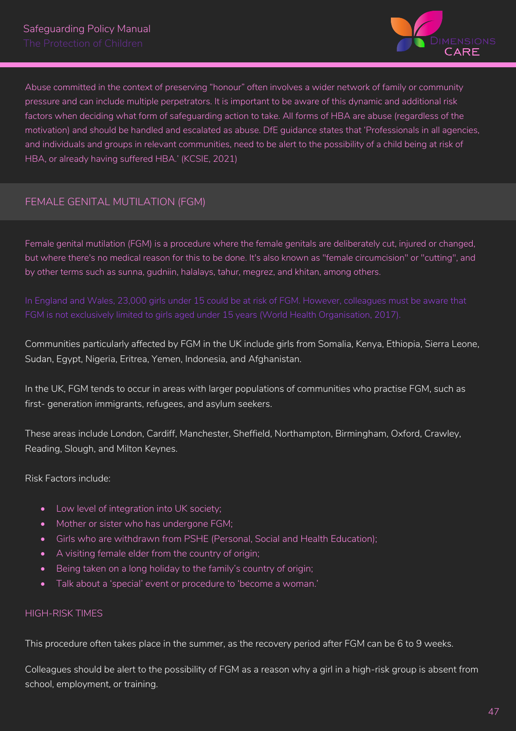

Abuse committed in the context of preserving "honour" often involves a wider network of family or community pressure and can include multiple perpetrators. It is important to be aware of this dynamic and additional risk factors when deciding what form of safeguarding action to take. All forms of HBA are abuse (regardless of the motivation) and should be handled and escalated as abuse. DfE guidance states that 'Professionals in all agencies, and individuals and groups in relevant communities, need to be alert to the possibility of a child being at risk of HBA, or already having suffered HBA.' (KCSIE, 2021)

# FEMALE GENITAL MUTILATION (FGM)

Female genital mutilation (FGM) is a procedure where the female genitals are deliberately cut, injured or changed, but where there's no medical reason for this to be done. It's also known as "female circumcision" or "cutting", and by other terms such as sunna, gudniin, halalays, tahur, megrez, and khitan, among others.

In England and Wales, 23,000 girls under 15 could be at risk of FGM. However, colleagues must be aware that

Communities particularly affected by FGM in the UK include girls from Somalia, Kenya, Ethiopia, Sierra Leone, Sudan, Egypt, Nigeria, Eritrea, Yemen, Indonesia, and Afghanistan.

In the UK, FGM tends to occur in areas with larger populations of communities who practise FGM, such as first- generation immigrants, refugees, and asylum seekers.

These areas include London, Cardiff, Manchester, Sheffield, Northampton, Birmingham, Oxford, Crawley, Reading, Slough, and Milton Keynes.

#### Risk Factors include:

- Low level of integration into UK society;
- Mother or sister who has undergone FGM;
- Girls who are withdrawn from PSHE (Personal, Social and Health Education);
- A visiting female elder from the country of origin;
- Being taken on a long holiday to the family's country of origin;
- Talk about a 'special' event or procedure to 'become a woman.'

#### HIGH-RISK TIMES

This procedure often takes place in the summer, as the recovery period after FGM can be 6 to 9 weeks.

Colleagues should be alert to the possibility of FGM as a reason why a girl in a high-risk group is absent from school, employment, or training.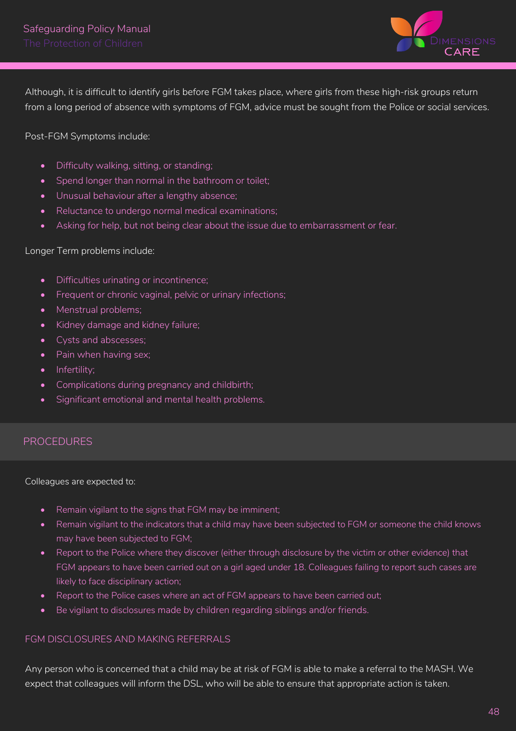

Although, it is difficult to identify girls before FGM takes place, where girls from these high-risk groups return from a long period of absence with symptoms of FGM, advice must be sought from the Police or social services.

Post-FGM Symptoms include:

- Difficulty walking, sitting, or standing;
- Spend longer than normal in the bathroom or toilet;
- Unusual behaviour after a lengthy absence;
- Reluctance to undergo normal medical examinations;
- Asking for help, but not being clear about the issue due to embarrassment or fear.

#### Longer Term problems include:

- Difficulties urinating or incontinence;
- Frequent or chronic vaginal, pelvic or urinary infections;
- Menstrual problems;
- Kidney damage and kidney failure;
- Cysts and abscesses;
- Pain when having sex;
- Infertility;
- Complications during pregnancy and childbirth;
- Significant emotional and mental health problems*.*

# PROCEDURES

#### Colleagues are expected to:

- Remain vigilant to the signs that FGM may be imminent;
- Remain vigilant to the indicators that a child may have been subjected to FGM or someone the child knows may have been subjected to FGM;
- Report to the Police where they discover (either through disclosure by the victim or other evidence) that FGM appears to have been carried out on a girl aged under 18. Colleagues failing to report such cases are likely to face disciplinary action;
- Report to the Police cases where an act of FGM appears to have been carried out;
- Be vigilant to disclosures made by children regarding siblings and/or friends.

#### FGM DISCLOSURES AND MAKING REFERRALS

Any person who is concerned that a child may be at risk of FGM is able to make a referral to the MASH. We expect that colleagues will inform the DSL, who will be able to ensure that appropriate action is taken.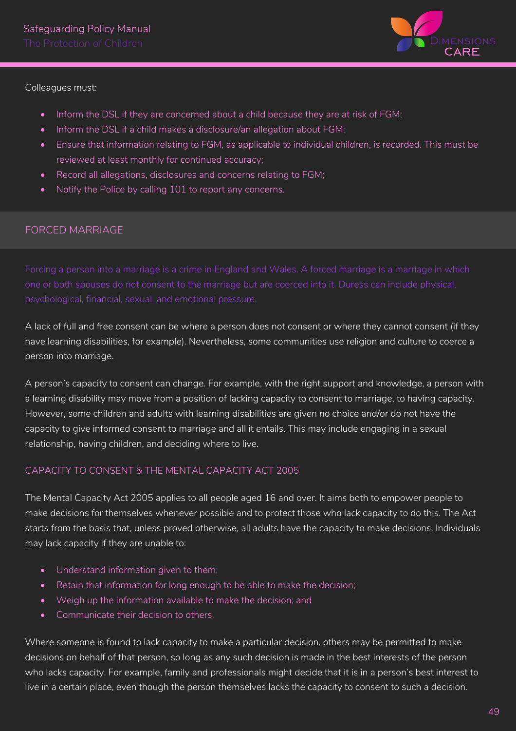

Colleagues must:

- Inform the DSL if they are concerned about a child because they are at risk of FGM;
- Inform the DSL if a child makes a disclosure/an allegation about FGM;
- Ensure that information relating to FGM, as applicable to individual children, is recorded. This must be reviewed at least monthly for continued accuracy;
- Record all allegations, disclosures and concerns relating to FGM;
- Notify the Police by calling 101 to report any concerns.

# FORCED MARRIAGE

psychological, financial, sexual, and emotional pressure.

A lack of full and free consent can be where a person does not consent or where they cannot consent (if they have learning disabilities, for example). Nevertheless, some communities use religion and culture to coerce a person into marriage.

A person's capacity to consent can change. For example, with the right support and knowledge, a person with a learning disability may move from a position of lacking capacity to consent to marriage, to having capacity. However, some children and adults with learning disabilities are given no choice and/or do not have the capacity to give informed consent to marriage and all it entails. This may include engaging in a sexual relationship, having children, and deciding where to live.

# CAPACITY TO CONSENT & THE MENTAL CAPACITY ACT 2005

The Mental Capacity Act 2005 applies to all people aged 16 and over. It aims both to empower people to make decisions for themselves whenever possible and to protect those who lack capacity to do this. The Act starts from the basis that, unless proved otherwise, all adults have the capacity to make decisions. Individuals may lack capacity if they are unable to:

- Understand information given to them;
- Retain that information for long enough to be able to make the decision;
- Weigh up the information available to make the decision; and
- Communicate their decision to others.

Where someone is found to lack capacity to make a particular decision, others may be permitted to make decisions on behalf of that person, so long as any such decision is made in the best interests of the person who lacks capacity. For example, family and professionals might decide that it is in a person's best interest to live in a certain place, even though the person themselves lacks the capacity to consent to such a decision.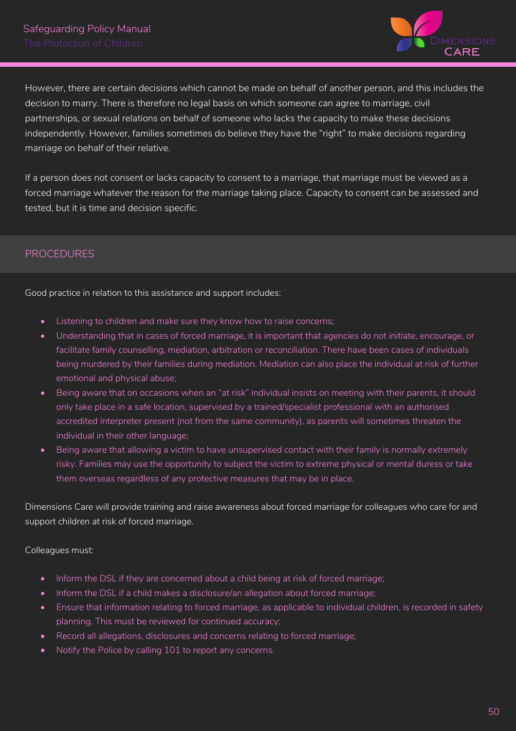

However, there are certain decisions which cannot be made on behalf of another person, and this includes the decision to marry. There is therefore no legal basis on which someone can agree to marriage, civil partnerships, or sexual relations on behalf of someone who lacks the capacity to make these decisions independently. However, families sometimes do believe they have the "right" to make decisions regarding marriage on behalf of their relative.

If a person does not consent or lacks capacity to consent to a marriage, that marriage must be viewed as a forced marriage whatever the reason for the marriage taking place. Capacity to consent can be assessed and tested, but it is time and decision specific.

# PROCEDURES

Good practice in relation to this assistance and support includes:

- Listening to children and make sure they know how to raise concerns;
- Understanding that in cases of forced marriage, it is important that agencies do not initiate, encourage, or facilitate family counselling, mediation, arbitration or reconciliation. There have been cases of individuals being murdered by their families during mediation. Mediation can also place the individual at risk of further emotional and physical abuse;
- Being aware that on occasions when an "at risk" individual insists on meeting with their parents, it should only take place in a safe location, supervised by a trained/specialist professional with an authorised accredited interpreter present (not from the same community), as parents will sometimes threaten the individual in their other language;
- Being aware that allowing a victim to have unsupervised contact with their family is normally extremely risky. Families may use the opportunity to subject the victim to extreme physical or mental duress or take them overseas regardless of any protective measures that may be in place.

Dimensions Care will provide training and raise awareness about forced marriage for colleagues who care for and support children at risk of forced marriage.

Colleagues must:

- Inform the DSL if they are concerned about a child being at risk of forced marriage;
- Inform the DSL if a child makes a disclosure/an allegation about forced marriage;
- Ensure that information relating to forced marriage, as applicable to individual children, is recorded in safety planning. This must be reviewed for continued accuracy;
- Record all allegations, disclosures and concerns relating to forced marriage;
- Notify the Police by calling 101 to report any concerns.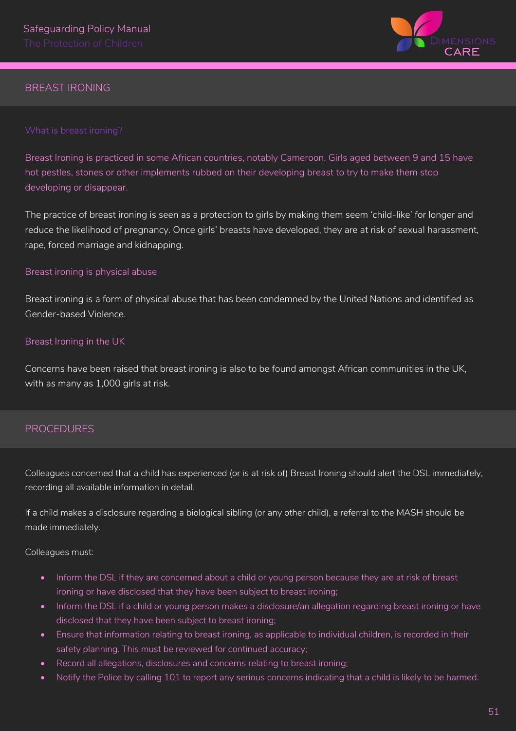

# BREAST IRONING

Breast Ironing is practiced in some African countries, notably Cameroon. Girls aged between 9 and 15 have hot pestles, stones or other implements rubbed on their developing breast to try to make them stop developing or disappear.

The practice of breast ironing is seen as a protection to girls by making them seem 'child-like' for longer and reduce the likelihood of pregnancy. Once girls' breasts have developed, they are at risk of sexual harassment, rape, forced marriage and kidnapping.

#### Breast ironing is physical abuse

Breast ironing is a form of physical abuse that has been condemned by the United Nations and identified as Gender-based Violence.

#### Breast Ironing in the UK

Concerns have been raised that breast ironing is also to be found amongst African communities in the UK, with as many as 1,000 girls at risk.

# PROCEDURES

Colleagues concerned that a child has experienced (or is at risk of) Breast Ironing should alert the DSL immediately, recording all available information in detail.

If a child makes a disclosure regarding a biological sibling (or any other child), a referral to the MASH should be made immediately.

Colleagues must:

- Inform the DSL if they are concerned about a child or young person because they are at risk of breast ironing or have disclosed that they have been subject to breast ironing;
- Inform the DSL if a child or young person makes a disclosure/an allegation regarding breast ironing or have disclosed that they have been subject to breast ironing;
- Ensure that information relating to breast ironing, as applicable to individual children, is recorded in their safety planning. This must be reviewed for continued accuracy;
- Record all allegations, disclosures and concerns relating to breast ironing;
- Notify the Police by calling 101 to report any serious concerns indicating that a child is likely to be harmed.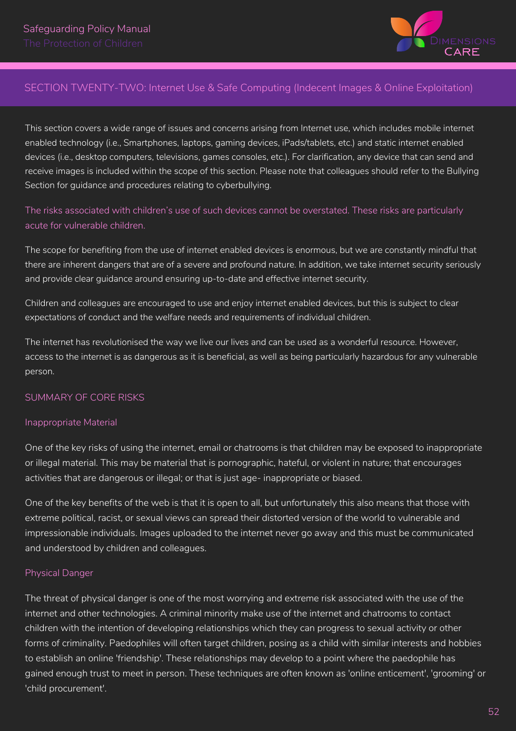

# SECTION TWENTY-TWO: Internet Use & Safe Computing (Indecent Images & Online Exploitation)

This section covers a wide range of issues and concerns arising from Internet use, which includes mobile internet enabled technology (i.e., Smartphones, laptops, gaming devices, iPads/tablets, etc.) and static internet enabled devices (i.e., desktop computers, televisions, games consoles, etc.). For clarification, any device that can send and receive images is included within the scope of this section. Please note that colleagues should refer to the Bullying Section for guidance and procedures relating to cyberbullying.

The risks associated with children's use of such devices cannot be overstated. These risks are particularly acute for vulnerable children.

The scope for benefiting from the use of internet enabled devices is enormous, but we are constantly mindful that there are inherent dangers that are of a severe and profound nature. In addition, we take internet security seriously and provide clear guidance around ensuring up-to-date and effective internet security.

Children and colleagues are encouraged to use and enjoy internet enabled devices, but this is subject to clear expectations of conduct and the welfare needs and requirements of individual children.

The internet has revolutionised the way we live our lives and can be used as a wonderful resource. However, access to the internet is as dangerous as it is beneficial, as well as being particularly hazardous for any vulnerable person.

#### SUMMARY OF CORE RISKS

#### Inappropriate Material

One of the key risks of using the internet, email or chatrooms is that children may be exposed to inappropriate or illegal material. This may be material that is pornographic, hateful, or violent in nature; that encourages activities that are dangerous or illegal; or that is just age- inappropriate or biased.

One of the key benefits of the web is that it is open to all, but unfortunately this also means that those with extreme political, racist, or sexual views can spread their distorted version of the world to vulnerable and impressionable individuals. Images uploaded to the internet never go away and this must be communicated and understood by children and colleagues.

#### Physical Danger

The threat of physical danger is one of the most worrying and extreme risk associated with the use of the internet and other technologies. A criminal minority make use of the internet and chatrooms to contact children with the intention of developing relationships which they can progress to sexual activity or other forms of criminality. Paedophiles will often target children, posing as a child with similar interests and hobbies to establish an online 'friendship'. These relationships may develop to a point where the paedophile has gained enough trust to meet in person. These techniques are often known as 'online enticement', 'grooming' or 'child procurement'.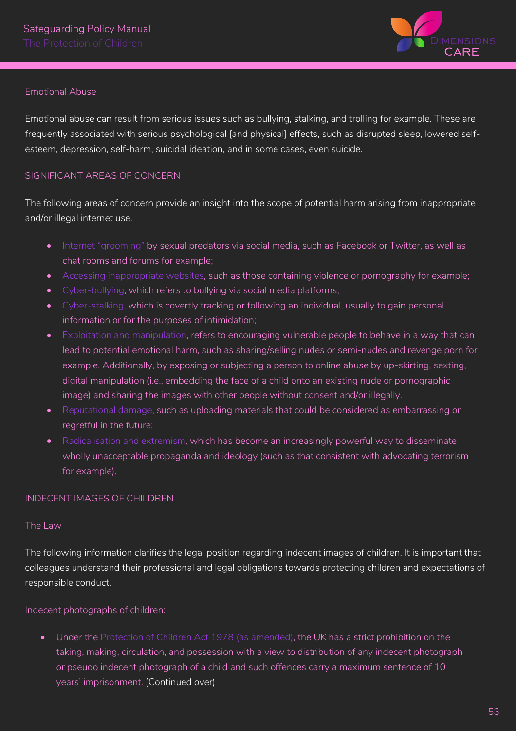

### Emotional Abuse

Emotional abuse can result from serious issues such as bullying, stalking, and trolling for example. These are frequently associated with serious psychological [and physical] effects, such as disrupted sleep, lowered selfesteem, depression, self-harm, suicidal ideation, and in some cases, even suicide.

### SIGNIFICANT AREAS OF CONCERN

The following areas of concern provide an insight into the scope of potential harm arising from inappropriate and/or illegal internet use.

- Internet "grooming" by sexual predators via social media, such as Facebook or Twitter, as well as chat rooms and forums for example;
- Accessing inappropriate websites, such as those containing violence or pornography for example;
- Cyber-bullying, which refers to bullying via social media platforms;
- Cyber-stalking, which is covertly tracking or following an individual, usually to gain personal information or for the purposes of intimidation;
- Exploitation and manipulation, refers to encouraging vulnerable people to behave in a way that can lead to potential emotional harm, such as sharing/selling nudes or semi-nudes and revenge porn for example. Additionally, by exposing or subjecting a person to online abuse by up-skirting, sexting, digital manipulation (i.e., embedding the face of a child onto an existing nude or pornographic image) and sharing the images with other people without consent and/or illegally.
- Reputational damage, such as uploading materials that could be considered as embarrassing or regretful in the future;
- Radicalisation and extremism, which has become an increasingly powerful way to disseminate wholly unacceptable propaganda and ideology (such as that consistent with advocating terrorism for example).

# INDECENT IMAGES OF CHILDREN

#### The Law

The following information clarifies the legal position regarding indecent images of children. It is important that colleagues understand their professional and legal obligations towards protecting children and expectations of responsible conduct.

#### Indecent photographs of children:

• Under the Protection of Children Act 1978 (as amended), the UK has a strict prohibition on the taking, making, circulation, and possession with a view to distribution of any indecent photograph or pseudo indecent photograph of a child and such offences carry a maximum sentence of 10 years' imprisonment. (Continued over)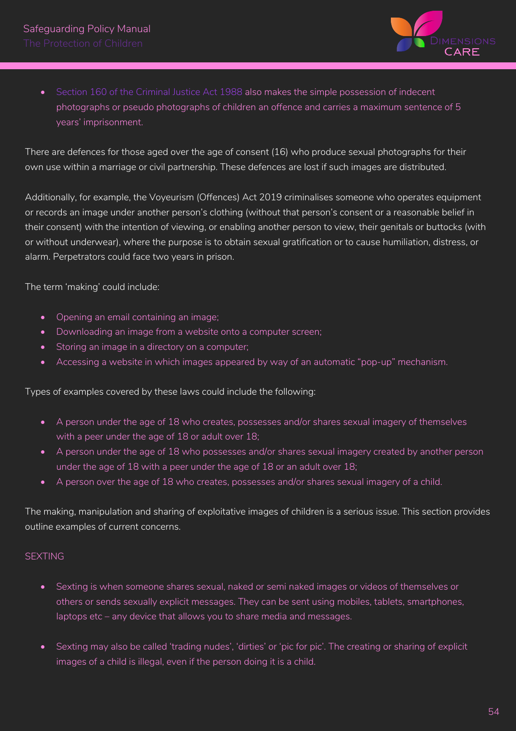

• Section 160 of the Criminal Justice Act 1988 also makes the simple possession of indecent photographs or pseudo photographs of children an offence and carries a maximum sentence of 5 years' imprisonment.

There are defences for those aged over the age of consent (16) who produce sexual photographs for their own use within a marriage or civil partnership. These defences are lost if such images are distributed.

Additionally, for example, the Voyeurism (Offences) Act 2019 criminalises someone who operates equipment or records an image under another person's clothing (without that person's consent or a reasonable belief in their consent) with the intention of viewing, or enabling another person to view, their genitals or buttocks (with or without underwear), where the purpose is to obtain sexual gratification or to cause humiliation, distress, or alarm. Perpetrators could face two years in prison.

The term 'making' could include:

- Opening an email containing an image;
- Downloading an image from a website onto a computer screen;
- Storing an image in a directory on a computer;
- Accessing a website in which images appeared by way of an automatic "pop-up" mechanism.

Types of examples covered by these laws could include the following:

- A person under the age of 18 who creates, possesses and/or shares sexual imagery of themselves with a peer under the age of 18 or adult over 18;
- A person under the age of 18 who possesses and/or shares sexual imagery created by another person under the age of 18 with a peer under the age of 18 or an adult over 18;
- A person over the age of 18 who creates, possesses and/or shares sexual imagery of a child.

The making, manipulation and sharing of exploitative images of children is a serious issue. This section provides outline examples of current concerns.

#### **SEXTING**

- Sexting is when someone shares sexual, naked or semi naked images or videos of themselves or others or sends sexually explicit messages. They can be sent using mobiles, tablets, smartphones, laptops etc – any device that allows you to share media and messages.
- Sexting may also be called 'trading nudes', 'dirties' or 'pic for pic'. The creating or sharing of explicit images of a child is illegal, even if the person doing it is a child.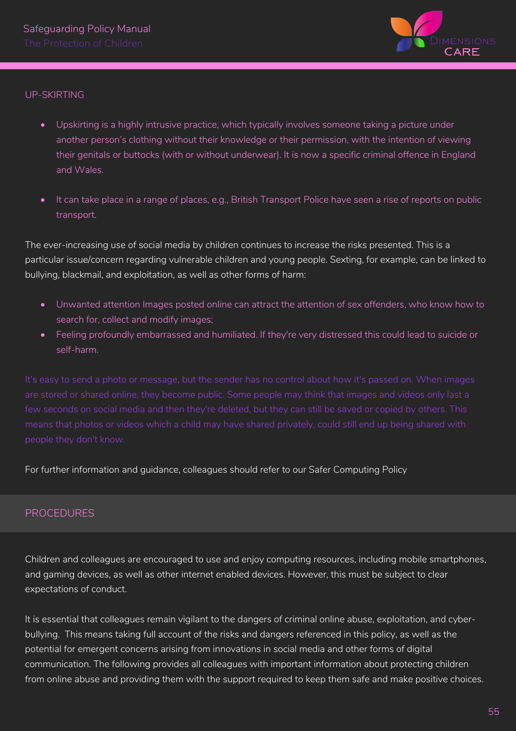

UP-SKIRTING

- Upskirting is a highly intrusive practice, which typically involves someone taking a picture under another person's clothing without their knowledge or their permission, with the intention of viewing their genitals or buttocks (with or without underwear). It is now a specific criminal offence in England and Wales.
- It can take place in a range of places, e.g., British Transport Police have seen a rise of reports on public transport.

The ever-increasing use of social media by children continues to increase the risks presented. This is a particular issue/concern regarding vulnerable children and young people. Sexting, for example, can be linked to bullying, blackmail, and exploitation, as well as other forms of harm:

- Unwanted attention Images posted online can attract the attention of sex offenders, who know how to search for, collect and modify images;
- Feeling profoundly embarrassed and humiliated. If they're very distressed this could lead to suicide or self-harm.

are stored or shared online, they become public. Some people may think that images and videos only last a

For further information and guidance, colleagues should refer to our Safer Computing Policy

# PROCEDURES

Children and colleagues are encouraged to use and enjoy computing resources, including mobile smartphones, and gaming devices, as well as other internet enabled devices. However, this must be subject to clear expectations of conduct.

It is essential that colleagues remain vigilant to the dangers of criminal online abuse, exploitation, and cyberbullying. This means taking full account of the risks and dangers referenced in this policy, as well as the potential for emergent concerns arising from innovations in social media and other forms of digital communication. The following provides all colleagues with important information about protecting children from online abuse and providing them with the support required to keep them safe and make positive choices.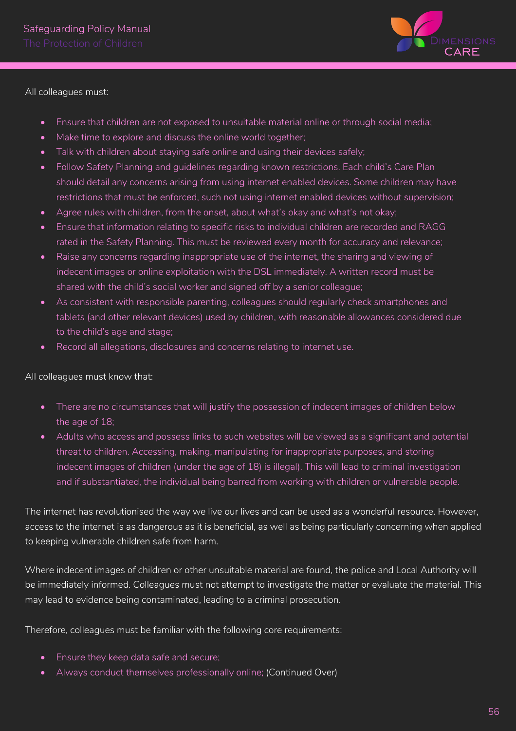

All colleagues must:

- Ensure that children are not exposed to unsuitable material online or through social media;
- Make time to explore and discuss the online world together;
- Talk with children about staying safe online and using their devices safely;
- Follow Safety Planning and guidelines regarding known restrictions. Each child's Care Plan should detail any concerns arising from using internet enabled devices. Some children may have restrictions that must be enforced, such not using internet enabled devices without supervision;
- Agree rules with children, from the onset, about what's okay and what's not okay;
- Ensure that information relating to specific risks to individual children are recorded and RAGG rated in the Safety Planning. This must be reviewed every month for accuracy and relevance;
- Raise any concerns regarding inappropriate use of the internet, the sharing and viewing of indecent images or online exploitation with the DSL immediately. A written record must be shared with the child's social worker and signed off by a senior colleague;
- As consistent with responsible parenting, colleagues should regularly check smartphones and tablets (and other relevant devices) used by children, with reasonable allowances considered due to the child's age and stage;
- Record all allegations, disclosures and concerns relating to internet use.

All colleagues must know that:

- There are no circumstances that will justify the possession of indecent images of children below the age of 18;
- Adults who access and possess links to such websites will be viewed as a significant and potential threat to children. Accessing, making, manipulating for inappropriate purposes, and storing indecent images of children (under the age of 18) is illegal). This will lead to criminal investigation and if substantiated, the individual being barred from working with children or vulnerable people.

The internet has revolutionised the way we live our lives and can be used as a wonderful resource. However, access to the internet is as dangerous as it is beneficial, as well as being particularly concerning when applied to keeping vulnerable children safe from harm.

Where indecent images of children or other unsuitable material are found, the police and Local Authority will be immediately informed. Colleagues must not attempt to investigate the matter or evaluate the material. This may lead to evidence being contaminated, leading to a criminal prosecution.

Therefore, colleagues must be familiar with the following core requirements:

- Ensure they keep data safe and secure;
- Always conduct themselves professionally online; (Continued Over)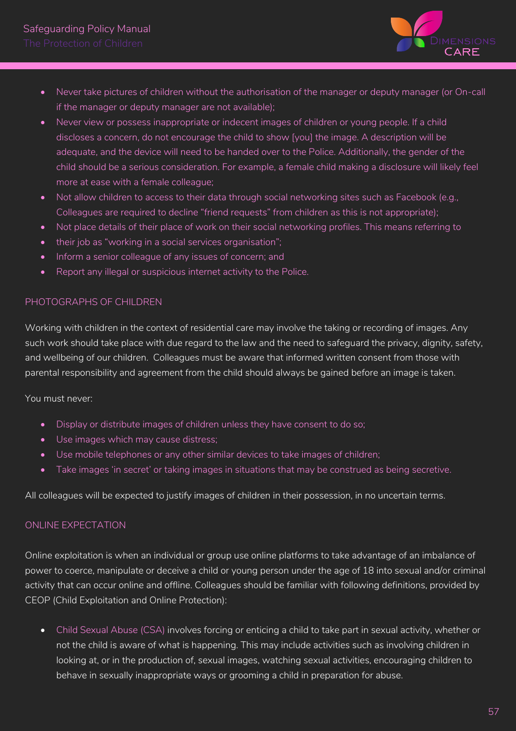

- Never take pictures of children without the authorisation of the manager or deputy manager (or On-call if the manager or deputy manager are not available);
- Never view or possess inappropriate or indecent images of children or young people. If a child discloses a concern, do not encourage the child to show [you] the image. A description will be adequate, and the device will need to be handed over to the Police. Additionally, the gender of the child should be a serious consideration. For example, a female child making a disclosure will likely feel more at ease with a female colleague;
- Not allow children to access to their data through social networking sites such as Facebook (e.g., Colleagues are required to decline "friend requests" from children as this is not appropriate);
- Not place details of their place of work on their social networking profiles. This means referring to
- their job as "working in a social services organisation";
- Inform a senior colleague of any issues of concern; and
- Report any illegal or suspicious internet activity to the Police.

#### PHOTOGRAPHS OF CHILDREN

Working with children in the context of residential care may involve the taking or recording of images. Any such work should take place with due regard to the law and the need to safeguard the privacy, dignity, safety, and wellbeing of our children. Colleagues must be aware that informed written consent from those with parental responsibility and agreement from the child should always be gained before an image is taken.

You must never:

- Display or distribute images of children unless they have consent to do so;
- Use images which may cause distress;
- Use mobile telephones or any other similar devices to take images of children;
- Take images 'in secret' or taking images in situations that may be construed as being secretive.

All colleagues will be expected to justify images of children in their possession, in no uncertain terms.

#### ONLINE EXPECTATION

Online exploitation is when an individual or group use online platforms to take advantage of an imbalance of power to coerce, manipulate or deceive a child or young person under the age of 18 into sexual and/or criminal activity that can occur online and offline. Colleagues should be familiar with following definitions, provided by CEOP (Child Exploitation and Online Protection):

• Child Sexual Abuse (CSA) involves forcing or enticing a child to take part in sexual activity, whether or not the child is aware of what is happening. This may include activities such as involving children in looking at, or in the production of, sexual images, watching sexual activities, encouraging children to behave in sexually inappropriate ways or grooming a child in preparation for abuse.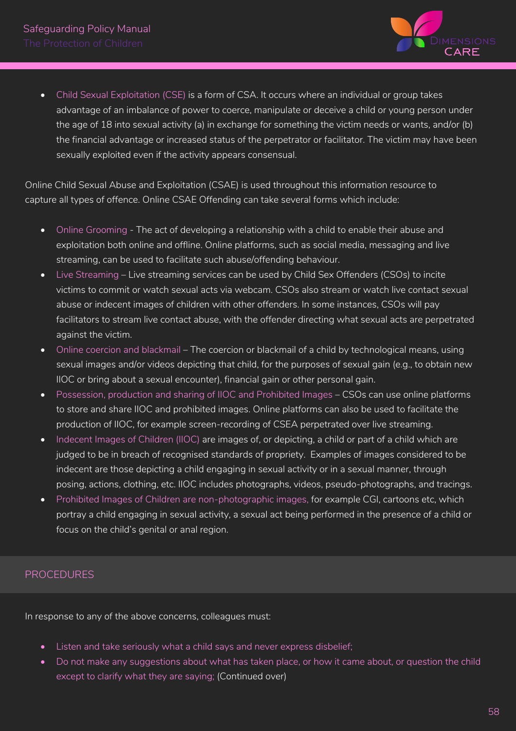

• Child Sexual Exploitation (CSE) is a form of CSA. It occurs where an individual or group takes advantage of an imbalance of power to coerce, manipulate or deceive a child or young person under the age of 18 into sexual activity (a) in exchange for something the victim needs or wants, and/or (b) the financial advantage or increased status of the perpetrator or facilitator. The victim may have been sexually exploited even if the activity appears consensual.

Online Child Sexual Abuse and Exploitation (CSAE) is used throughout this information resource to capture all types of offence. Online CSAE Offending can take several forms which include:

- Online Grooming The act of developing a relationship with a child to enable their abuse and exploitation both online and offline. Online platforms, such as social media, messaging and live streaming, can be used to facilitate such abuse/offending behaviour.
- Live Streaming Live streaming services can be used by Child Sex Offenders (CSOs) to incite victims to commit or watch sexual acts via webcam. CSOs also stream or watch live contact sexual abuse or indecent images of children with other offenders. In some instances, CSOs will pay facilitators to stream live contact abuse, with the offender directing what sexual acts are perpetrated against the victim.
- Online coercion and blackmail The coercion or blackmail of a child by technological means, using sexual images and/or videos depicting that child, for the purposes of sexual gain (e.g., to obtain new IIOC or bring about a sexual encounter), financial gain or other personal gain.
- Possession, production and sharing of IIOC and Prohibited Images CSOs can use online platforms to store and share IIOC and prohibited images. Online platforms can also be used to facilitate the production of IIOC, for example screen-recording of CSEA perpetrated over live streaming.
- Indecent Images of Children (IIOC) are images of, or depicting, a child or part of a child which are judged to be in breach of recognised standards of propriety. Examples of images considered to be indecent are those depicting a child engaging in sexual activity or in a sexual manner, through posing, actions, clothing, etc. IIOC includes photographs, videos, pseudo-photographs, and tracings.
- Prohibited Images of Children are non-photographic images, for example CGI, cartoons etc, which portray a child engaging in sexual activity, a sexual act being performed in the presence of a child or focus on the child's genital or anal region.

# PROCEDURES

In response to any of the above concerns, colleagues must:

- Listen and take seriously what a child says and never express disbelief;
- Do not make any suggestions about what has taken place, or how it came about, or question the child except to clarify what they are saying; (Continued over)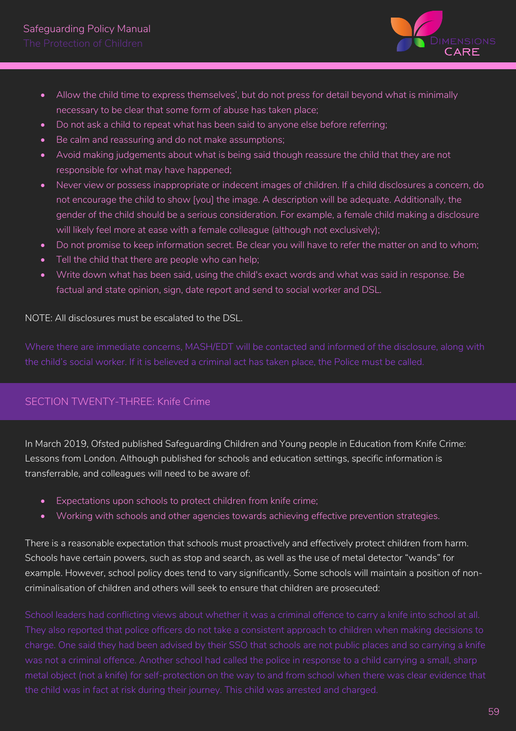

- Allow the child time to express themselves', but do not press for detail beyond what is minimally necessary to be clear that some form of abuse has taken place;
- Do not ask a child to repeat what has been said to anyone else before referring;
- Be calm and reassuring and do not make assumptions;
- Avoid making judgements about what is being said though reassure the child that they are not responsible for what may have happened;
- Never view or possess inappropriate or indecent images of children. If a child disclosures a concern, do not encourage the child to show [you] the image. A description will be adequate. Additionally, the gender of the child should be a serious consideration. For example, a female child making a disclosure will likely feel more at ease with a female colleague (although not exclusively);
- Do not promise to keep information secret. Be clear you will have to refer the matter on and to whom;
- Tell the child that there are people who can help;
- Write down what has been said, using the child's exact words and what was said in response. Be factual and state opinion, sign, date report and send to social worker and DSL.

#### NOTE: All disclosures must be escalated to the DSL.

Where there are immediate concerns, MASH/EDT will be contacted and informed of the disclosure, along with

# SECTION TWENTY-THREE: Knife Crime

In March 2019, Ofsted published Safeguarding Children and Young people in Education from Knife Crime: Lessons from London. Although published for schools and education settings, specific information is transferrable, and colleagues will need to be aware of:

- Expectations upon schools to protect children from knife crime;
- Working with schools and other agencies towards achieving effective prevention strategies.

There is a reasonable expectation that schools must proactively and effectively protect children from harm. Schools have certain powers, such as stop and search, as well as the use of metal detector "wands" for example. However, school policy does tend to vary significantly. Some schools will maintain a position of noncriminalisation of children and others will seek to ensure that children are prosecuted:

was not a criminal offence. Another school had called the police in response to a child carrying a small, sharp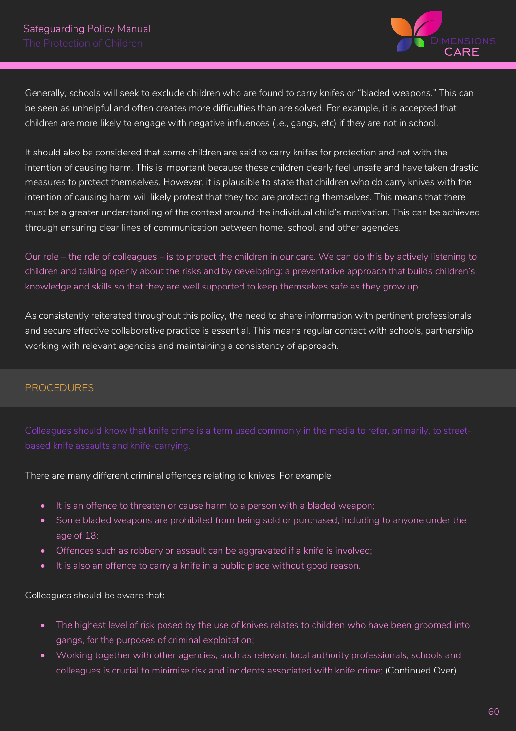

Generally, schools will seek to exclude children who are found to carry knifes or "bladed weapons." This can be seen as unhelpful and often creates more difficulties than are solved. For example, it is accepted that children are more likely to engage with negative influences (i.e., gangs, etc) if they are not in school.

It should also be considered that some children are said to carry knifes for protection and not with the intention of causing harm. This is important because these children clearly feel unsafe and have taken drastic measures to protect themselves. However, it is plausible to state that children who do carry knives with the intention of causing harm will likely protest that they too are protecting themselves. This means that there must be a greater understanding of the context around the individual child's motivation. This can be achieved through ensuring clear lines of communication between home, school, and other agencies.

Our role – the role of colleagues – is to protect the children in our care. We can do this by actively listening to children and talking openly about the risks and by developing: a preventative approach that builds children's knowledge and skills so that they are well supported to keep themselves safe as they grow up.

As consistently reiterated throughout this policy, the need to share information with pertinent professionals and secure effective collaborative practice is essential. This means regular contact with schools, partnership working with relevant agencies and maintaining a consistency of approach.

# PROCEDURES

There are many different criminal offences relating to knives. For example:

- It is an offence to threaten or cause harm to a person with a bladed weapon;
- Some bladed weapons are prohibited from being sold or purchased, including to anyone under the age of 18;
- Offences such as robbery or assault can be aggravated if a knife is involved;
- It is also an offence to carry a knife in a public place without good reason.

Colleagues should be aware that:

- The highest level of risk posed by the use of knives relates to children who have been groomed into gangs, for the purposes of criminal exploitation;
- Working together with other agencies, such as relevant local authority professionals, schools and colleagues is crucial to minimise risk and incidents associated with knife crime; (Continued Over)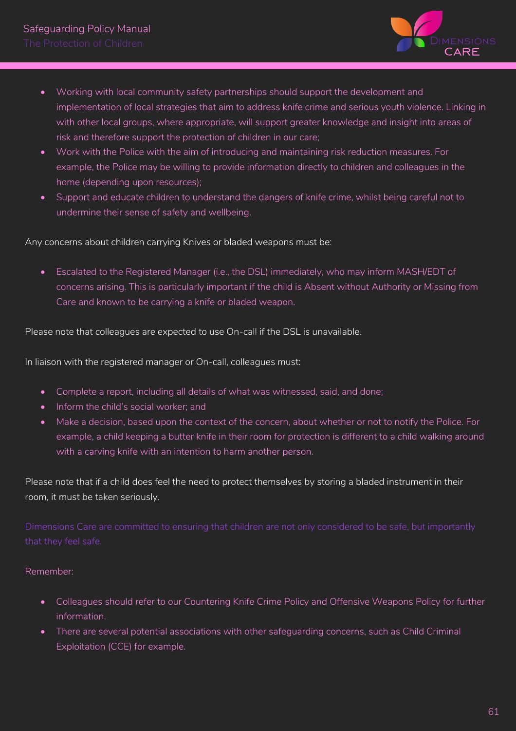

- Working with local community safety partnerships should support the development and implementation of local strategies that aim to address knife crime and serious youth violence. Linking in with other local groups, where appropriate, will support greater knowledge and insight into areas of risk and therefore support the protection of children in our care;
- Work with the Police with the aim of introducing and maintaining risk reduction measures. For example, the Police may be willing to provide information directly to children and colleagues in the home (depending upon resources);
- Support and educate children to understand the dangers of knife crime, whilst being careful not to undermine their sense of safety and wellbeing.

Any concerns about children carrying Knives or bladed weapons must be:

• Escalated to the Registered Manager (i.e., the DSL) immediately, who may inform MASH/EDT of concerns arising. This is particularly important if the child is Absent without Authority or Missing from Care and known to be carrying a knife or bladed weapon.

Please note that colleagues are expected to use On-call if the DSL is unavailable.

In liaison with the registered manager or On-call, colleagues must:

- Complete a report, including all details of what was witnessed, said, and done;
- Inform the child's social worker; and
- Make a decision, based upon the context of the concern, about whether or not to notify the Police. For example, a child keeping a butter knife in their room for protection is different to a child walking around with a carving knife with an intention to harm another person.

Please note that if a child does feel the need to protect themselves by storing a bladed instrument in their room, it must be taken seriously.

# Remember:

- Colleagues should refer to our Countering Knife Crime Policy and Offensive Weapons Policy for further information.
- There are several potential associations with other safeguarding concerns, such as Child Criminal Exploitation (CCE) for example.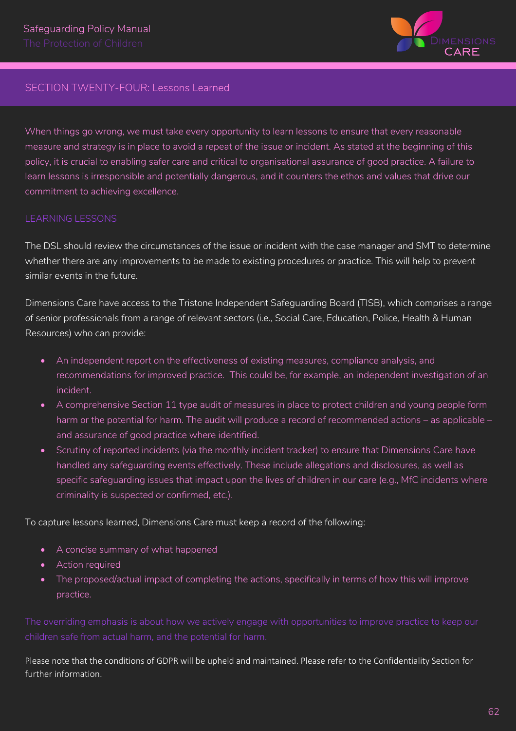

# SECTION TWENTY-FOUR: Lessons Learned

When things go wrong, we must take every opportunity to learn lessons to ensure that every reasonable measure and strategy is in place to avoid a repeat of the issue or incident. As stated at the beginning of this policy, it is crucial to enabling safer care and critical to organisational assurance of good practice. A failure to learn lessons is irresponsible and potentially dangerous, and it counters the ethos and values that drive our commitment to achieving excellence.

# LEARNING LESSONS

The DSL should review the circumstances of the issue or incident with the case manager and SMT to determine whether there are any improvements to be made to existing procedures or practice. This will help to prevent similar events in the future.

Dimensions Care have access to the Tristone Independent Safeguarding Board (TISB), which comprises a range of senior professionals from a range of relevant sectors (i.e., Social Care, Education, Police, Health & Human Resources) who can provide:

- An independent report on the effectiveness of existing measures, compliance analysis, and recommendations for improved practice. This could be, for example, an independent investigation of an incident.
- A comprehensive Section 11 type audit of measures in place to protect children and young people form harm or the potential for harm. The audit will produce a record of recommended actions – as applicable – and assurance of good practice where identified.
- Scrutiny of reported incidents (via the monthly incident tracker) to ensure that Dimensions Care have handled any safeguarding events effectively. These include allegations and disclosures, as well as specific safeguarding issues that impact upon the lives of children in our care (e.g., MfC incidents where criminality is suspected or confirmed, etc.).

To capture lessons learned, Dimensions Care must keep a record of the following:

- A concise summary of what happened
- Action required
- The proposed/actual impact of completing the actions, specifically in terms of how this will improve practice.

Please note that the conditions of GDPR will be upheld and maintained. Please refer to the Confidentiality Section for further information.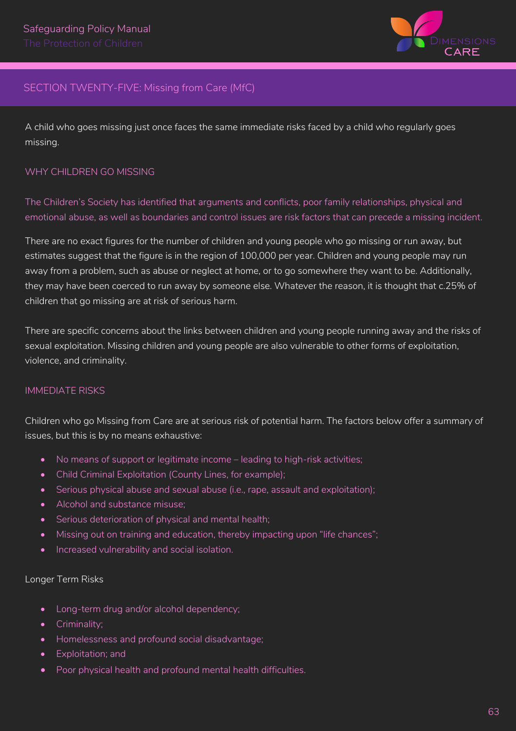

# SECTION TWENTY-FIVE: Missing from Care (MfC)

A child who goes missing just once faces the same immediate risks faced by a child who regularly goes missing.

### WHY CHILDREN GO MISSING

The Children's Society has identified that arguments and conflicts, poor family relationships, physical and emotional abuse, as well as boundaries and control issues are risk factors that can precede a missing incident.

There are no exact figures for the number of children and young people who go missing or run away, but estimates suggest that the figure is in the region of 100,000 per year. Children and young people may run away from a problem, such as abuse or neglect at home, or to go somewhere they want to be. Additionally, they may have been coerced to run away by someone else. Whatever the reason, it is thought that c.25% of children that go missing are at risk of serious harm.

There are specific concerns about the links between children and young people running away and the risks of sexual exploitation. Missing children and young people are also vulnerable to other forms of exploitation, violence, and criminality.

# IMMEDIATE RISKS

Children who go Missing from Care are at serious risk of potential harm. The factors below offer a summary of issues, but this is by no means exhaustive:

- No means of support or legitimate income leading to high-risk activities;
- Child Criminal Exploitation (County Lines, for example);
- Serious physical abuse and sexual abuse (i.e., rape, assault and exploitation);
- Alcohol and substance misuse:
- Serious deterioration of physical and mental health;
- Missing out on training and education, thereby impacting upon "life chances";
- Increased vulnerability and social isolation.

#### Longer Term Risks

- Long-term drug and/or alcohol dependency;
- Criminality;
- Homelessness and profound social disadvantage;
- Exploitation; and
- Poor physical health and profound mental health difficulties.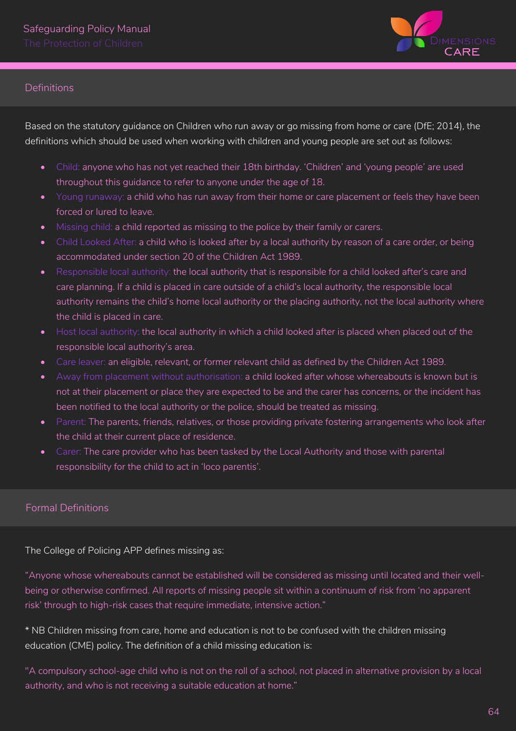

# Definitions

Based on the statutory guidance on Children who run away or go missing from home or care (DfE; 2014), the definitions which should be used when working with children and young people are set out as follows:

- Child: anyone who has not yet reached their 18th birthday. 'Children' and 'young people' are used throughout this guidance to refer to anyone under the age of 18.
- Young runaway: a child who has run away from their home or care placement or feels they have been forced or lured to leave.
- Missing child: a child reported as missing to the police by their family or carers.
- Child Looked After: a child who is looked after by a local authority by reason of a care order, or being accommodated under section 20 of the Children Act 1989.
- Responsible local authority: the local authority that is responsible for a child looked after's care and care planning. If a child is placed in care outside of a child's local authority, the responsible local authority remains the child's home local authority or the placing authority, not the local authority where the child is placed in care.
- Host local authority: the local authority in which a child looked after is placed when placed out of the responsible local authority's area.
- Care leaver: an eligible, relevant, or former relevant child as defined by the Children Act 1989.
- Away from placement without authorisation: a child looked after whose whereabouts is known but is not at their placement or place they are expected to be and the carer has concerns, or the incident has been notified to the local authority or the police, should be treated as missing.
- Parent: The parents, friends, relatives, or those providing private fostering arrangements who look after the child at their current place of residence.
- Carer: The care provider who has been tasked by the Local Authority and those with parental responsibility for the child to act in 'loco parentis'.

# Formal Definitions

The College of Policing APP defines missing as:

"Anyone whose whereabouts cannot be established will be considered as missing until located and their wellbeing or otherwise confirmed. All reports of missing people sit within a continuum of risk from 'no apparent risk' through to high-risk cases that require immediate, intensive action."

\* NB Children missing from care, home and education is not to be confused with the children missing education (CME) policy. The definition of a child missing education is:

"A compulsory school-age child who is not on the roll of a school, not placed in alternative provision by a local authority, and who is not receiving a suitable education at home."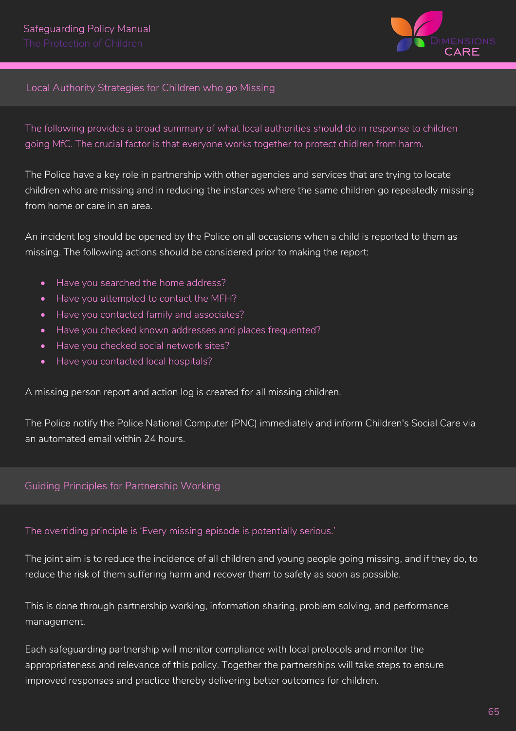

# Local Authority Strategies for Children who go Missing

The following provides a broad summary of what local authorities should do in response to children going MfC. The crucial factor is that everyone works together to protect chidlren from harm.

The Police have a key role in partnership with other agencies and services that are trying to locate children who are missing and in reducing the instances where the same children go repeatedly missing from home or care in an area.

An incident log should be opened by the Police on all occasions when a child is reported to them as missing. The following actions should be considered prior to making the report:

- Have you searched the home address?
- Have you attempted to contact the MFH?
- Have you contacted family and associates?
- Have you checked known addresses and places frequented?
- Have you checked social network sites?
- Have you contacted local hospitals?

A missing person report and action log is created for all missing children.

The Police notify the Police National Computer (PNC) immediately and inform Children's Social Care via an automated email within 24 hours.

# Guiding Principles for Partnership Working

#### The overriding principle is 'Every missing episode is potentially serious.'

The joint aim is to reduce the incidence of all children and young people going missing, and if they do, to reduce the risk of them suffering harm and recover them to safety as soon as possible.

This is done through partnership working, information sharing, problem solving, and performance management.

Each safeguarding partnership will monitor compliance with local protocols and monitor the appropriateness and relevance of this policy. Together the partnerships will take steps to ensure improved responses and practice thereby delivering better outcomes for children.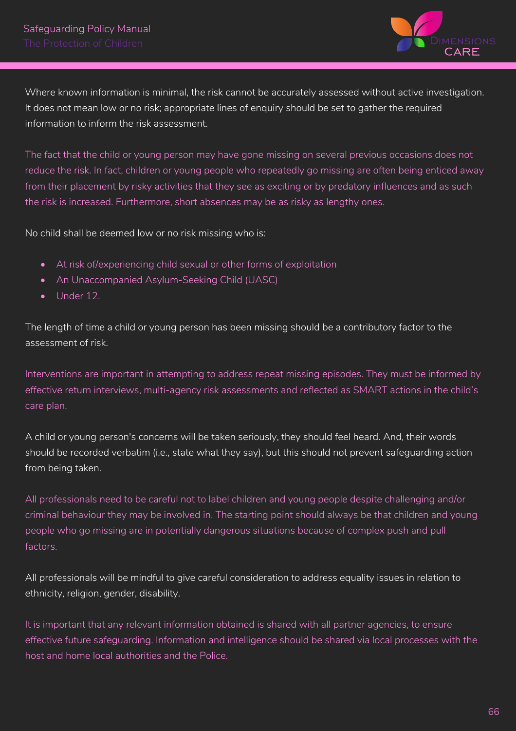

Where known information is minimal, the risk cannot be accurately assessed without active investigation. It does not mean low or no risk; appropriate lines of enquiry should be set to gather the required information to inform the risk assessment.

The fact that the child or young person may have gone missing on several previous occasions does not reduce the risk. In fact, children or young people who repeatedly go missing are often being enticed away from their placement by risky activities that they see as exciting or by predatory influences and as such the risk is increased. Furthermore, short absences may be as risky as lengthy ones.

No child shall be deemed low or no risk missing who is:

- At risk of/experiencing child sexual or other forms of exploitation
- An Unaccompanied Asylum-Seeking Child (UASC)
- Under 12.

The length of time a child or young person has been missing should be a contributory factor to the assessment of risk.

Interventions are important in attempting to address repeat missing episodes. They must be informed by effective return interviews, multi-agency risk assessments and reflected as SMART actions in the child's care plan.

A child or young person's concerns will be taken seriously, they should feel heard. And, their words should be recorded verbatim (i.e., state what they say), but this should not prevent safeguarding action from being taken.

All professionals need to be careful not to label children and young people despite challenging and/or criminal behaviour they may be involved in. The starting point should always be that children and young people who go missing are in potentially dangerous situations because of complex push and pull factors.

All professionals will be mindful to give careful consideration to address equality issues in relation to ethnicity, religion, gender, disability.

It is important that any relevant information obtained is shared with all partner agencies, to ensure effective future safeguarding. Information and intelligence should be shared via local processes with the host and home local authorities and the Police.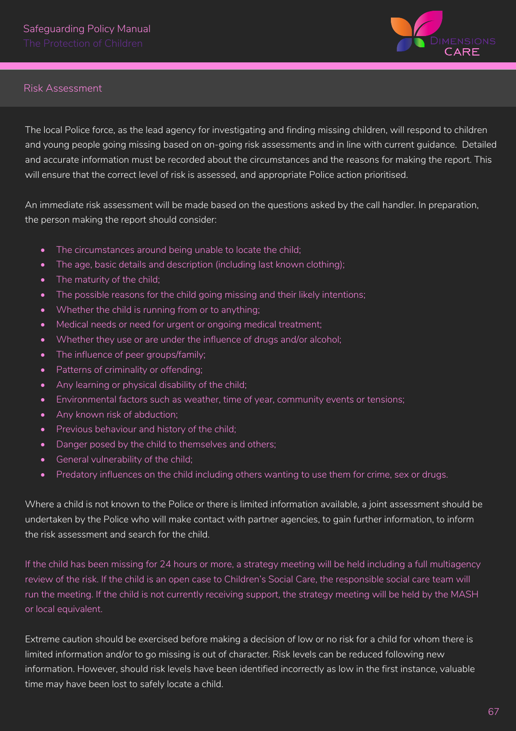

### Risk Assessment

The local Police force, as the lead agency for investigating and finding missing children, will respond to children and young people going missing based on on-going risk assessments and in line with current guidance. Detailed and accurate information must be recorded about the circumstances and the reasons for making the report. This will ensure that the correct level of risk is assessed, and appropriate Police action prioritised.

An immediate risk assessment will be made based on the questions asked by the call handler. In preparation, the person making the report should consider:

- The circumstances around being unable to locate the child;
- The age, basic details and description (including last known clothing);
- The maturity of the child;
- The possible reasons for the child going missing and their likely intentions;
- Whether the child is running from or to anything;
- Medical needs or need for urgent or ongoing medical treatment;
- Whether they use or are under the influence of drugs and/or alcohol;
- The influence of peer groups/family;
- Patterns of criminality or offending;
- Any learning or physical disability of the child;
- Environmental factors such as weather, time of year, community events or tensions;
- Any known risk of abduction;
- Previous behaviour and history of the child;
- Danger posed by the child to themselves and others;
- General vulnerability of the child;
- Predatory influences on the child including others wanting to use them for crime, sex or drugs.

Where a child is not known to the Police or there is limited information available, a joint assessment should be undertaken by the Police who will make contact with partner agencies, to gain further information, to inform the risk assessment and search for the child.

If the child has been missing for 24 hours or more, a strategy meeting will be held including a full multiagency review of the risk. If the child is an open case to Children's Social Care, the responsible social care team will run the meeting. If the child is not currently receiving support, the strategy meeting will be held by the MASH or local equivalent.

Extreme caution should be exercised before making a decision of low or no risk for a child for whom there is limited information and/or to go missing is out of character. Risk levels can be reduced following new information. However, should risk levels have been identified incorrectly as low in the first instance, valuable time may have been lost to safely locate a child.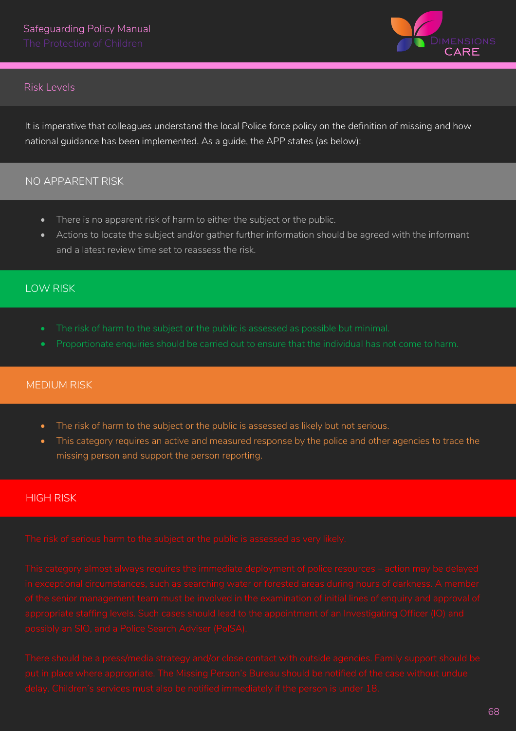

# Risk Levels

It is imperative that colleagues understand the local Police force policy on the definition of missing and how national guidance has been implemented. As a guide, the APP states (as below):

# NO APPARENT RISK

- There is no apparent risk of harm to either the subject or the public.
- Actions to locate the subject and/or gather further information should be agreed with the informant and a latest review time set to reassess the risk.

# LOW RISK

- 
- 

# MEDIUM RISK

- The risk of harm to the subject or the public is assessed as likely but not serious.
- This category requires an active and measured response by the police and other agencies to trace the missing person and support the person reporting.

# HIGH RISK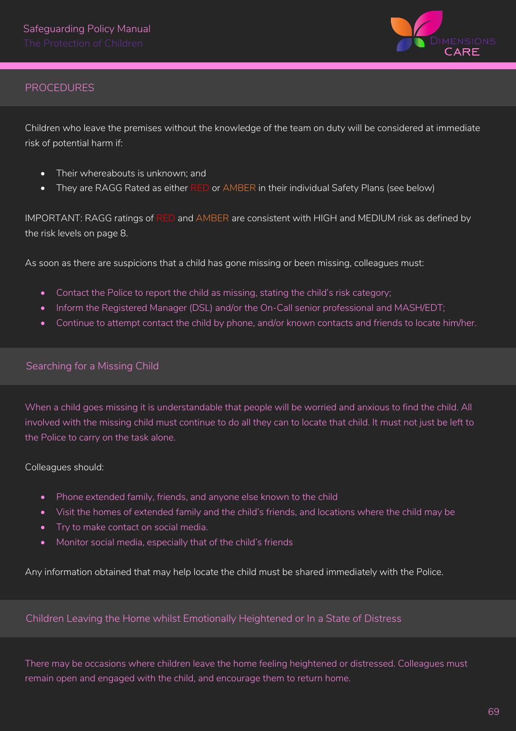

# PROCEDURES

Children who leave the premises without the knowledge of the team on duty will be considered at immediate risk of potential harm if:

- Their whereabouts is unknown; and
- They are RAGG Rated as either RED or AMBER in their individual Safety Plans (see below)

IMPORTANT: RAGG ratings of RED and AMBER are consistent with HIGH and MEDIUM risk as defined by the risk levels on page 8.

As soon as there are suspicions that a child has gone missing or been missing, colleagues must:

- Contact the Police to report the child as missing, stating the child's risk category;
- Inform the Registered Manager (DSL) and/or the On-Call senior professional and MASH/EDT;
- Continue to attempt contact the child by phone, and/or known contacts and friends to locate him/her.

### Searching for a Missing Child

When a child goes missing it is understandable that people will be worried and anxious to find the child. All involved with the missing child must continue to do all they can to locate that child. It must not just be left to the Police to carry on the task alone.

Colleagues should:

- Phone extended family, friends, and anyone else known to the child
- Visit the homes of extended family and the child's friends, and locations where the child may be
- Try to make contact on social media.
- Monitor social media, especially that of the child's friends

Any information obtained that may help locate the child must be shared immediately with the Police.

Children Leaving the Home whilst Emotionally Heightened or In a State of Distress

There may be occasions where children leave the home feeling heightened or distressed. Colleagues must remain open and engaged with the child, and encourage them to return home.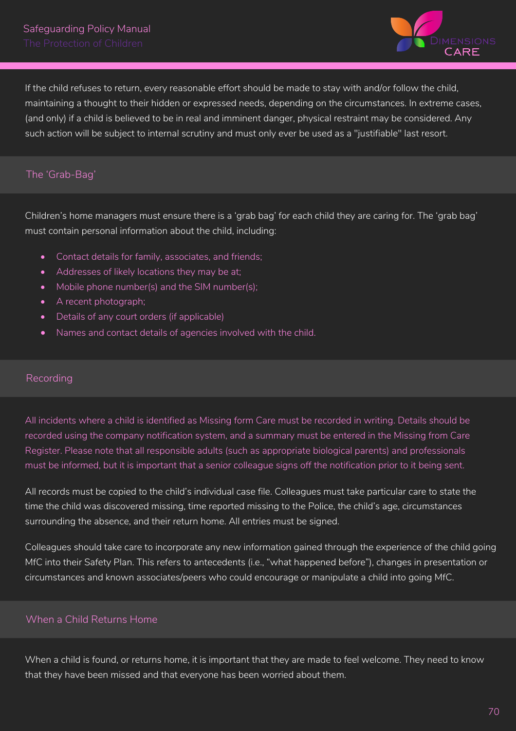

If the child refuses to return, every reasonable effort should be made to stay with and/or follow the child, maintaining a thought to their hidden or expressed needs, depending on the circumstances. In extreme cases, (and only) if a child is believed to be in real and imminent danger, physical restraint may be considered. Any such action will be subject to internal scrutiny and must only ever be used as a "justifiable" last resort.

# The 'Grab-Bag'

Children's home managers must ensure there is a 'grab bag' for each child they are caring for. The 'grab bag' must contain personal information about the child, including:

- Contact details for family, associates, and friends;
- Addresses of likely locations they may be at;
- Mobile phone number(s) and the SIM number(s);
- A recent photograph;
- Details of any court orders (if applicable)
- Names and contact details of agencies involved with the child.

# Recording

All incidents where a child is identified as Missing form Care must be recorded in writing. Details should be recorded using the company notification system, and a summary must be entered in the Missing from Care Register. Please note that all responsible adults (such as appropriate biological parents) and professionals must be informed, but it is important that a senior colleague signs off the notification prior to it being sent.

All records must be copied to the child's individual case file. Colleagues must take particular care to state the time the child was discovered missing, time reported missing to the Police, the child's age, circumstances surrounding the absence, and their return home. All entries must be signed.

Colleagues should take care to incorporate any new information gained through the experience of the child going MfC into their Safety Plan. This refers to antecedents (i.e., "what happened before"), changes in presentation or circumstances and known associates/peers who could encourage or manipulate a child into going MfC.

# When a Child Returns Home

When a child is found, or returns home, it is important that they are made to feel welcome. They need to know that they have been missed and that everyone has been worried about them.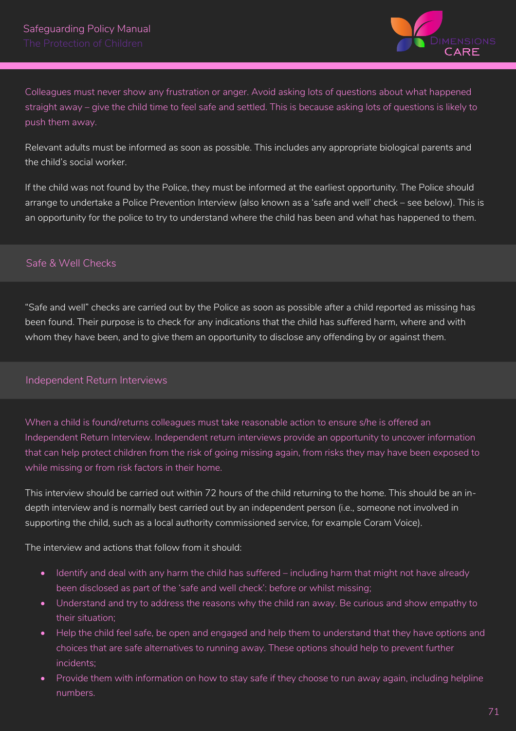

Colleagues must never show any frustration or anger. Avoid asking lots of questions about what happened straight away – give the child time to feel safe and settled. This is because asking lots of questions is likely to push them away.

Relevant adults must be informed as soon as possible. This includes any appropriate biological parents and the child's social worker.

If the child was not found by the Police, they must be informed at the earliest opportunity. The Police should arrange to undertake a Police Prevention Interview (also known as a 'safe and well' check – see below). This is an opportunity for the police to try to understand where the child has been and what has happened to them.

# Safe & Well Checks

"Safe and well" checks are carried out by the Police as soon as possible after a child reported as missing has been found. Their purpose is to check for any indications that the child has suffered harm, where and with whom they have been, and to give them an opportunity to disclose any offending by or against them.

# Independent Return Interviews

When a child is found/returns colleagues must take reasonable action to ensure s/he is offered an Independent Return Interview. Independent return interviews provide an opportunity to uncover information that can help protect children from the risk of going missing again, from risks they may have been exposed to while missing or from risk factors in their home.

This interview should be carried out within 72 hours of the child returning to the home. This should be an indepth interview and is normally best carried out by an independent person (i.e., someone not involved in supporting the child, such as a local authority commissioned service, for example Coram Voice).

The interview and actions that follow from it should:

- Identify and deal with any harm the child has suffered including harm that might not have already been disclosed as part of the 'safe and well check': before or whilst missing;
- Understand and try to address the reasons why the child ran away. Be curious and show empathy to their situation;
- Help the child feel safe, be open and engaged and help them to understand that they have options and choices that are safe alternatives to running away. These options should help to prevent further incidents;
- Provide them with information on how to stay safe if they choose to run away again, including helpline numbers.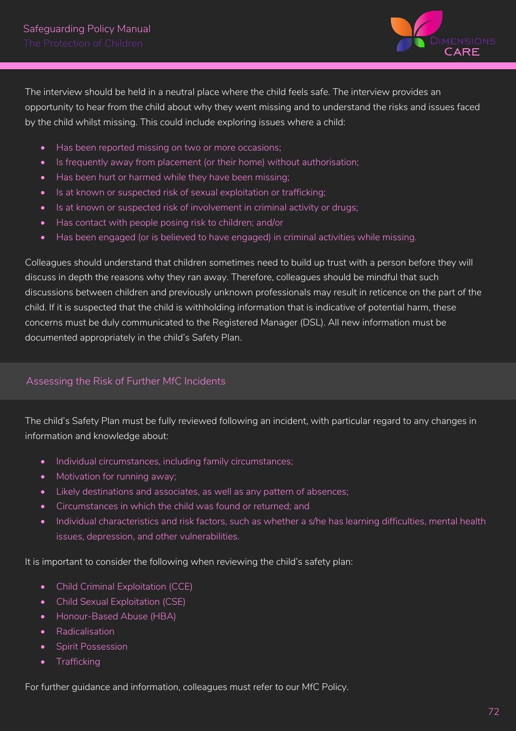

The interview should be held in a neutral place where the child feels safe. The interview provides an opportunity to hear from the child about why they went missing and to understand the risks and issues faced by the child whilst missing. This could include exploring issues where a child:

- Has been reported missing on two or more occasions;
- Is frequently away from placement (or their home) without authorisation;
- Has been hurt or harmed while they have been missing;
- Is at known or suspected risk of sexual exploitation or trafficking;
- Is at known or suspected risk of involvement in criminal activity or drugs;
- Has contact with people posing risk to children; and/or
- Has been engaged (or is believed to have engaged) in criminal activities while missing.

Colleagues should understand that children sometimes need to build up trust with a person before they will discuss in depth the reasons why they ran away. Therefore, colleagues should be mindful that such discussions between children and previously unknown professionals may result in reticence on the part of the child. If it is suspected that the child is withholding information that is indicative of potential harm, these concerns must be duly communicated to the Registered Manager (DSL). All new information must be documented appropriately in the child's Safety Plan.

# Assessing the Risk of Further MfC Incidents

The child's Safety Plan must be fully reviewed following an incident, with particular regard to any changes in information and knowledge about:

- Individual circumstances, including family circumstances;
- Motivation for running away;
- Likely destinations and associates, as well as any pattern of absences;
- Circumstances in which the child was found or returned; and
- Individual characteristics and risk factors, such as whether a s/he has learning difficulties, mental health issues, depression, and other vulnerabilities.

It is important to consider the following when reviewing the child's safety plan:

- Child Criminal Exploitation (CCE)
- Child Sexual Exploitation (CSE)
- Honour-Based Abuse (HBA)
- Radicalisation
- Spirit Possession
- Trafficking

For further guidance and information, colleagues must refer to our MfC Policy.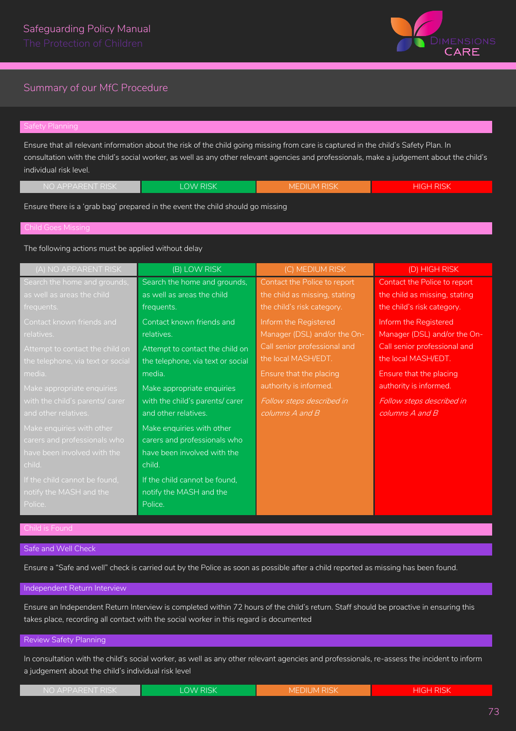

### Summary of our MfC Procedure

Ensure that all relevant information about the risk of the child going missing from care is captured in the child's Safety Plan. In consultation with the child's social worker, as well as any other relevant agencies and professionals, make a judgement about the child's individual risk level.

| I NO APPARENT RISK ' | <b>LOW RISK</b> | <b>MEDIUM RISK</b> | <b>HIGH RISK</b> |
|----------------------|-----------------|--------------------|------------------|
|                      |                 |                    |                  |

Ensure there is a 'grab bag' prepared in the event the child should go missing

The following actions must be applied without delay

| (A) NO APPARENT RISK              | (B) LOW RISK                      | (C) MEDIUM RISK               | (D) HIGH RISK                 |
|-----------------------------------|-----------------------------------|-------------------------------|-------------------------------|
| Search the home and grounds,      | Search the home and grounds,      | Contact the Police to report  | Contact the Police to report  |
| as well as areas the child        | as well as areas the child        | the child as missing, stating | the child as missing, stating |
| frequents.                        | frequents.                        | the child's risk category.    | the child's risk category.    |
| Contact known friends and         | Contact known friends and         | Inform the Registered         | Inform the Registered         |
| relatives.                        | relatives.                        | Manager (DSL) and/or the On-  | Manager (DSL) and/or the On-  |
| Attempt to contact the child on   | Attempt to contact the child on   | Call senior professional and  | Call senior professional and  |
| the telephone, via text or social | the telephone, via text or social | the local MASH/EDT.           | the local MASH/EDT.           |
| media.                            | media.                            | Ensure that the placing       | Ensure that the placing       |
| Make appropriate enquiries        | Make appropriate enquiries        | authority is informed.        | authority is informed.        |
| with the child's parents/ carer   | with the child's parents/ carer   | Follow steps described in     | Follow steps described in     |
| and other relatives.              | and other relatives.              | $columns$ A and $B$           | columns A and B               |
| Make enquiries with other         | Make enquiries with other         |                               |                               |
| carers and professionals who      | carers and professionals who      |                               |                               |
| have been involved with the       | have been involved with the       |                               |                               |
| child.                            | child.                            |                               |                               |
| If the child cannot be found,     | If the child cannot be found,     |                               |                               |
| notify the MASH and the           | notify the MASH and the           |                               |                               |
| Police.                           | Police.                           |                               |                               |

#### Safe and Well Check

Ensure a "Safe and well" check is carried out by the Police as soon as possible after a child reported as missing has been found.

#### Independent Return Interview

Ensure an Independent Return Interview is completed within 72 hours of the child's return. Staff should be proactive in ensuring this takes place, recording all contact with the social worker in this regard is documented

#### Review Safety Planning

In consultation with the child's social worker, as well as any other relevant agencies and professionals, re-assess the incident to inform a judgement about the child's individual risk level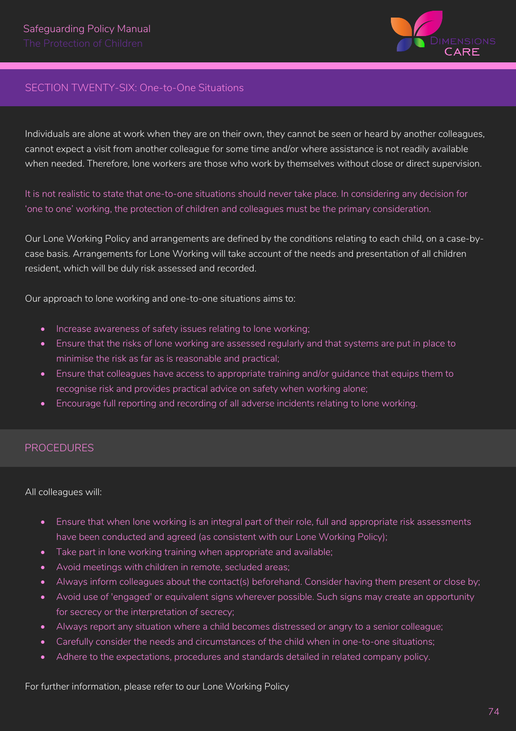

## SECTION TWENTY-SIX: One-to-One Situations

Individuals are alone at work when they are on their own, they cannot be seen or heard by another colleagues, cannot expect a visit from another colleague for some time and/or where assistance is not readily available when needed. Therefore, lone workers are those who work by themselves without close or direct supervision.

It is not realistic to state that one-to-one situations should never take place. In considering any decision for 'one to one' working, the protection of children and colleagues must be the primary consideration.

Our Lone Working Policy and arrangements are defined by the conditions relating to each child, on a case-bycase basis. Arrangements for Lone Working will take account of the needs and presentation of all children resident, which will be duly risk assessed and recorded.

Our approach to lone working and one-to-one situations aims to:

- Increase awareness of safety issues relating to lone working;
- Ensure that the risks of lone working are assessed regularly and that systems are put in place to minimise the risk as far as is reasonable and practical;
- Ensure that colleagues have access to appropriate training and/or guidance that equips them to recognise risk and provides practical advice on safety when working alone;
- Encourage full reporting and recording of all adverse incidents relating to lone working.

### PROCEDURES

All colleagues will:

- Ensure that when lone working is an integral part of their role, full and appropriate risk assessments have been conducted and agreed (as consistent with our Lone Working Policy);
- Take part in lone working training when appropriate and available;
- Avoid meetings with children in remote, secluded areas;
- Always inform colleagues about the contact(s) beforehand. Consider having them present or close by;
- Avoid use of 'engaged' or equivalent signs wherever possible. Such signs may create an opportunity for secrecy or the interpretation of secrecy;
- Always report any situation where a child becomes distressed or angry to a senior colleague;
- Carefully consider the needs and circumstances of the child when in one-to-one situations;
- Adhere to the expectations, procedures and standards detailed in related company policy.

For further information, please refer to our Lone Working Policy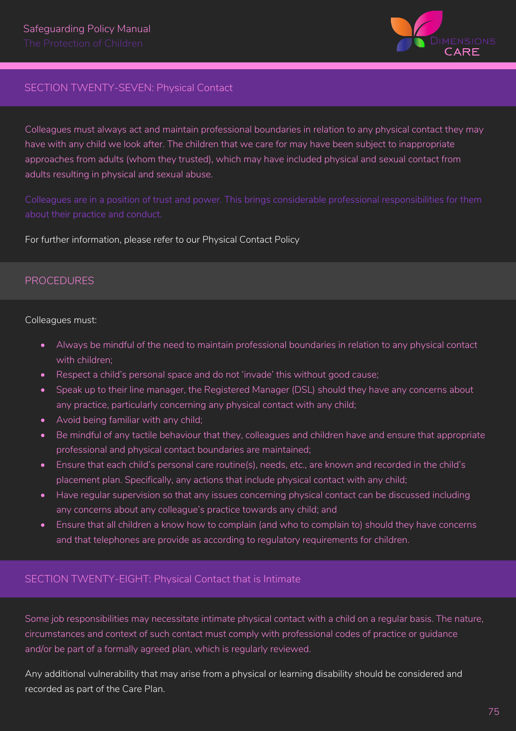

# SECTION TWENTY-SEVEN: Physical Contact

Colleagues must always act and maintain professional boundaries in relation to any physical contact they may have with any child we look after. The children that we care for may have been subject to inappropriate approaches from adults (whom they trusted), which may have included physical and sexual contact from adults resulting in physical and sexual abuse.

about their practice and conduct.

For further information, please refer to our Physical Contact Policy

# PROCEDURES

#### Colleagues must:

- Always be mindful of the need to maintain professional boundaries in relation to any physical contact with children;
- Respect a child's personal space and do not 'invade' this without good cause;
- Speak up to their line manager, the Registered Manager (DSL) should they have any concerns about any practice, particularly concerning any physical contact with any child;
- Avoid being familiar with any child;
- Be mindful of any tactile behaviour that they, colleagues and children have and ensure that appropriate professional and physical contact boundaries are maintained;
- Ensure that each child's personal care routine(s), needs, etc., are known and recorded in the child's placement plan. Specifically, any actions that include physical contact with any child;
- Have regular supervision so that any issues concerning physical contact can be discussed including any concerns about any colleague's practice towards any child; and
- Ensure that all children a know how to complain (and who to complain to) should they have concerns and that telephones are provide as according to regulatory requirements for children.

### SECTION TWENTY-EIGHT: Physical Contact that is Intimate

Some job responsibilities may necessitate intimate physical contact with a child on a regular basis. The nature, circumstances and context of such contact must comply with professional codes of practice or guidance and/or be part of a formally agreed plan, which is regularly reviewed.

Any additional vulnerability that may arise from a physical or learning disability should be considered and recorded as part of the Care Plan.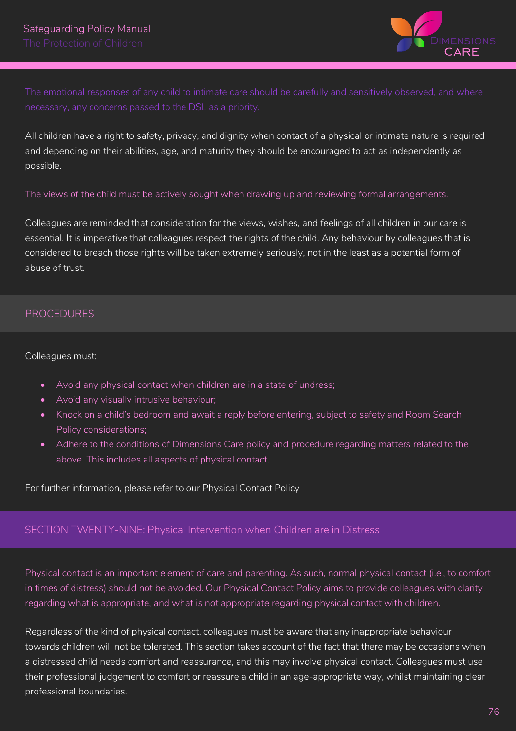

All children have a right to safety, privacy, and dignity when contact of a physical or intimate nature is required and depending on their abilities, age, and maturity they should be encouraged to act as independently as possible.

The views of the child must be actively sought when drawing up and reviewing formal arrangements.

Colleagues are reminded that consideration for the views, wishes, and feelings of all children in our care is essential. It is imperative that colleagues respect the rights of the child. Any behaviour by colleagues that is considered to breach those rights will be taken extremely seriously, not in the least as a potential form of abuse of trust.

# PROCEDURES

#### Colleagues must:

- Avoid any physical contact when children are in a state of undress;
- Avoid any visually intrusive behaviour;
- Knock on a child's bedroom and await a reply before entering, subject to safety and Room Search Policy considerations;
- Adhere to the conditions of Dimensions Care policy and procedure regarding matters related to the above. This includes all aspects of physical contact.

For further information, please refer to our Physical Contact Policy

# SECTION TWENTY-NINE: Physical Intervention when Children are in Distress

Physical contact is an important element of care and parenting. As such, normal physical contact (i.e., to comfort in times of distress) should not be avoided. Our Physical Contact Policy aims to provide colleagues with clarity regarding what is appropriate, and what is not appropriate regarding physical contact with children.

Regardless of the kind of physical contact, colleagues must be aware that any inappropriate behaviour towards children will not be tolerated. This section takes account of the fact that there may be occasions when a distressed child needs comfort and reassurance, and this may involve physical contact. Colleagues must use their professional judgement to comfort or reassure a child in an age-appropriate way, whilst maintaining clear professional boundaries.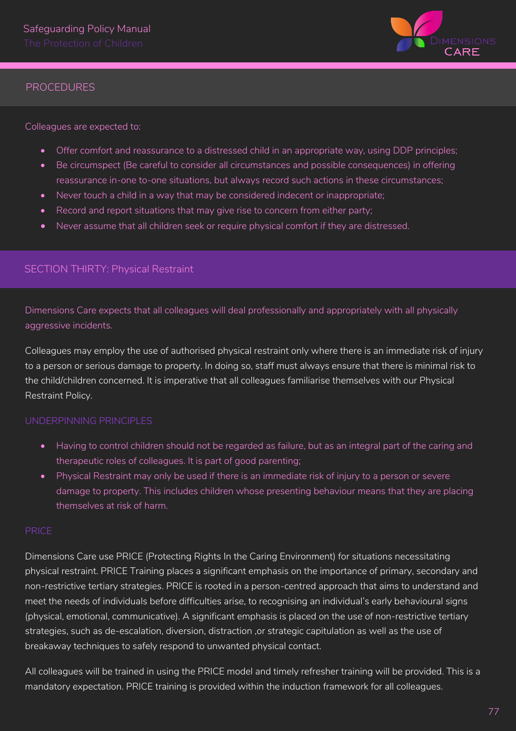

## PROCEDURES

Colleagues are expected to:

- Offer comfort and reassurance to a distressed child in an appropriate way, using DDP principles;
- Be circumspect (Be careful to consider all circumstances and possible consequences) in offering reassurance in-one to-one situations, but always record such actions in these circumstances;
- Never touch a child in a way that may be considered indecent or inappropriate;
- Record and report situations that may give rise to concern from either party;
- Never assume that all children seek or require physical comfort if they are distressed.

## SECTION THIRTY: Physical Restraint

Dimensions Care expects that all colleagues will deal professionally and appropriately with all physically aggressive incidents.

Colleagues may employ the use of authorised physical restraint only where there is an immediate risk of injury to a person or serious damage to property. In doing so, staff must always ensure that there is minimal risk to the child/children concerned. It is imperative that all colleagues familiarise themselves with our Physical Restraint Policy.

### UNDERPINNING PRINCIPLES

- Having to control children should not be regarded as failure, but as an integral part of the caring and therapeutic roles of colleagues. It is part of good parenting;
- Physical Restraint may only be used if there is an immediate risk of injury to a person or severe damage to property. This includes children whose presenting behaviour means that they are placing themselves at risk of harm.

#### PRICE

Dimensions Care use PRICE (Protecting Rights In the Caring Environment) for situations necessitating physical restraint. PRICE Training places a significant emphasis on the importance of primary, secondary and non-restrictive tertiary strategies. PRICE is rooted in a person-centred approach that aims to understand and meet the needs of individuals before difficulties arise, to recognising an individual's early behavioural signs (physical, emotional, communicative). A significant emphasis is placed on the use of non-restrictive tertiary strategies, such as de-escalation, diversion, distraction ,or strategic capitulation as well as the use of breakaway techniques to safely respond to unwanted physical contact.

All colleagues will be trained in using the PRICE model and timely refresher training will be provided. This is a mandatory expectation. PRICE training is provided within the induction framework for all colleagues.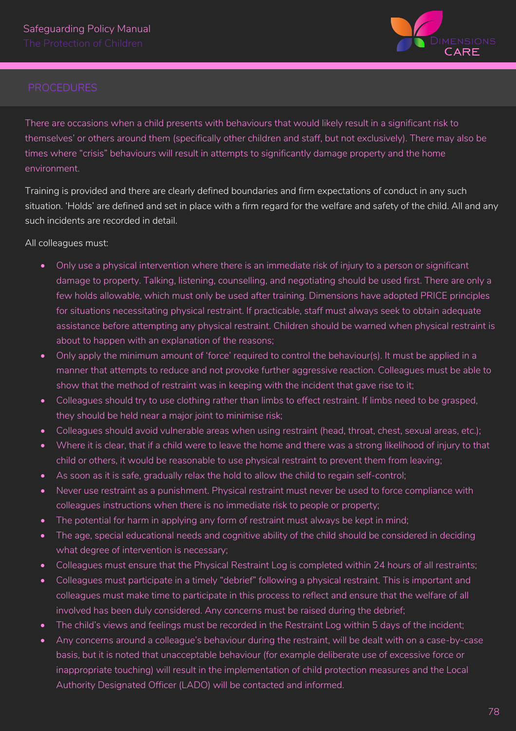

There are occasions when a child presents with behaviours that would likely result in a significant risk to themselves' or others around them (specifically other children and staff, but not exclusively). There may also be times where "crisis" behaviours will result in attempts to significantly damage property and the home environment.

Training is provided and there are clearly defined boundaries and firm expectations of conduct in any such situation. 'Holds' are defined and set in place with a firm regard for the welfare and safety of the child. All and any such incidents are recorded in detail.

All colleagues must:

- Only use a physical intervention where there is an immediate risk of injury to a person or significant damage to property. Talking, listening, counselling, and negotiating should be used first. There are only a few holds allowable, which must only be used after training. Dimensions have adopted PRICE principles for situations necessitating physical restraint. If practicable, staff must always seek to obtain adequate assistance before attempting any physical restraint. Children should be warned when physical restraint is about to happen with an explanation of the reasons;
- Only apply the minimum amount of 'force' required to control the behaviour(s). It must be applied in a manner that attempts to reduce and not provoke further aggressive reaction. Colleagues must be able to show that the method of restraint was in keeping with the incident that gave rise to it;
- Colleagues should try to use clothing rather than limbs to effect restraint. If limbs need to be grasped, they should be held near a major joint to minimise risk;
- Colleagues should avoid vulnerable areas when using restraint (head, throat, chest, sexual areas, etc.);
- Where it is clear, that if a child were to leave the home and there was a strong likelihood of injury to that child or others, it would be reasonable to use physical restraint to prevent them from leaving;
- As soon as it is safe, gradually relax the hold to allow the child to regain self-control;
- Never use restraint as a punishment. Physical restraint must never be used to force compliance with colleagues instructions when there is no immediate risk to people or property;
- The potential for harm in applying any form of restraint must always be kept in mind;
- The age, special educational needs and cognitive ability of the child should be considered in deciding what degree of intervention is necessary;
- Colleagues must ensure that the Physical Restraint Log is completed within 24 hours of all restraints;
- Colleagues must participate in a timely "debrief" following a physical restraint. This is important and colleagues must make time to participate in this process to reflect and ensure that the welfare of all involved has been duly considered. Any concerns must be raised during the debrief;
- The child's views and feelings must be recorded in the Restraint Log within 5 days of the incident;
- Any concerns around a colleague's behaviour during the restraint, will be dealt with on a case-by-case basis, but it is noted that unacceptable behaviour (for example deliberate use of excessive force or inappropriate touching) will result in the implementation of child protection measures and the Local Authority Designated Officer (LADO) will be contacted and informed.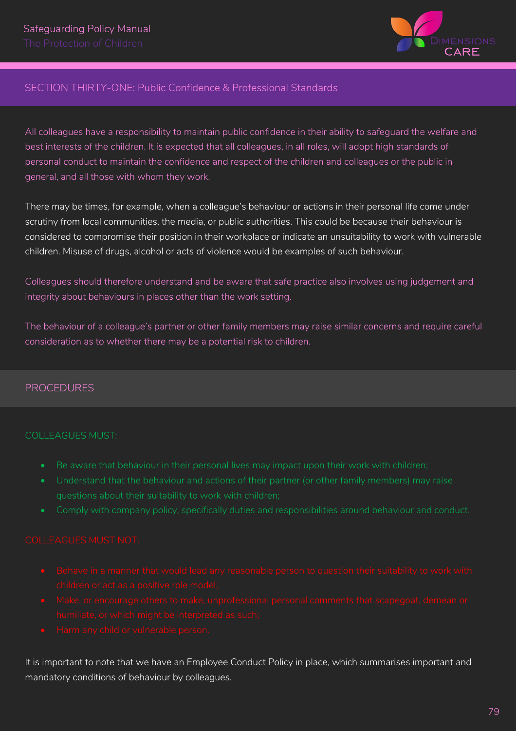

# SECTION THIRTY-ONE: Public Confidence & Professional Standards

All colleagues have a responsibility to maintain public confidence in their ability to safeguard the welfare and best interests of the children. It is expected that all colleagues, in all roles, will adopt high standards of personal conduct to maintain the confidence and respect of the children and colleagues or the public in general, and all those with whom they work.

There may be times, for example, when a colleague's behaviour or actions in their personal life come under scrutiny from local communities, the media, or public authorities. This could be because their behaviour is considered to compromise their position in their workplace or indicate an unsuitability to work with vulnerable children. Misuse of drugs, alcohol or acts of violence would be examples of such behaviour.

Colleagues should therefore understand and be aware that safe practice also involves using judgement and integrity about behaviours in places other than the work setting.

The behaviour of a colleague's partner or other family members may raise similar concerns and require careful consideration as to whether there may be a potential risk to children.

# PROCEDURES

### COLLEAGUES MUST:

- 
- Understand that the behaviour and actions of their partner (or other family members) may raise
- 

- 
- 
- 

It is important to note that we have an Employee Conduct Policy in place, which summarises important and mandatory conditions of behaviour by colleagues.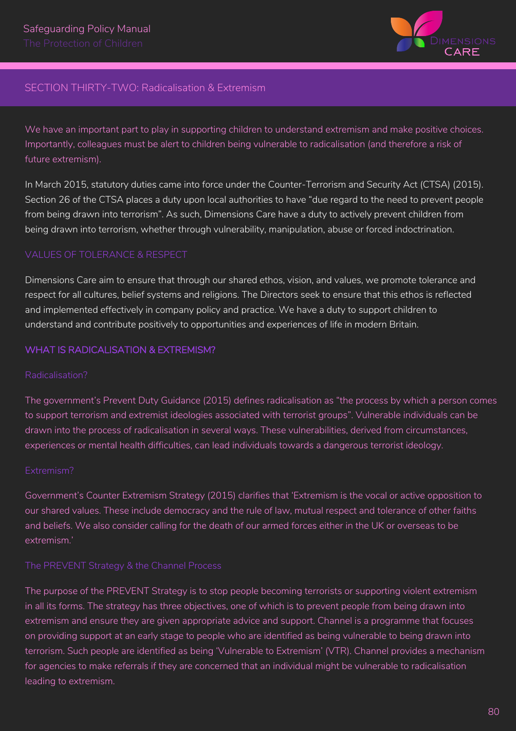

# SECTION THIRTY-TWO: Radicalisation & Extremism

We have an important part to play in supporting children to understand extremism and make positive choices. Importantly, colleagues must be alert to children being vulnerable to radicalisation (and therefore a risk of future extremism).

In March 2015, statutory duties came into force under the Counter-Terrorism and Security Act (CTSA) (2015). Section 26 of the CTSA places a duty upon local authorities to have "due regard to the need to prevent people from being drawn into terrorism". As such, Dimensions Care have a duty to actively prevent children from being drawn into terrorism, whether through vulnerability, manipulation, abuse or forced indoctrination.

## VALUES OF TOLERANCE & RESPECT

Dimensions Care aim to ensure that through our shared ethos, vision, and values, we promote tolerance and respect for all cultures, belief systems and religions. The Directors seek to ensure that this ethos is reflected and implemented effectively in company policy and practice. We have a duty to support children to understand and contribute positively to opportunities and experiences of life in modern Britain.

## WHAT IS RADICALISATION & EXTREMISM?

### Radicalisation?

The government's Prevent Duty Guidance (2015) defines radicalisation as "the process by which a person comes to support terrorism and extremist ideologies associated with terrorist groups". Vulnerable individuals can be drawn into the process of radicalisation in several ways. These vulnerabilities, derived from circumstances, experiences or mental health difficulties, can lead individuals towards a dangerous terrorist ideology.

### Extremism?

Government's Counter Extremism Strategy (2015) clarifies that 'Extremism is the vocal or active opposition to our shared values. These include democracy and the rule of law, mutual respect and tolerance of other faiths and beliefs. We also consider calling for the death of our armed forces either in the UK or overseas to be extremism.'

The purpose of the PREVENT Strategy is to stop people becoming terrorists or supporting violent extremism in all its forms. The strategy has three objectives, one of which is to prevent people from being drawn into extremism and ensure they are given appropriate advice and support. Channel is a programme that focuses on providing support at an early stage to people who are identified as being vulnerable to being drawn into terrorism. Such people are identified as being 'Vulnerable to Extremism' (VTR). Channel provides a mechanism for agencies to make referrals if they are concerned that an individual might be vulnerable to radicalisation leading to extremism.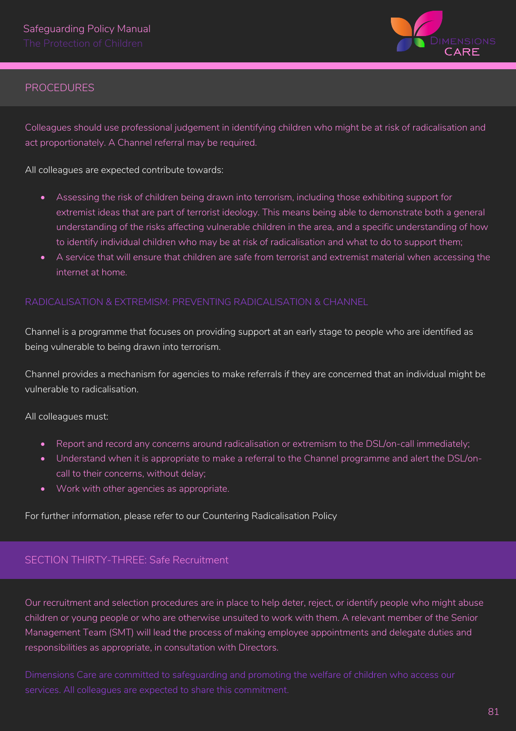

# PROCEDURES

Colleagues should use professional judgement in identifying children who might be at risk of radicalisation and act proportionately. A Channel referral may be required.

#### All colleagues are expected contribute towards:

- Assessing the risk of children being drawn into terrorism, including those exhibiting support for extremist ideas that are part of terrorist ideology. This means being able to demonstrate both a general understanding of the risks affecting vulnerable children in the area, and a specific understanding of how to identify individual children who may be at risk of radicalisation and what to do to support them;
- A service that will ensure that children are safe from terrorist and extremist material when accessing the internet at home.

### RADICALISATION & EXTREMISM: PREVENTING RADICALISATION & CHANNEL

Channel is a programme that focuses on providing support at an early stage to people who are identified as being vulnerable to being drawn into terrorism.

Channel provides a mechanism for agencies to make referrals if they are concerned that an individual might be vulnerable to radicalisation.

All colleagues must:

- Report and record any concerns around radicalisation or extremism to the DSL/on-call immediately;
- Understand when it is appropriate to make a referral to the Channel programme and alert the DSL/oncall to their concerns, without delay;
- Work with other agencies as appropriate.

For further information, please refer to our Countering Radicalisation Policy

#### .<br>I SECTION THIRTY-THREE: Safe Recruitment

Our recruitment and selection procedures are in place to help deter, reject, or identify people who might abuse children or young people or who are otherwise unsuited to work with them. A relevant member of the Senior Management Team (SMT) will lead the process of making employee appointments and delegate duties and responsibilities as appropriate, in consultation with Directors.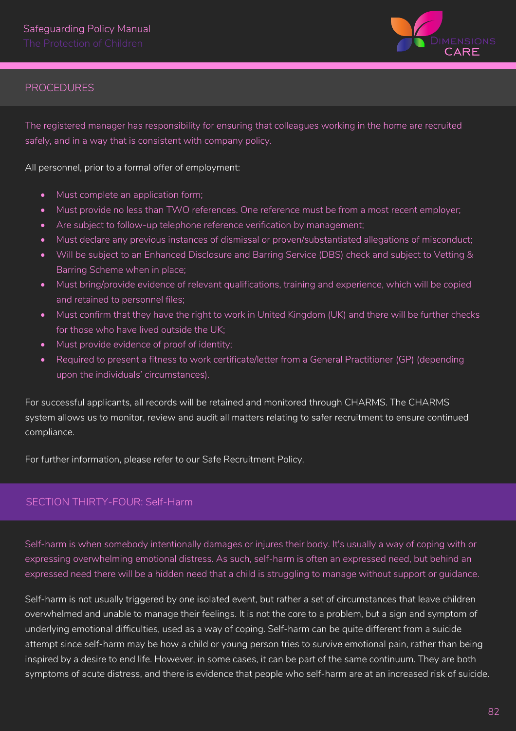

# PROCEDURES

The registered manager has responsibility for ensuring that colleagues working in the home are recruited safely, and in a way that is consistent with company policy.

All personnel, prior to a formal offer of employment:

- Must complete an application form;
- Must provide no less than TWO references. One reference must be from a most recent employer;
- Are subject to follow-up telephone reference verification by management;
- Must declare any previous instances of dismissal or proven/substantiated allegations of misconduct;
- Will be subject to an Enhanced Disclosure and Barring Service (DBS) check and subject to Vetting & Barring Scheme when in place;
- Must bring/provide evidence of relevant qualifications, training and experience, which will be copied and retained to personnel files;
- Must confirm that they have the right to work in United Kingdom (UK) and there will be further checks for those who have lived outside the UK;
- Must provide evidence of proof of identity;
- Required to present a fitness to work certificate/letter from a General Practitioner (GP) (depending upon the individuals' circumstances).

For successful applicants, all records will be retained and monitored through CHARMS. The CHARMS system allows us to monitor, review and audit all matters relating to safer recruitment to ensure continued compliance.

For further information, please refer to our Safe Recruitment Policy.

# SECTION THIRTY-FOUR: Self-Harm

Self-harm is when somebody intentionally damages or injures their body. It's usually a way of coping with or expressing overwhelming emotional distress. As such, self-harm is often an expressed need, but behind an expressed need there will be a hidden need that a child is struggling to manage without support or guidance.

Self-harm is not usually triggered by one isolated event, but rather a set of circumstances that leave children overwhelmed and unable to manage their feelings. It is not the core to a problem, but a sign and symptom of underlying emotional difficulties, used as a way of coping. Self-harm can be quite different from a suicide attempt since self-harm may be how a child or young person tries to survive emotional pain, rather than being inspired by a desire to end life. However, in some cases, it can be part of the same continuum. They are both symptoms of acute distress, and there is evidence that people who self-harm are at an increased risk of suicide.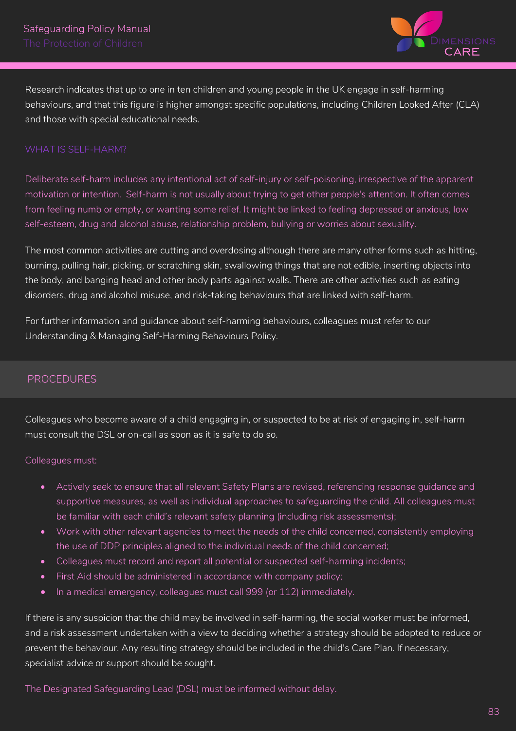

Research indicates that up to one in ten children and young people in the UK engage in self-harming behaviours, and that this figure is higher amongst specific populations, including Children Looked After (CLA) and those with special educational needs.

## WHAT IS SELF-HARM?

Deliberate self-harm includes any intentional act of self-injury or self-poisoning, irrespective of the apparent motivation or intention. Self-harm is not usually about trying to get other people's attention. It often comes from feeling numb or empty, or wanting some relief. It might be linked to feeling depressed or anxious, low self-esteem, drug and alcohol abuse, relationship problem, bullying or worries about sexuality.

The most common activities are cutting and overdosing although there are many other forms such as hitting, burning, pulling hair, picking, or scratching skin, swallowing things that are not edible, inserting objects into the body, and banging head and other body parts against walls. There are other activities such as eating disorders, drug and alcohol misuse, and risk-taking behaviours that are linked with self-harm.

For further information and guidance about self-harming behaviours, colleagues must refer to our Understanding & Managing Self-Harming Behaviours Policy.

### PROCEDURES

Colleagues who become aware of a child engaging in, or suspected to be at risk of engaging in, self-harm must consult the DSL or on-call as soon as it is safe to do so.

#### Colleagues must:

- Actively seek to ensure that all relevant Safety Plans are revised, referencing response guidance and supportive measures, as well as individual approaches to safeguarding the child. All colleagues must be familiar with each child's relevant safety planning (including risk assessments);
- Work with other relevant agencies to meet the needs of the child concerned, consistently employing the use of DDP principles aligned to the individual needs of the child concerned;
- Colleagues must record and report all potential or suspected self-harming incidents;
- First Aid should be administered in accordance with company policy;
- In a medical emergency, colleagues must call 999 (or 112) immediately.

If there is any suspicion that the child may be involved in self-harming, the social worker must be informed, and a risk assessment undertaken with a view to deciding whether a strategy should be adopted to reduce or prevent the behaviour. Any resulting strategy should be included in the child's Care Plan. If necessary, specialist advice or support should be sought.

The Designated Safeguarding Lead (DSL) must be informed without delay.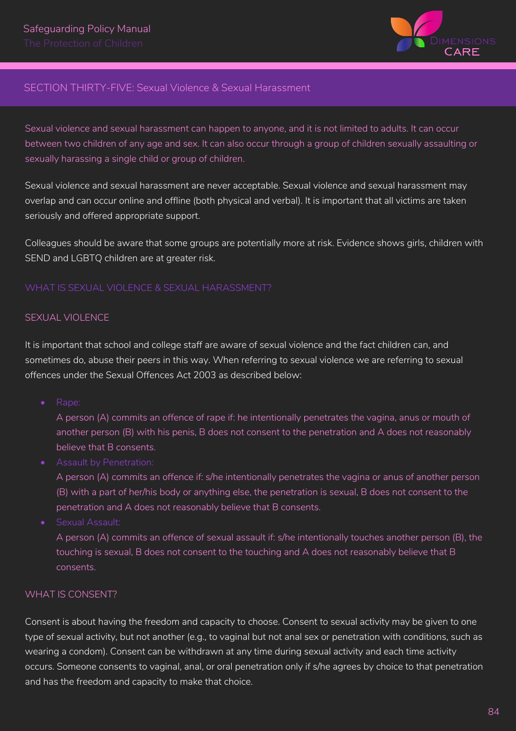

## SECTION THIRTY-FIVE: Sexual Violence & Sexual Harassment

Sexual violence and sexual harassment can happen to anyone, and it is not limited to adults. It can occur between two children of any age and sex. It can also occur through a group of children sexually assaulting or sexually harassing a single child or group of children.

Sexual violence and sexual harassment are never acceptable. Sexual violence and sexual harassment may overlap and can occur online and offline (both physical and verbal). It is important that all victims are taken seriously and offered appropriate support.

Colleagues should be aware that some groups are potentially more at risk. Evidence shows girls, children with SEND and LGBTQ children are at greater risk.

### WHAT IS SEXUAL VIOLENCE & SEXUAL HARASSMENT?

#### SEXUAL VIOLENCE

It is important that school and college staff are aware of sexual violence and the fact children can, and sometimes do, abuse their peers in this way. When referring to sexual violence we are referring to sexual offences under the Sexual Offences Act 2003 as described below:

• Rape:

A person (A) commits an offence of rape if: he intentionally penetrates the vagina, anus or mouth of another person (B) with his penis, B does not consent to the penetration and A does not reasonably believe that B consents.

A person (A) commits an offence if: s/he intentionally penetrates the vagina or anus of another person (B) with a part of her/his body or anything else, the penetration is sexual, B does not consent to the penetration and A does not reasonably believe that B consents.

• Sexual Assault:

A person (A) commits an offence of sexual assault if: s/he intentionally touches another person (B), the touching is sexual, B does not consent to the touching and A does not reasonably believe that B consents.

### WHAT IS CONSENT?

Consent is about having the freedom and capacity to choose. Consent to sexual activity may be given to one type of sexual activity, but not another (e.g., to vaginal but not anal sex or penetration with conditions, such as wearing a condom). Consent can be withdrawn at any time during sexual activity and each time activity occurs. Someone consents to vaginal, anal, or oral penetration only if s/he agrees by choice to that penetration and has the freedom and capacity to make that choice.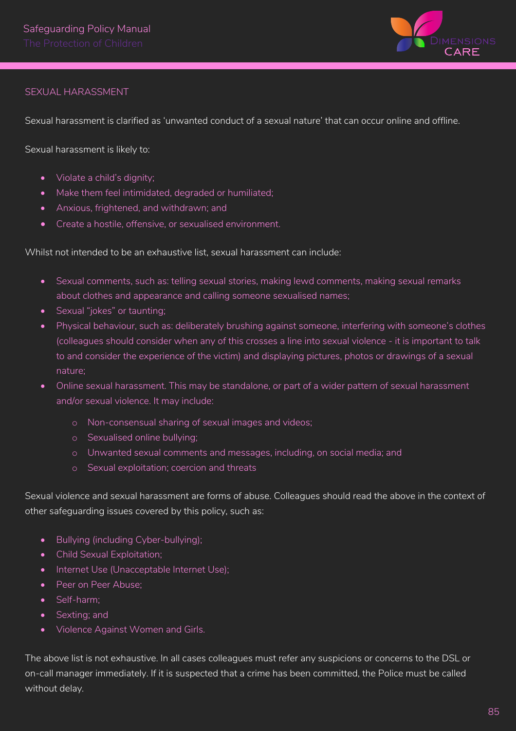

## SEXUAL HARASSMENT

Sexual harassment is clarified as 'unwanted conduct of a sexual nature' that can occur online and offline.

Sexual harassment is likely to:

- Violate a child's dignity:
- Make them feel intimidated, degraded or humiliated;
- Anxious, frightened, and withdrawn; and
- Create a hostile, offensive, or sexualised environment.

Whilst not intended to be an exhaustive list, sexual harassment can include:

- Sexual comments, such as: telling sexual stories, making lewd comments, making sexual remarks about clothes and appearance and calling someone sexualised names;
- Sexual "jokes" or taunting;
- Physical behaviour, such as: deliberately brushing against someone, interfering with someone's clothes (colleagues should consider when any of this crosses a line into sexual violence - it is important to talk to and consider the experience of the victim) and displaying pictures, photos or drawings of a sexual nature;
- Online sexual harassment. This may be standalone, or part of a wider pattern of sexual harassment and/or sexual violence. It may include:
	- o Non-consensual sharing of sexual images and videos;
	- o Sexualised online bullying;
	- o Unwanted sexual comments and messages, including, on social media; and
	- o Sexual exploitation; coercion and threats

Sexual violence and sexual harassment are forms of abuse. Colleagues should read the above in the context of other safeguarding issues covered by this policy, such as:

- Bullying (including Cyber-bullying);
- Child Sexual Exploitation;
- Internet Use (Unacceptable Internet Use);
- Peer on Peer Abuse;
- Self-harm:
- Sexting; and
- Violence Against Women and Girls.

The above list is not exhaustive. In all cases colleagues must refer any suspicions or concerns to the DSL or on-call manager immediately. If it is suspected that a crime has been committed, the Police must be called without delay*.*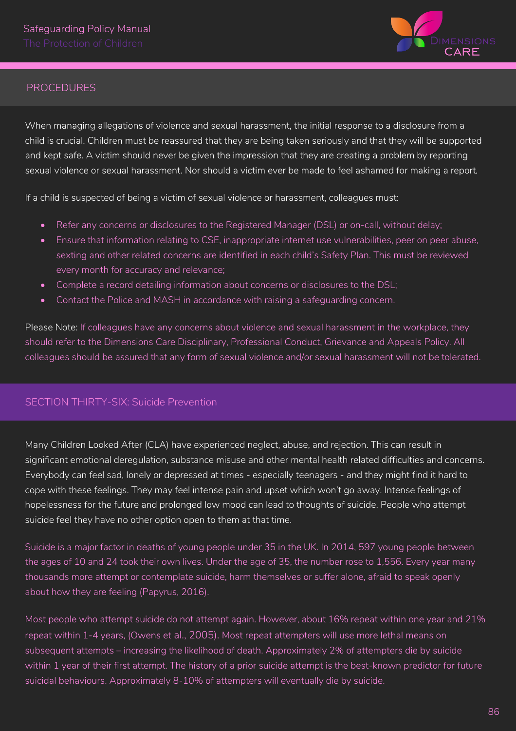

## PROCEDURES

When managing allegations of violence and sexual harassment, the initial response to a disclosure from a child is crucial. Children must be reassured that they are being taken seriously and that they will be supported and kept safe. A victim should never be given the impression that they are creating a problem by reporting sexual violence or sexual harassment. Nor should a victim ever be made to feel ashamed for making a report*.* 

If a child is suspected of being a victim of sexual violence or harassment, colleagues must:

- Refer any concerns or disclosures to the Registered Manager (DSL) or on-call, without delay;
- Ensure that information relating to CSE, inappropriate internet use vulnerabilities, peer on peer abuse, sexting and other related concerns are identified in each child's Safety Plan. This must be reviewed every month for accuracy and relevance;
- Complete a record detailing information about concerns or disclosures to the DSL;
- Contact the Police and MASH in accordance with raising a safeguarding concern.

Please Note: If colleagues have any concerns about violence and sexual harassment in the workplace, they should refer to the Dimensions Care Disciplinary, Professional Conduct, Grievance and Appeals Policy. All colleagues should be assured that any form of sexual violence and/or sexual harassment will not be tolerated.

## SECTION THIRTY-SIX: Suicide Prevention

Many Children Looked After (CLA) have experienced neglect, abuse, and rejection. This can result in significant emotional deregulation, substance misuse and other mental health related difficulties and concerns. Everybody can feel sad, lonely or depressed at times - especially teenagers - and they might find it hard to cope with these feelings. They may feel intense pain and upset which won't go away. Intense feelings of hopelessness for the future and prolonged low mood can lead to thoughts of suicide. People who attempt suicide feel they have no other option open to them at that time.

Suicide is a major factor in deaths of young people under 35 in the UK. In 2014, 597 young people between the ages of 10 and 24 took their own lives. Under the age of 35, the number rose to 1,556. Every year many thousands more attempt or contemplate suicide, harm themselves or suffer alone, afraid to speak openly about how they are feeling (Papyrus, 2016).

Most people who attempt suicide do not attempt again. However, about 16% repeat within one year and 21% repeat within 1-4 years, (Owens et al., 2005). Most repeat attempters will use more lethal means on subsequent attempts – increasing the likelihood of death. Approximately 2% of attempters die by suicide within 1 year of their first attempt. The history of a prior suicide attempt is the best-known predictor for future suicidal behaviours. Approximately 8-10% of attempters will eventually die by suicide.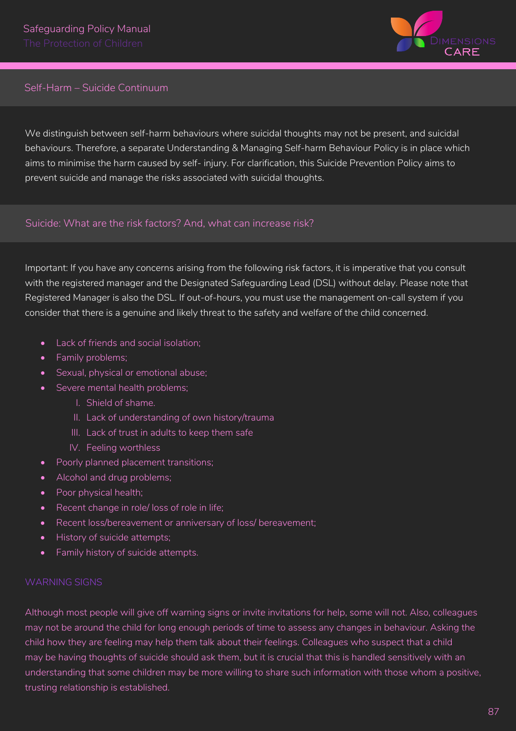

## Self-Harm – Suicide Continuum

We distinguish between self-harm behaviours where suicidal thoughts may not be present, and suicidal behaviours. Therefore, a separate Understanding & Managing Self-harm Behaviour Policy is in place which aims to minimise the harm caused by self- injury. For clarification, this Suicide Prevention Policy aims to prevent suicide and manage the risks associated with suicidal thoughts.

## Suicide: What are the risk factors? And, what can increase risk?

Important: If you have any concerns arising from the following risk factors, it is imperative that you consult with the registered manager and the Designated Safeguarding Lead (DSL) without delay. Please note that Registered Manager is also the DSL. If out-of-hours, you must use the management on-call system if you consider that there is a genuine and likely threat to the safety and welfare of the child concerned.

- Lack of friends and social isolation;
- Family problems;
- Sexual, physical or emotional abuse;
- Severe mental health problems;
	- I. Shield of shame.
	- II. Lack of understanding of own history/trauma
	- III. Lack of trust in adults to keep them safe
	- IV. Feeling worthless
- Poorly planned placement transitions;
- Alcohol and drug problems;
- Poor physical health;
- Recent change in role/ loss of role in life;
- Recent loss/bereavement or anniversary of loss/ bereavement;
- History of suicide attempts;
- Family history of suicide attempts.

### WARNING SIGNS

Although most people will give off warning signs or invite invitations for help, some will not. Also, colleagues may not be around the child for long enough periods of time to assess any changes in behaviour. Asking the child how they are feeling may help them talk about their feelings. Colleagues who suspect that a child may be having thoughts of suicide should ask them, but it is crucial that this is handled sensitively with an understanding that some children may be more willing to share such information with those whom a positive, trusting relationship is established.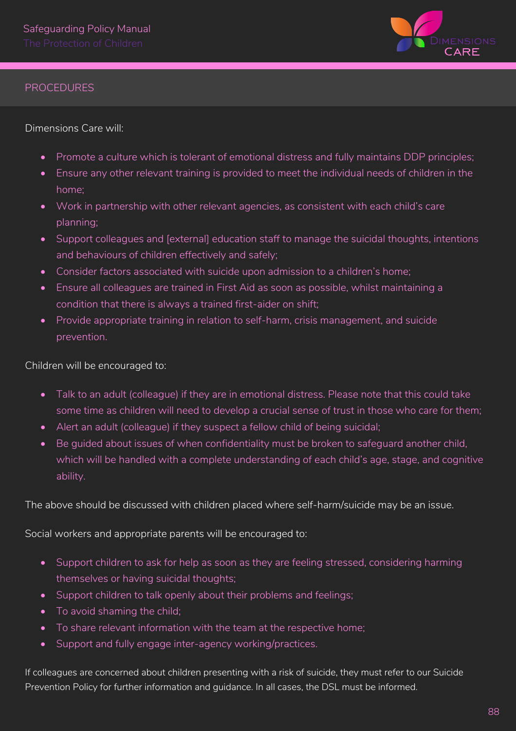

## PROCEDURES

Dimensions Care will:

- Promote a culture which is tolerant of emotional distress and fully maintains DDP principles;
- Ensure any other relevant training is provided to meet the individual needs of children in the home;
- Work in partnership with other relevant agencies, as consistent with each child's care planning;
- Support colleagues and [external] education staff to manage the suicidal thoughts, intentions and behaviours of children effectively and safely;
- Consider factors associated with suicide upon admission to a children's home;
- Ensure all colleagues are trained in First Aid as soon as possible, whilst maintaining a condition that there is always a trained first-aider on shift;
- Provide appropriate training in relation to self-harm, crisis management, and suicide prevention.

Children will be encouraged to:

- Talk to an adult (colleague) if they are in emotional distress. Please note that this could take some time as children will need to develop a crucial sense of trust in those who care for them;
- Alert an adult (colleague) if they suspect a fellow child of being suicidal;
- Be guided about issues of when confidentiality must be broken to safeguard another child, which will be handled with a complete understanding of each child's age, stage, and cognitive ability.

The above should be discussed with children placed where self-harm/suicide may be an issue.

Social workers and appropriate parents will be encouraged to:

- Support children to ask for help as soon as they are feeling stressed, considering harming themselves or having suicidal thoughts;
- Support children to talk openly about their problems and feelings;
- To avoid shaming the child;
- To share relevant information with the team at the respective home;
- Support and fully engage inter-agency working/practices.

If colleagues are concerned about children presenting with a risk of suicide, they must refer to our Suicide Prevention Policy for further information and guidance. In all cases, the DSL must be informed.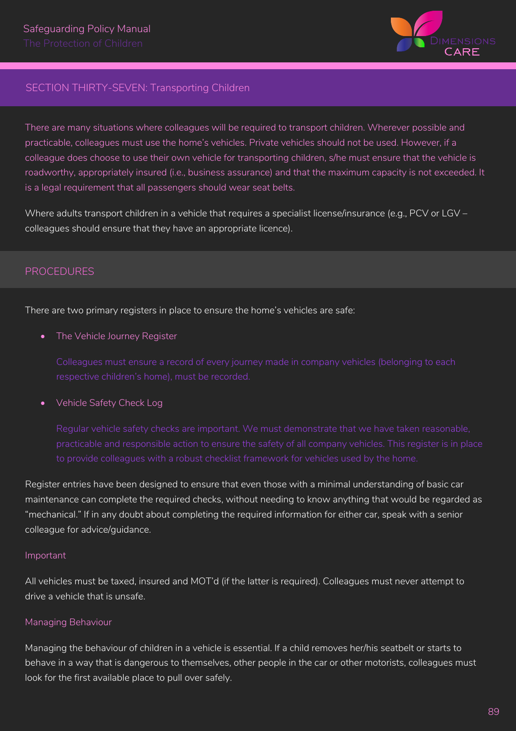

## SECTION THIRTY-SEVEN: Transporting Children

There are many situations where colleagues will be required to transport children. Wherever possible and practicable, colleagues must use the home's vehicles. Private vehicles should not be used. However, if a colleague does choose to use their own vehicle for transporting children, s/he must ensure that the vehicle is roadworthy, appropriately insured (i.e., business assurance) and that the maximum capacity is not exceeded. It is a legal requirement that all passengers should wear seat belts.

Where adults transport children in a vehicle that requires a specialist license/insurance (e.g., PCV or LGV – colleagues should ensure that they have an appropriate licence).

### PROCEDURES

There are two primary registers in place to ensure the home's vehicles are safe:

• The Vehicle Journey Register

respective children's home), must be recorded.

• Vehicle Safety Check Log

Register entries have been designed to ensure that even those with a minimal understanding of basic car maintenance can complete the required checks, without needing to know anything that would be regarded as "mechanical." If in any doubt about completing the required information for either car, speak with a senior colleague for advice/guidance.

#### Important

All vehicles must be taxed, insured and MOT'd (if the latter is required). Colleagues must never attempt to drive a vehicle that is unsafe.

#### Managing Behaviour

Managing the behaviour of children in a vehicle is essential. If a child removes her/his seatbelt or starts to behave in a way that is dangerous to themselves, other people in the car or other motorists, colleagues must look for the first available place to pull over safely.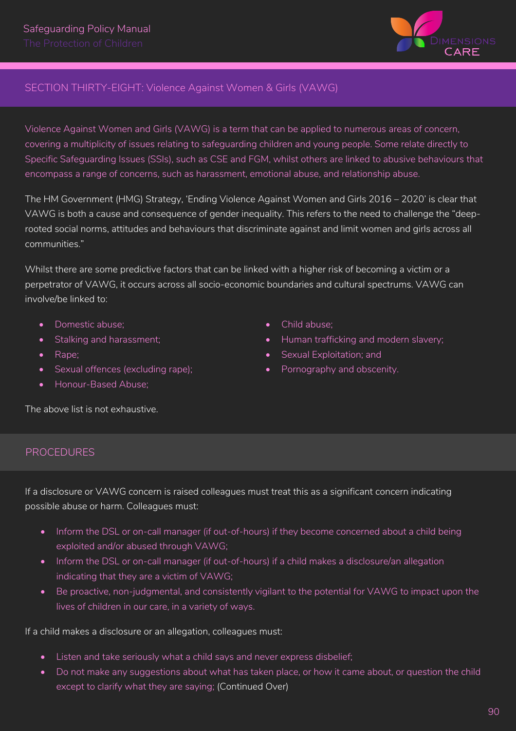

## SECTION THIRTY-EIGHT: Violence Against Women & Girls (VAWG)

Violence Against Women and Girls (VAWG) is a term that can be applied to numerous areas of concern, covering a multiplicity of issues relating to safeguarding children and young people. Some relate directly to Specific Safeguarding Issues (SSIs), such as CSE and FGM, whilst others are linked to abusive behaviours that encompass a range of concerns, such as harassment, emotional abuse, and relationship abuse.

The HM Government (HMG) Strategy, 'Ending Violence Against Women and Girls 2016 – 2020' is clear that VAWG is both a cause and consequence of gender inequality. This refers to the need to challenge the "deeprooted social norms, attitudes and behaviours that discriminate against and limit women and girls across all communities."

Whilst there are some predictive factors that can be linked with a higher risk of becoming a victim or a perpetrator of VAWG, it occurs across all socio-economic boundaries and cultural spectrums. VAWG can involve/be linked to:

- Domestic abuse;
- Stalking and harassment;
- Rape;
- Sexual offences (excluding rape);
- Child abuse;
- Human trafficking and modern slavery;
- Sexual Exploitation; and
- Pornography and obscenity.

• Honour-Based Abuse;

The above list is not exhaustive.

## PROCEDURES

If a disclosure or VAWG concern is raised colleagues must treat this as a significant concern indicating possible abuse or harm. Colleagues must:

- Inform the DSL or on-call manager (if out-of-hours) if they become concerned about a child being exploited and/or abused through VAWG:
- Inform the DSL or on-call manager (if out-of-hours) if a child makes a disclosure/an allegation indicating that they are a victim of VAWG;
- Be proactive, non-judgmental, and consistently vigilant to the potential for VAWG to impact upon the lives of children in our care, in a variety of ways.

If a child makes a disclosure or an allegation, colleagues must:

- Listen and take seriously what a child says and never express disbelief;
- Do not make any suggestions about what has taken place, or how it came about, or question the child except to clarify what they are saying; (Continued Over)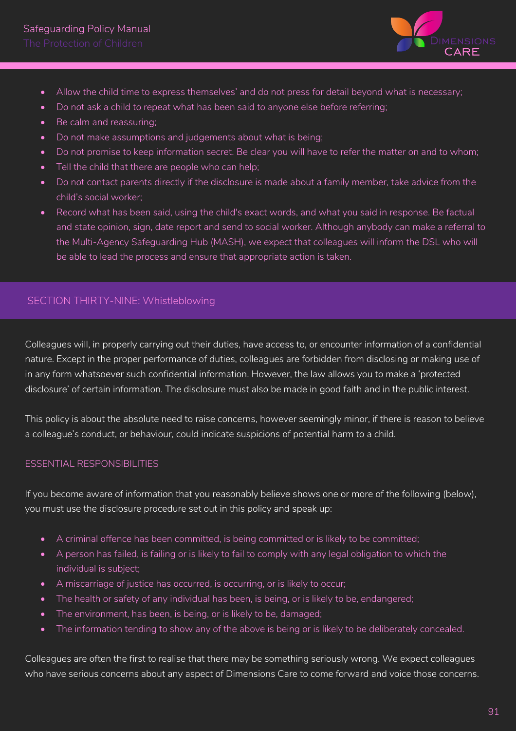

- Allow the child time to express themselves' and do not press for detail beyond what is necessary;
- Do not ask a child to repeat what has been said to anyone else before referring;
- Be calm and reassuring;
- Do not make assumptions and judgements about what is being;
- Do not promise to keep information secret. Be clear you will have to refer the matter on and to whom;
- Tell the child that there are people who can help;
- Do not contact parents directly if the disclosure is made about a family member, take advice from the child's social worker;
- Record what has been said, using the child's exact words, and what you said in response. Be factual and state opinion, sign, date report and send to social worker. Although anybody can make a referral to the Multi-Agency Safeguarding Hub (MASH), we expect that colleagues will inform the DSL who will be able to lead the process and ensure that appropriate action is taken.

## SECTION THIRTY-NINE: Whistleblowing

Colleagues will, in properly carrying out their duties, have access to, or encounter information of a confidential nature. Except in the proper performance of duties, colleagues are forbidden from disclosing or making use of in any form whatsoever such confidential information. However, the law allows you to make a 'protected disclosure' of certain information. The disclosure must also be made in good faith and in the public interest.

This policy is about the absolute need to raise concerns, however seemingly minor, if there is reason to believe a colleague's conduct, or behaviour, could indicate suspicions of potential harm to a child.

#### ESSENTIAL RESPONSIBILITIES

If you become aware of information that you reasonably believe shows one or more of the following (below), you must use the disclosure procedure set out in this policy and speak up:

- A criminal offence has been committed, is being committed or is likely to be committed;
- A person has failed, is failing or is likely to fail to comply with any legal obligation to which the individual is subject;
- A miscarriage of justice has occurred, is occurring, or is likely to occur;
- The health or safety of any individual has been, is being, or is likely to be, endangered;
- The environment, has been, is being, or is likely to be, damaged;
- The information tending to show any of the above is being or is likely to be deliberately concealed.

Colleagues are often the first to realise that there may be something seriously wrong. We expect colleagues who have serious concerns about any aspect of Dimensions Care to come forward and voice those concerns.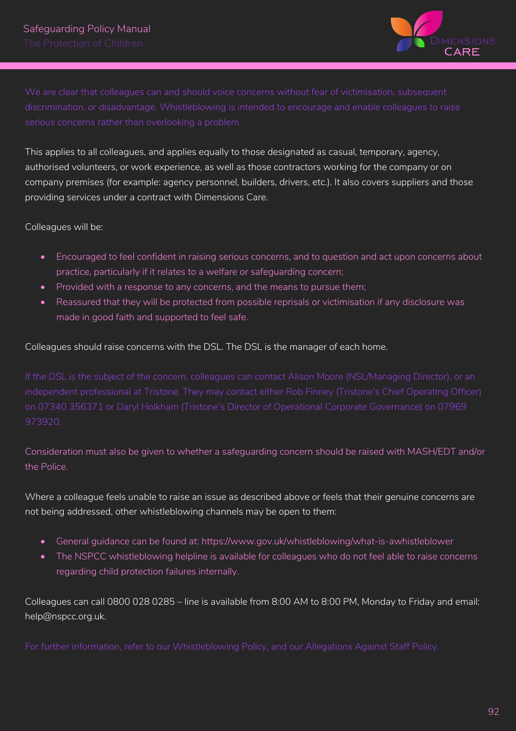

We are clear that colleagues can and should voice concerns without fear of victimisation, subsequent serious concerns rather than overlooking a problem.

This applies to all colleagues, and applies equally to those designated as casual, temporary, agency, authorised volunteers, or work experience, as well as those contractors working for the company or on company premises (for example: agency personnel, builders, drivers, etc.). It also covers suppliers and those providing services under a contract with Dimensions Care.

Colleagues will be:

- Encouraged to feel confident in raising serious concerns, and to question and act upon concerns about practice, particularly if it relates to a welfare or safeguarding concern;
- Provided with a response to any concerns, and the means to pursue them;
- Reassured that they will be protected from possible reprisals or victimisation if any disclosure was made in good faith and supported to feel safe.

#### Colleagues should raise concerns with the DSL. The DSL is the manager of each home.

If the DSL is the subject of the concern, colleagues can contact Alison Moore (NSL/Managing Director), or an on 07340 356371 or Daryl Holkham (Tristone's Director of Operational Corporate Governance) on 07969 973920.

Consideration must also be given to whether a safeguarding concern should be raised with MASH/EDT and/or the Police.

Where a colleague feels unable to raise an issue as described above or feels that their genuine concerns are not being addressed, other whistleblowing channels may be open to them:

- General guidance can be found at: https://www.gov.uk/whistleblowing/what-is-awhistleblower
- The NSPCC whistleblowing helpline is available for colleagues who do not feel able to raise concerns regarding child protection failures internally.

Colleagues can call 0800 028 0285 – line is available from 8:00 AM to 8:00 PM, Monday to Friday and email: help@nspcc.org.uk.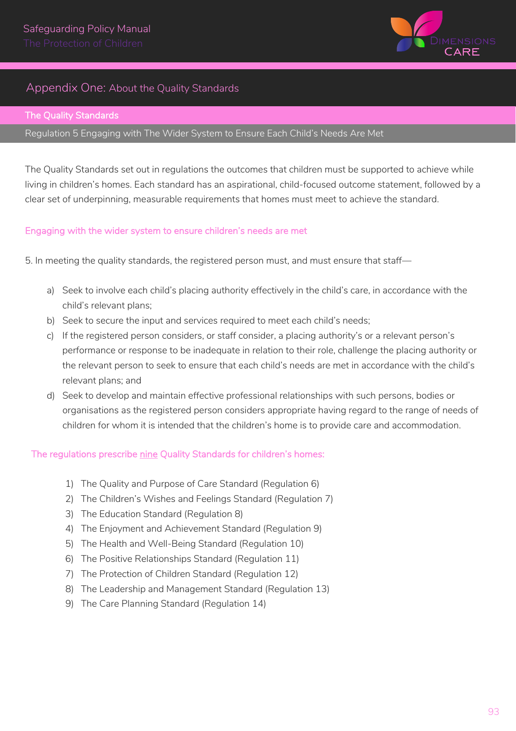

## Appendix One: About the Quality Standards

#### The Quality Standards

#### Regulation 5 Engaging with The Wider System to Ensure Each Child's Needs Are Met

The Quality Standards set out in regulations the outcomes that children must be supported to achieve while living in children's homes. Each standard has an aspirational, child-focused outcome statement, followed by a clear set of underpinning, measurable requirements that homes must meet to achieve the standard.

#### Engaging with the wider system to ensure children's needs are met

5. In meeting the quality standards, the registered person must, and must ensure that staff—

- a) Seek to involve each child's placing authority effectively in the child's care, in accordance with the child's relevant plans;
- b) Seek to secure the input and services required to meet each child's needs;
- c) If the registered person considers, or staff consider, a placing authority's or a relevant person's performance or response to be inadequate in relation to their role, challenge the placing authority or the relevant person to seek to ensure that each child's needs are met in accordance with the child's relevant plans; and
- d) Seek to develop and maintain effective professional relationships with such persons, bodies or organisations as the registered person considers appropriate having regard to the range of needs of children for whom it is intended that the children's home is to provide care and accommodation.

#### The regulations prescribe nine Quality Standards for children's homes:

- 1) The Quality and Purpose of Care Standard (Regulation 6)
- 2) The Children's Wishes and Feelings Standard (Regulation 7)
- 3) The Education Standard (Regulation 8)
- 4) The Enjoyment and Achievement Standard (Regulation 9)
- 5) The Health and Well-Being Standard (Regulation 10)
- 6) The Positive Relationships Standard (Regulation 11)
- 7) The Protection of Children Standard (Regulation 12)
- 8) The Leadership and Management Standard (Regulation 13)
- 9) The Care Planning Standard (Regulation 14)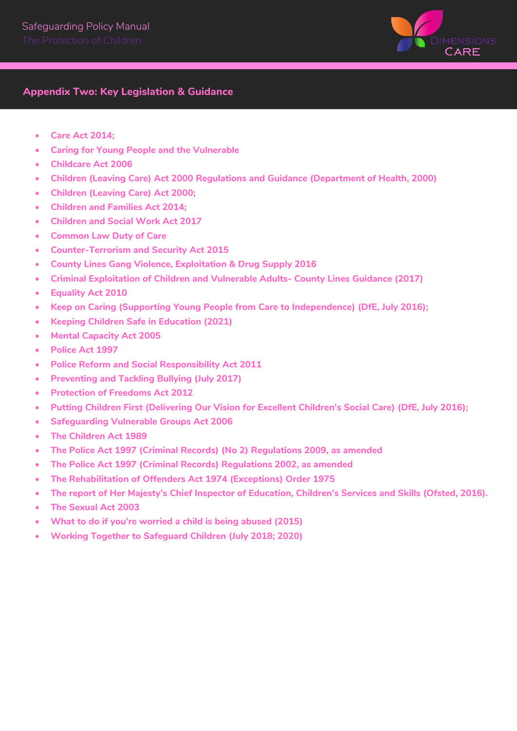

### **Appendix Two: Key Legislation & Guidance**

- **Care Act 2014;**
- **Caring for Young People and the Vulnerable**
- **Childcare Act 2006**
- **Children (Leaving Care) Act 2000 Regulations and Guidance (Department of Health, 2000)**
- **Children (Leaving Care) Act 2000;**
- **Children and Families Act 2014;**
- **Children and Social Work Act 2017**
- **Common Law Duty of Care**
- **Counter-Terrorism and Security Act 2015**
- **County Lines Gang Violence, Exploitation & Drug Supply 2016**
- **Criminal Exploitation of Children and Vulnerable Adults- County Lines Guidance (2017)**
- **Equality Act 2010**
- **Keep on Caring (Supporting Young People from Care to Independence) (DfE, July 2016);**
- **Keeping Children Safe in Education (2021)**
- **Mental Capacity Act 2005**
- **Police Act 1997**
- **Police Reform and Social Responsibility Act 2011**
- **Preventing and Tackling Bullying (July 2017)**
- **Protection of Freedoms Act 2012**
- **Putting Children First (Delivering Our Vision for Excellent Children's Social Care) (DfE, July 2016);**
- **Safeguarding Vulnerable Groups Act 2006**
- **The Children Act 1989**
- **The Police Act 1997 (Criminal Records) (No 2) Regulations 2009, as amended**
- **The Police Act 1997 (Criminal Records) Regulations 2002, as amended**
- **The Rehabilitation of Offenders Act 1974 (Exceptions) Order 1975**
- **The report of Her Majesty's Chief Inspector of Education, Children's Services and Skills (Ofsted, 2016).**
- **The Sexual Act 2003**
- **What to do if you're worried a child is being abused (2015)**
- **Working Together to Safeguard Children (July 2018; 2020)**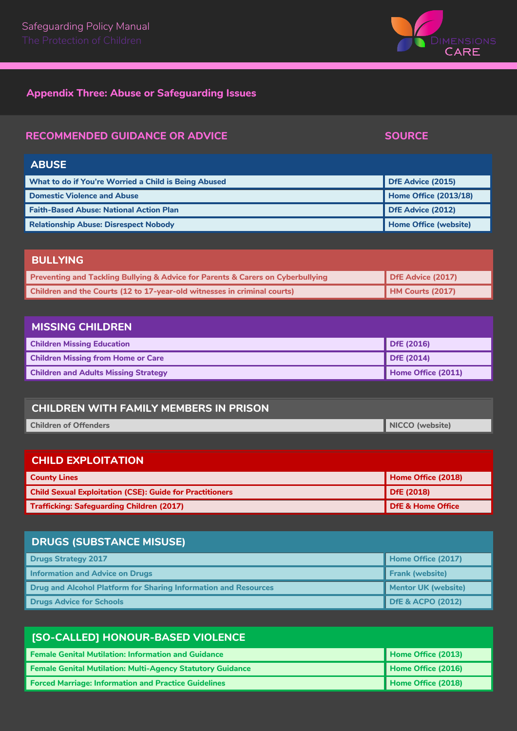

## **Appendix Three: Abuse or Safeguarding Issues**

#### **RECOMMENDED GUIDANCE OR ADVICE MEASURE AND ADVICE SOURCE**

#### **ABUSE**

| What to do if You're Worried a Child is Being Abused | DfE Advice (2015)     |
|------------------------------------------------------|-----------------------|
| <b>Domestic Violence and Abuse</b>                   | Home Office (2013/18) |
| <b>Faith-Based Abuse: National Action Plan</b>       | DfE Advice (2012)     |
| <b>Relationship Abuse: Disrespect Nobody</b>         | Home Office (website) |

# **BULLYING [Preventing and Tackling Bullying & Advice for Parents & Carers on Cyberbullying](https://assets.publishing.service.gov.uk/government/uploads/system/uploads/attachment_data/file/623895/Preventing_and_tackling_bullying_advice.pdf) DfE Advice (2017) Children and the Courts (12 to 17-year-old witnesses in criminal courts) HM Courts (2017)**

| <b>MISSING CHILDREN</b>                     |                         |
|---------------------------------------------|-------------------------|
| <b>Children Missing Education</b>           | $\vert$ DfE (2016)      |
| <b>Children Missing from Home or Care</b>   | $\overline{$ DfE (2014) |
| <b>Children and Adults Missing Strategy</b> | Home Office (2011)      |

### **CHILDREN WITH FAMILY MEMBERS IN PRISON**

| <b>Children of Offenders</b> | NICCO (website) |
|------------------------------|-----------------|
|                              |                 |

### **CHILD EXPLOITATION**

| <b>County Lines</b>                                             | Home Office (2018) |
|-----------------------------------------------------------------|--------------------|
| <b>Child Sexual Exploitation (CSE): Guide for Practitioners</b> | DfE (2018)         |
| <b>Trafficking: Safeguarding Children (2017)</b>                | DfE & Home Office  |

### **DRUGS (SUBSTANCE MISUSE)**

| <b>Drugs Strategy 2017</b>                                             | Home Office (2017)           |
|------------------------------------------------------------------------|------------------------------|
| <b>Information and Advice on Drugs</b>                                 | <b>Frank (website)</b>       |
| <b>Drug and Alcohol Platform for Sharing Information and Resources</b> | Mentor UK (website)          |
| <b>Drugs Advice for Schools</b>                                        | <b>DfE &amp; ACPO (2012)</b> |

| [SO-CALLED] HONOUR-BASED VIOLENCE                                 |                    |  |
|-------------------------------------------------------------------|--------------------|--|
| <b>Female Genital Mutilation: Information and Guidance</b>        | Home Office (2013) |  |
| <b>Female Genital Mutilation: Multi-Agency Statutory Guidance</b> | Home Office (2016) |  |
| <b>Forced Marriage: Information and Practice Guidelines</b>       | Home Office (2018) |  |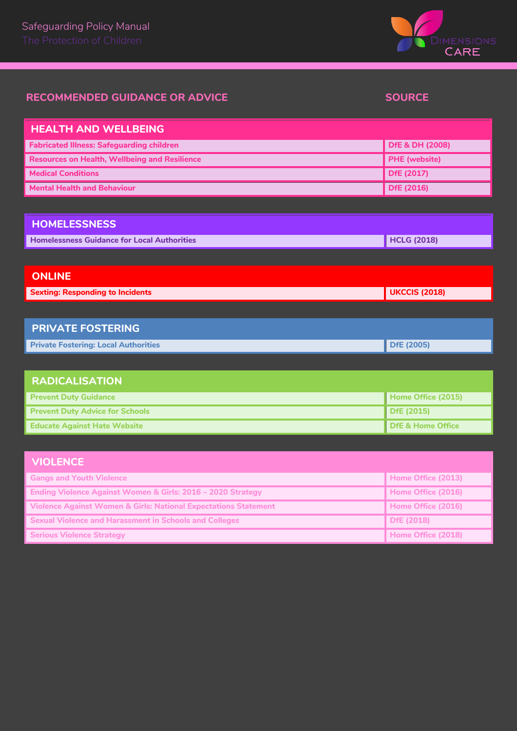

## **RECOMMENDED GUIDANCE OR ADVICE AND ARRIVE SOURCE SOURCE**

| <b>HEALTH AND WELLBEING</b>                                                |                              |
|----------------------------------------------------------------------------|------------------------------|
| <b>Fabricated Illness: Safeguarding children</b>                           | <b>DfE &amp; DH (2008)</b>   |
| <b>Resources on Health, Wellbeing and Resilience</b>                       | <b>PHE</b> (website)         |
| <b>Medical Conditions</b>                                                  | <b>DfE (2017)</b>            |
| <b>Mental Health and Behaviour</b>                                         | <b>DfE (2016)</b>            |
|                                                                            |                              |
| <b>HOMELESSNESS</b>                                                        |                              |
| <b>Homelessness Guidance for Local Authorities</b>                         | <b>HCLG (2018)</b>           |
|                                                                            |                              |
| <b>ONLINE</b>                                                              |                              |
| <b>Sexting: Responding to Incidents</b>                                    | <b>UKCCIS (2018)</b>         |
|                                                                            |                              |
|                                                                            |                              |
| <b>PRIVATE FOSTERING</b>                                                   |                              |
| <b>Private Fostering: Local Authorities</b>                                | <b>DfE (2005)</b>            |
|                                                                            |                              |
| <b>RADICALISATION</b>                                                      |                              |
| <b>Prevent Duty Guidance</b>                                               | Home Office (2015)           |
| <b>Prevent Duty Advice for Schools</b>                                     | <b>DfE (2015)</b>            |
| <b>Educate Against Hate Website</b>                                        | <b>DfE &amp; Home Office</b> |
|                                                                            |                              |
| <b>VIOLENCE</b>                                                            |                              |
| <b>Gangs and Youth Violence</b>                                            | Home Office (2013)           |
| Ending Violence Against Women & Girls: 2016 - 2020 Strategy                | Home Office (2016)           |
| <b>Violence Against Women &amp; Girls: National Expectations Statement</b> | Home Office (2016)           |

**[Sexual Violence and Harassment in Schools and Colleges](https://assets.publishing.service.gov.uk/government/uploads/system/uploads/attachment_data/file/719902/Sexual_violence_and_sexual_harassment_between_children_in_schools_and_colleges.pdf) Department of Langley 2018** 

**[Serious Violence Strategy](https://assets.publishing.service.gov.uk/government/uploads/system/uploads/attachment_data/file/698009/serious-violence-strategy.pdf) Manufacture of the Contract of the Contract of the Contract of the Contract of the Contract of the Contract of the Contract of the Contract of the Contract of the Contract of the Contract of th**